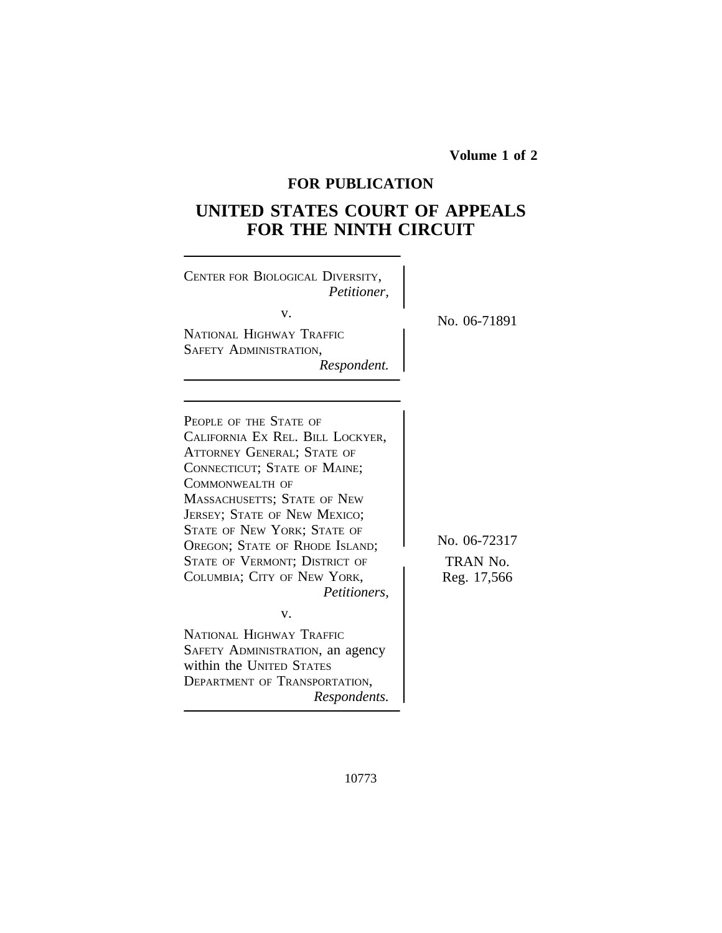**Volume 1 of 2**

## **FOR PUBLICATION**

# **UNITED STATES COURT OF APPEALS FOR THE NINTH CIRCUIT**

| CENTER FOR BIOLOGICAL DIVERSITY,<br>Petitioner,<br>v.<br>NATIONAL HIGHWAY TRAFFIC<br><b>SAFETY ADMINISTRATION,</b><br>Respondent.                                                                                                                                                                                                                                                                                                                                                                                                          | No. 06-71891                            |
|--------------------------------------------------------------------------------------------------------------------------------------------------------------------------------------------------------------------------------------------------------------------------------------------------------------------------------------------------------------------------------------------------------------------------------------------------------------------------------------------------------------------------------------------|-----------------------------------------|
| PEOPLE OF THE STATE OF<br>CALIFORNIA EX REL. BILL LOCKYER,<br><b>ATTORNEY GENERAL; STATE OF</b><br>CONNECTICUT; STATE OF MAINE;<br>COMMONWEALTH OF<br>MASSACHUSETTS; STATE OF NEW<br><b>JERSEY; STATE OF NEW MEXICO;</b><br><b>STATE OF NEW YORK; STATE OF</b><br>OREGON; STATE OF RHODE ISLAND;<br>STATE OF VERMONT; DISTRICT OF<br>COLUMBIA; CITY OF NEW YORK,<br>Petitioners,<br>v.<br>NATIONAL HIGHWAY TRAFFIC<br>SAFETY ADMINISTRATION, an agency<br>within the UNITED STATES<br><b>DEPARTMENT OF TRANSPORTATION,</b><br>Respondents. | No. 06-72317<br>TRAN No.<br>Reg. 17,566 |

10773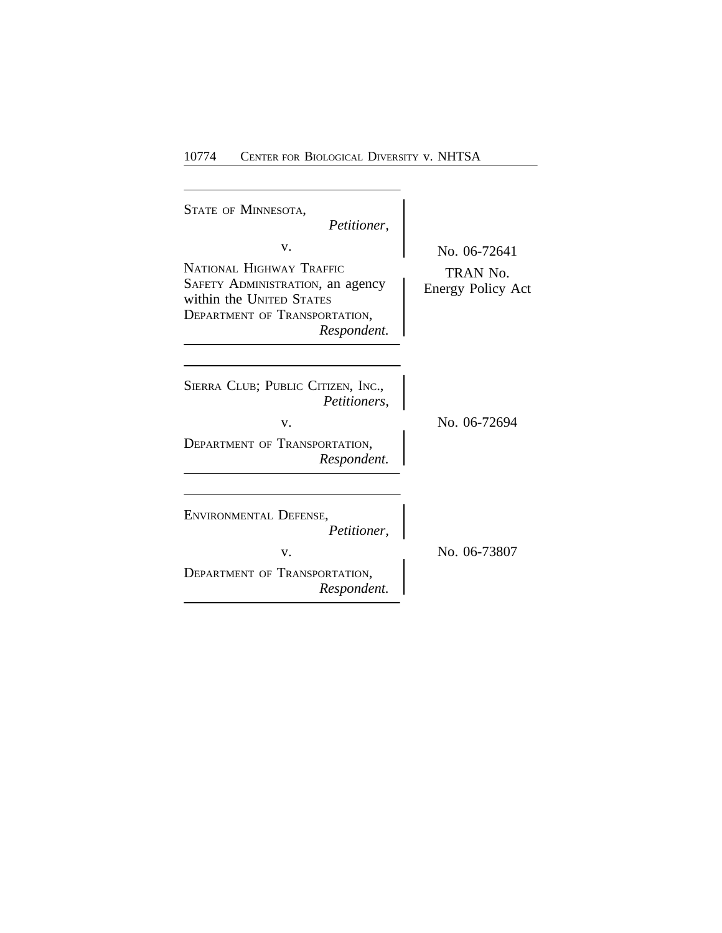| <b>STATE OF MINNESOTA,</b><br>Petitioner,                                                                                                      |                                               |
|------------------------------------------------------------------------------------------------------------------------------------------------|-----------------------------------------------|
| v.<br>NATIONAL HIGHWAY TRAFFIC<br>SAFETY ADMINISTRATION, an agency<br>within the UNITED STATES<br>DEPARTMENT OF TRANSPORTATION,<br>Respondent. | No. 06-72641<br>TRAN No.<br>Energy Policy Act |
| SIERRA CLUB; PUBLIC CITIZEN, INC.,<br><i>Petitioners,</i><br>V.<br>DEPARTMENT OF TRANSPORTATION,<br>Respondent.                                | No. 06-72694                                  |
| ENVIRONMENTAL DEFENSE,<br>Petitioner,<br>V.<br><b>DEPARTMENT OF TRANSPORTATION,</b><br>Respondent.                                             | No. 06-73807                                  |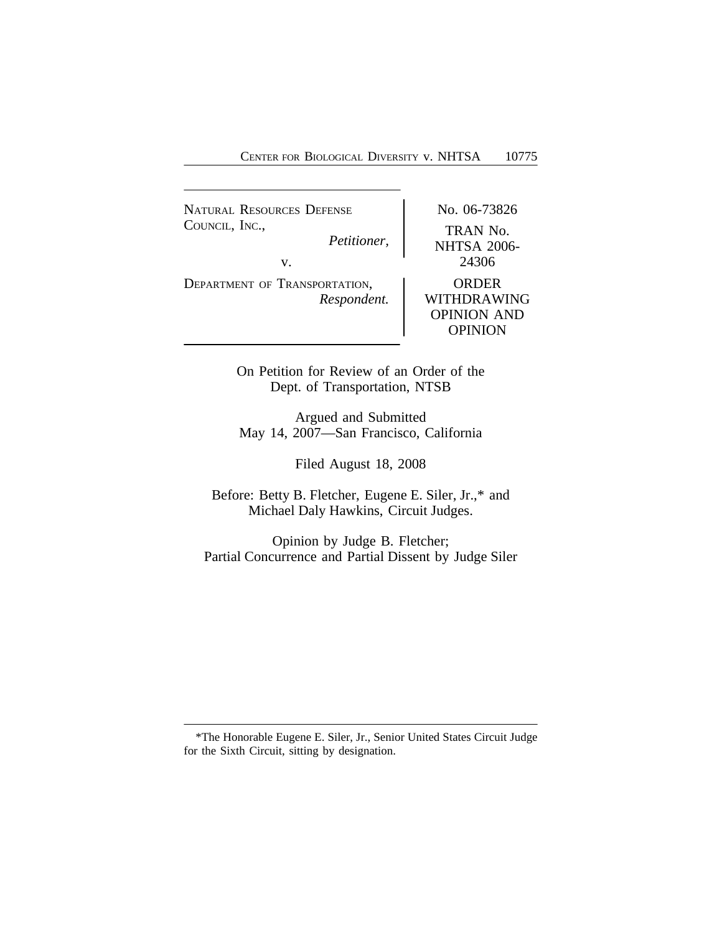NATURAL RESOURCES DEFENSE No. 06-73826 COUNCIL, INC.,<br>Petitioner. TRAN No. *Petitioner,* NHTSA 2006 v. <sup>24306</sup> DEPARTMENT OF TRANSPORTATION, ORDER *Respondent.* WITHDRAWING OPINION AND OPINION

> On Petition for Review of an Order of the Dept. of Transportation, NTSB

> Argued and Submitted May 14, 2007—San Francisco, California

> > Filed August 18, 2008

Before: Betty B. Fletcher, Eugene E. Siler, Jr.,\* and Michael Daly Hawkins, Circuit Judges.

Opinion by Judge B. Fletcher; Partial Concurrence and Partial Dissent by Judge Siler

<sup>\*</sup>The Honorable Eugene E. Siler, Jr., Senior United States Circuit Judge for the Sixth Circuit, sitting by designation.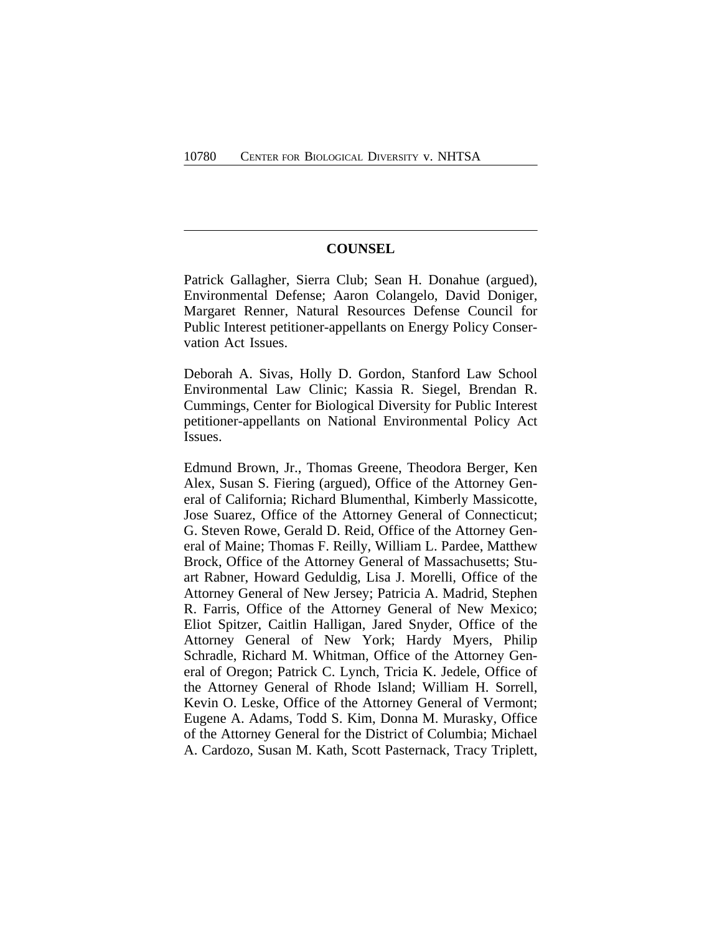## **COUNSEL**

Patrick Gallagher, Sierra Club; Sean H. Donahue (argued), Environmental Defense; Aaron Colangelo, David Doniger, Margaret Renner, Natural Resources Defense Council for Public Interest petitioner-appellants on Energy Policy Conservation Act Issues.

Deborah A. Sivas, Holly D. Gordon, Stanford Law School Environmental Law Clinic; Kassia R. Siegel, Brendan R. Cummings, Center for Biological Diversity for Public Interest petitioner-appellants on National Environmental Policy Act Issues.

Edmund Brown, Jr., Thomas Greene, Theodora Berger, Ken Alex, Susan S. Fiering (argued), Office of the Attorney General of California; Richard Blumenthal, Kimberly Massicotte, Jose Suarez, Office of the Attorney General of Connecticut; G. Steven Rowe, Gerald D. Reid, Office of the Attorney General of Maine; Thomas F. Reilly, William L. Pardee, Matthew Brock, Office of the Attorney General of Massachusetts; Stuart Rabner, Howard Geduldig, Lisa J. Morelli, Office of the Attorney General of New Jersey; Patricia A. Madrid, Stephen R. Farris, Office of the Attorney General of New Mexico; Eliot Spitzer, Caitlin Halligan, Jared Snyder, Office of the Attorney General of New York; Hardy Myers, Philip Schradle, Richard M. Whitman, Office of the Attorney General of Oregon; Patrick C. Lynch, Tricia K. Jedele, Office of the Attorney General of Rhode Island; William H. Sorrell, Kevin O. Leske, Office of the Attorney General of Vermont; Eugene A. Adams, Todd S. Kim, Donna M. Murasky, Office of the Attorney General for the District of Columbia; Michael A. Cardozo, Susan M. Kath, Scott Pasternack, Tracy Triplett,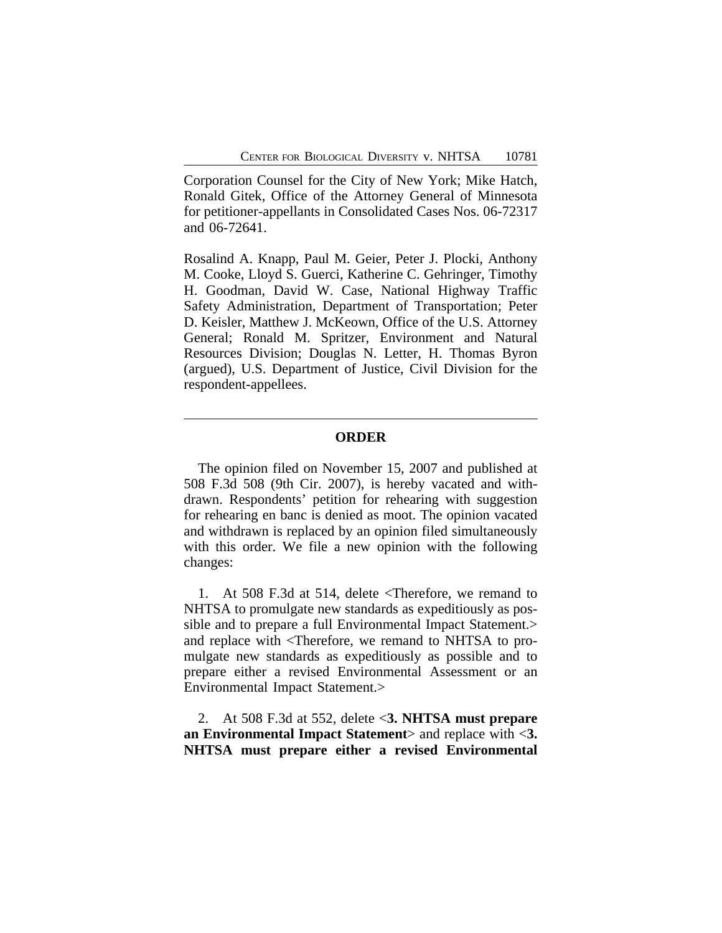Corporation Counsel for the City of New York; Mike Hatch, Ronald Gitek, Office of the Attorney General of Minnesota for petitioner-appellants in Consolidated Cases Nos. 06-72317 and 06-72641.

Rosalind A. Knapp, Paul M. Geier, Peter J. Plocki, Anthony M. Cooke, Lloyd S. Guerci, Katherine C. Gehringer, Timothy H. Goodman, David W. Case, National Highway Traffic Safety Administration, Department of Transportation; Peter D. Keisler, Matthew J. McKeown, Office of the U.S. Attorney General; Ronald M. Spritzer, Environment and Natural Resources Division; Douglas N. Letter, H. Thomas Byron (argued), U.S. Department of Justice, Civil Division for the respondent-appellees.

### **ORDER**

The opinion filed on November 15, 2007 and published at 508 F.3d 508 (9th Cir. 2007), is hereby vacated and withdrawn. Respondents' petition for rehearing with suggestion for rehearing en banc is denied as moot. The opinion vacated and withdrawn is replaced by an opinion filed simultaneously with this order. We file a new opinion with the following changes:

1. At 508 F.3d at 514, delete <Therefore, we remand to NHTSA to promulgate new standards as expeditiously as possible and to prepare a full Environmental Impact Statement.> and replace with <Therefore, we remand to NHTSA to promulgate new standards as expeditiously as possible and to prepare either a revised Environmental Assessment or an Environmental Impact Statement.>

2. At 508 F.3d at 552, delete <**3. NHTSA must prepare an Environmental Impact Statement**> and replace with <**3. NHTSA must prepare either a revised Environmental**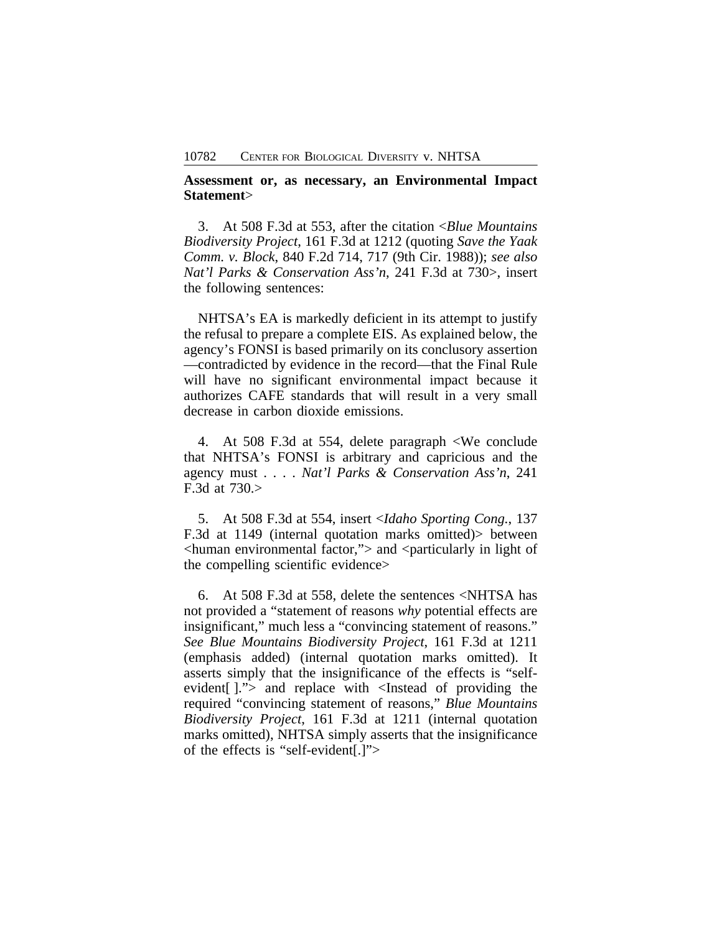**Assessment or, as necessary, an Environmental Impact Statement**>

3. At 508 F.3d at 553, after the citation <*Blue Mountains Biodiversity Project*, 161 F.3d at 1212 (quoting *Save the Yaak Comm. v. Block*, 840 F.2d 714, 717 (9th Cir. 1988)); *see also Nat'l Parks & Conservation Ass'n*, 241 F.3d at 730>, insert the following sentences:

NHTSA's EA is markedly deficient in its attempt to justify the refusal to prepare a complete EIS. As explained below, the agency's FONSI is based primarily on its conclusory assertion —contradicted by evidence in the record—that the Final Rule will have no significant environmental impact because it authorizes CAFE standards that will result in a very small decrease in carbon dioxide emissions.

4. At 508 F.3d at 554, delete paragraph <We conclude that NHTSA's FONSI is arbitrary and capricious and the agency must . . . . *Nat'l Parks & Conservation Ass'n*, 241 F.3d at 730.>

5. At 508 F.3d at 554, insert <*Idaho Sporting Cong.*, 137 F.3d at 1149 (internal quotation marks omitted)> between  $\alpha$  -chuman environmental factor," $>$  and  $\alpha$  -particularly in light of the compelling scientific evidence>

6. At 508 F.3d at 558, delete the sentences <NHTSA has not provided a "statement of reasons *why* potential effects are insignificant," much less a "convincing statement of reasons." *See Blue Mountains Biodiversity Project*, 161 F.3d at 1211 (emphasis added) (internal quotation marks omitted). It asserts simply that the insignificance of the effects is "selfevident[ ]."> and replace with <Instead of providing the required "convincing statement of reasons," *Blue Mountains Biodiversity Project*, 161 F.3d at 1211 (internal quotation marks omitted), NHTSA simply asserts that the insignificance of the effects is "self-evident[.]">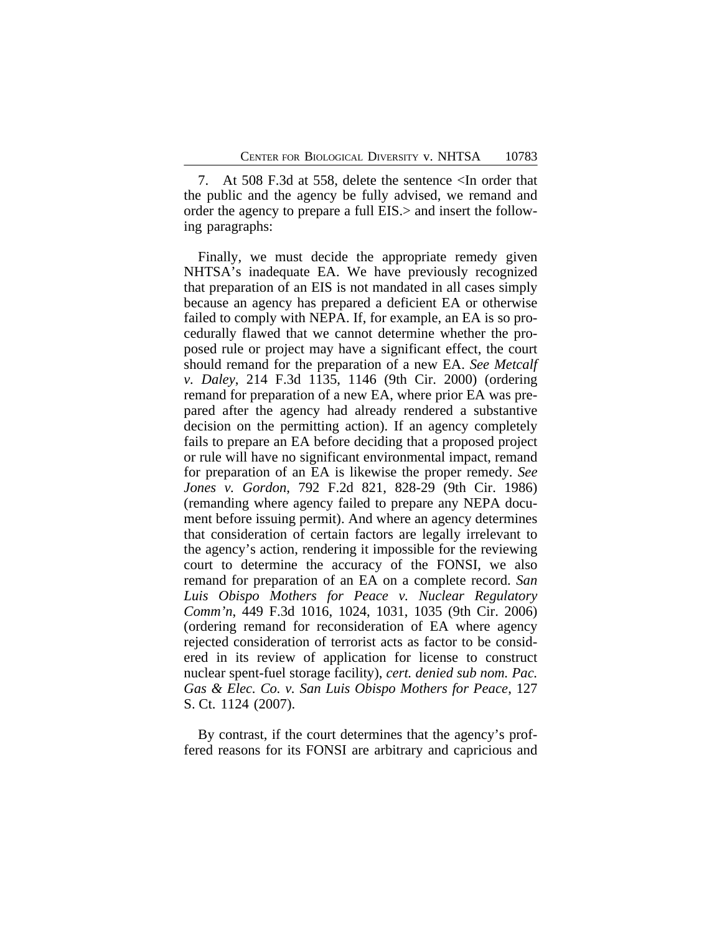7. At 508 F.3d at 558, delete the sentence <In order that the public and the agency be fully advised, we remand and order the agency to prepare a full EIS.> and insert the following paragraphs:

Finally, we must decide the appropriate remedy given NHTSA's inadequate EA. We have previously recognized that preparation of an EIS is not mandated in all cases simply because an agency has prepared a deficient EA or otherwise failed to comply with NEPA. If, for example, an EA is so procedurally flawed that we cannot determine whether the proposed rule or project may have a significant effect, the court should remand for the preparation of a new EA. *See Metcalf v. Daley*, 214 F.3d 1135, 1146 (9th Cir. 2000) (ordering remand for preparation of a new EA, where prior EA was prepared after the agency had already rendered a substantive decision on the permitting action). If an agency completely fails to prepare an EA before deciding that a proposed project or rule will have no significant environmental impact, remand for preparation of an EA is likewise the proper remedy. *See Jones v. Gordon*, 792 F.2d 821, 828-29 (9th Cir. 1986) (remanding where agency failed to prepare any NEPA document before issuing permit). And where an agency determines that consideration of certain factors are legally irrelevant to the agency's action, rendering it impossible for the reviewing court to determine the accuracy of the FONSI, we also remand for preparation of an EA on a complete record. *San Luis Obispo Mothers for Peace v. Nuclear Regulatory Comm'n*, 449 F.3d 1016, 1024, 1031, 1035 (9th Cir. 2006) (ordering remand for reconsideration of EA where agency rejected consideration of terrorist acts as factor to be considered in its review of application for license to construct nuclear spent-fuel storage facility), *cert. denied sub nom. Pac. Gas & Elec. Co. v. San Luis Obispo Mothers for Peace*, 127 S. Ct. 1124 (2007).

By contrast, if the court determines that the agency's proffered reasons for its FONSI are arbitrary and capricious and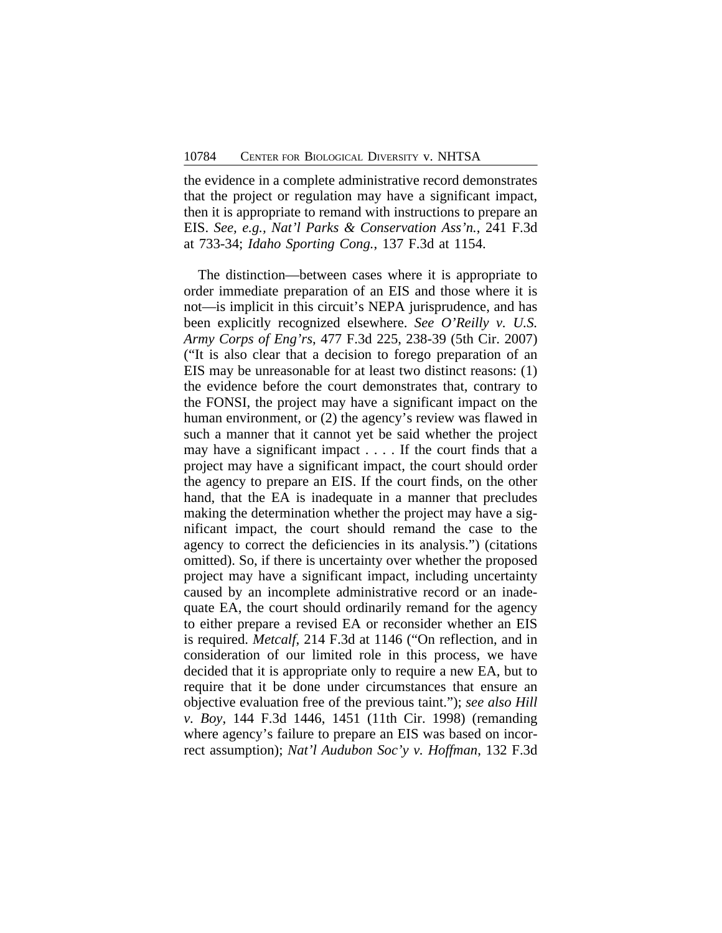the evidence in a complete administrative record demonstrates that the project or regulation may have a significant impact, then it is appropriate to remand with instructions to prepare an EIS. *See, e.g., Nat'l Parks & Conservation Ass'n.*, 241 F.3d at 733-34; *Idaho Sporting Cong.*, 137 F.3d at 1154.

The distinction—between cases where it is appropriate to order immediate preparation of an EIS and those where it is not—is implicit in this circuit's NEPA jurisprudence, and has been explicitly recognized elsewhere. *See O'Reilly v. U.S. Army Corps of Eng'rs*, 477 F.3d 225, 238-39 (5th Cir. 2007) ("It is also clear that a decision to forego preparation of an EIS may be unreasonable for at least two distinct reasons: (1) the evidence before the court demonstrates that, contrary to the FONSI, the project may have a significant impact on the human environment, or (2) the agency's review was flawed in such a manner that it cannot yet be said whether the project may have a significant impact . . . . If the court finds that a project may have a significant impact, the court should order the agency to prepare an EIS. If the court finds, on the other hand, that the EA is inadequate in a manner that precludes making the determination whether the project may have a significant impact, the court should remand the case to the agency to correct the deficiencies in its analysis.") (citations omitted). So, if there is uncertainty over whether the proposed project may have a significant impact, including uncertainty caused by an incomplete administrative record or an inadequate EA, the court should ordinarily remand for the agency to either prepare a revised EA or reconsider whether an EIS is required. *Metcalf*, 214 F.3d at 1146 ("On reflection, and in consideration of our limited role in this process, we have decided that it is appropriate only to require a new EA, but to require that it be done under circumstances that ensure an objective evaluation free of the previous taint."); *see also Hill v. Boy*, 144 F.3d 1446, 1451 (11th Cir. 1998) (remanding where agency's failure to prepare an EIS was based on incorrect assumption); *Nat'l Audubon Soc'y v. Hoffman*, 132 F.3d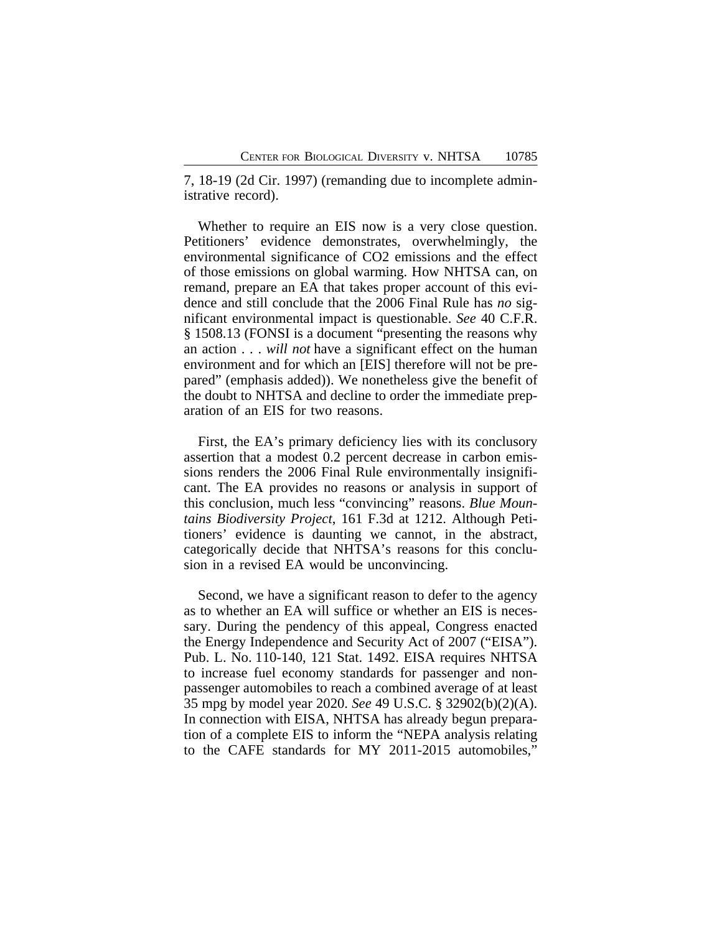7, 18-19 (2d Cir. 1997) (remanding due to incomplete administrative record).

Whether to require an EIS now is a very close question. Petitioners' evidence demonstrates, overwhelmingly, the environmental significance of CO2 emissions and the effect of those emissions on global warming. How NHTSA can, on remand, prepare an EA that takes proper account of this evidence and still conclude that the 2006 Final Rule has *no* significant environmental impact is questionable. *See* 40 C.F.R. § 1508.13 (FONSI is a document "presenting the reasons why an action . . . *will not* have a significant effect on the human environment and for which an [EIS] therefore will not be prepared" (emphasis added)). We nonetheless give the benefit of the doubt to NHTSA and decline to order the immediate preparation of an EIS for two reasons.

First, the EA's primary deficiency lies with its conclusory assertion that a modest 0.2 percent decrease in carbon emissions renders the 2006 Final Rule environmentally insignificant. The EA provides no reasons or analysis in support of this conclusion, much less "convincing" reasons. *Blue Mountains Biodiversity Project*, 161 F.3d at 1212. Although Petitioners' evidence is daunting we cannot, in the abstract, categorically decide that NHTSA's reasons for this conclusion in a revised EA would be unconvincing.

Second, we have a significant reason to defer to the agency as to whether an EA will suffice or whether an EIS is necessary. During the pendency of this appeal, Congress enacted the Energy Independence and Security Act of 2007 ("EISA"). Pub. L. No. 110-140, 121 Stat. 1492. EISA requires NHTSA to increase fuel economy standards for passenger and nonpassenger automobiles to reach a combined average of at least 35 mpg by model year 2020. *See* 49 U.S.C. § 32902(b)(2)(A). In connection with EISA, NHTSA has already begun preparation of a complete EIS to inform the "NEPA analysis relating to the CAFE standards for MY 2011-2015 automobiles,"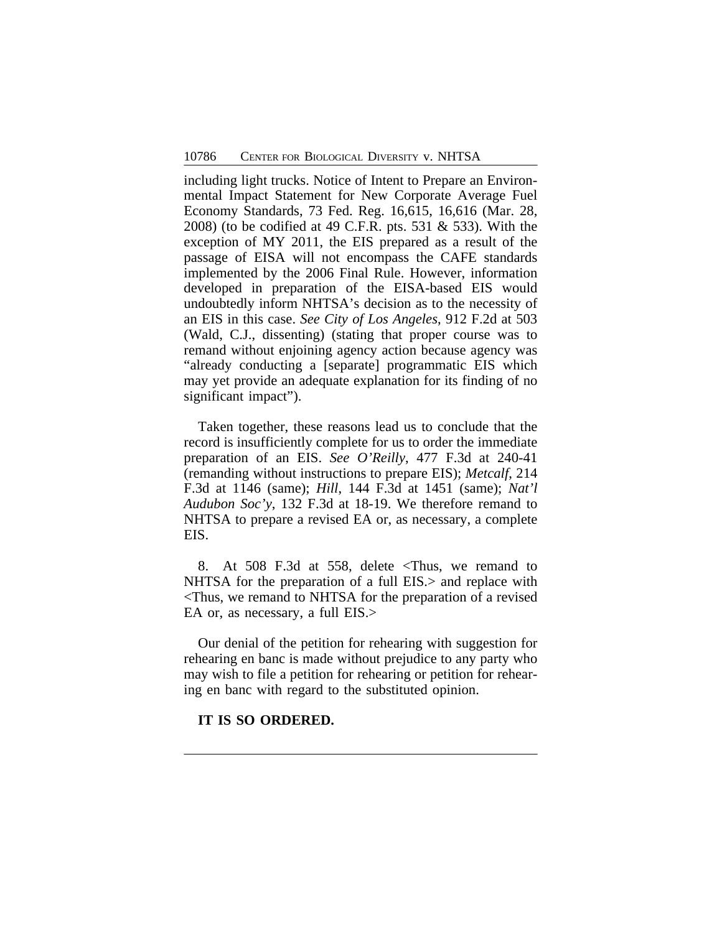including light trucks. Notice of Intent to Prepare an Environmental Impact Statement for New Corporate Average Fuel Economy Standards, 73 Fed. Reg. 16,615, 16,616 (Mar. 28, 2008) (to be codified at 49 C.F.R. pts. 531 & 533). With the exception of MY 2011, the EIS prepared as a result of the passage of EISA will not encompass the CAFE standards implemented by the 2006 Final Rule. However, information developed in preparation of the EISA-based EIS would undoubtedly inform NHTSA's decision as to the necessity of an EIS in this case. *See City of Los Angeles*, 912 F.2d at 503 (Wald, C.J., dissenting) (stating that proper course was to remand without enjoining agency action because agency was "already conducting a [separate] programmatic EIS which may yet provide an adequate explanation for its finding of no significant impact").

Taken together, these reasons lead us to conclude that the record is insufficiently complete for us to order the immediate preparation of an EIS. *See O'Reilly*, 477 F.3d at 240-41 (remanding without instructions to prepare EIS); *Metcalf*, 214 F.3d at 1146 (same); *Hill*, 144 F.3d at 1451 (same); *Nat'l Audubon Soc'y*, 132 F.3d at 18-19. We therefore remand to NHTSA to prepare a revised EA or, as necessary, a complete EIS.

8. At 508 F.3d at 558, delete <Thus, we remand to NHTSA for the preparation of a full EIS. in an explace with <Thus, we remand to NHTSA for the preparation of a revised EA or, as necessary, a full EIS.>

Our denial of the petition for rehearing with suggestion for rehearing en banc is made without prejudice to any party who may wish to file a petition for rehearing or petition for rehearing en banc with regard to the substituted opinion.

## **IT IS SO ORDERED.**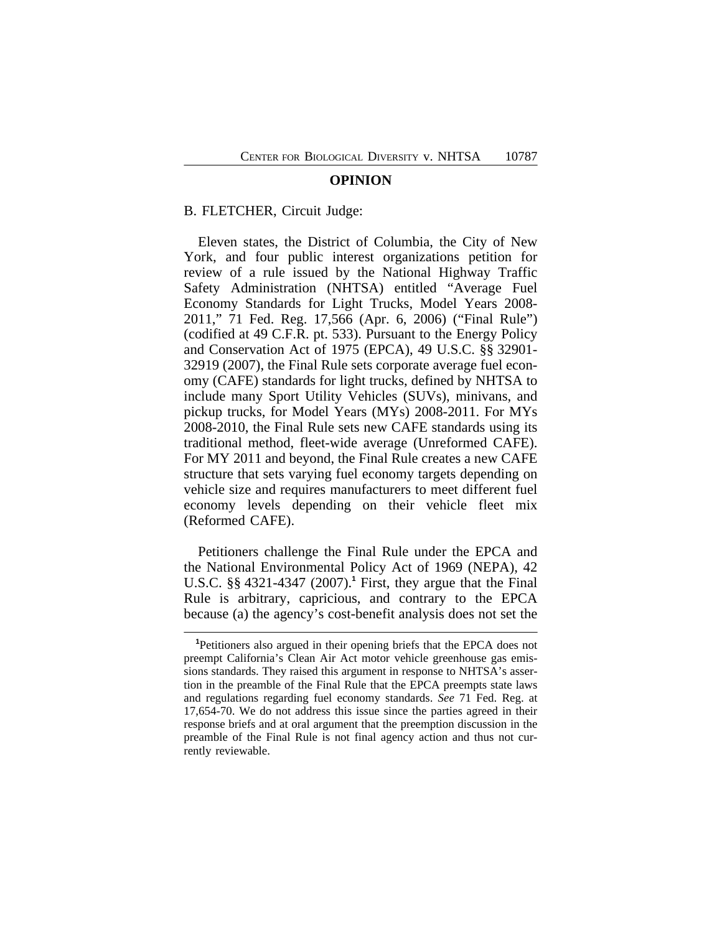#### **OPINION**

#### B. FLETCHER, Circuit Judge:

Eleven states, the District of Columbia, the City of New York, and four public interest organizations petition for review of a rule issued by the National Highway Traffic Safety Administration (NHTSA) entitled "Average Fuel Economy Standards for Light Trucks, Model Years 2008- 2011," 71 Fed. Reg. 17,566 (Apr. 6, 2006) ("Final Rule") (codified at 49 C.F.R. pt. 533). Pursuant to the Energy Policy and Conservation Act of 1975 (EPCA), 49 U.S.C. §§ 32901- 32919 (2007), the Final Rule sets corporate average fuel economy (CAFE) standards for light trucks, defined by NHTSA to include many Sport Utility Vehicles (SUVs), minivans, and pickup trucks, for Model Years (MYs) 2008-2011. For MYs 2008-2010, the Final Rule sets new CAFE standards using its traditional method, fleet-wide average (Unreformed CAFE). For MY 2011 and beyond, the Final Rule creates a new CAFE structure that sets varying fuel economy targets depending on vehicle size and requires manufacturers to meet different fuel economy levels depending on their vehicle fleet mix (Reformed CAFE).

Petitioners challenge the Final Rule under the EPCA and the National Environmental Policy Act of 1969 (NEPA), 42 U.S.C. §§ 4321-4347 (2007).**<sup>1</sup>** First, they argue that the Final Rule is arbitrary, capricious, and contrary to the EPCA because (a) the agency's cost-benefit analysis does not set the

**<sup>1</sup>**Petitioners also argued in their opening briefs that the EPCA does not preempt California's Clean Air Act motor vehicle greenhouse gas emissions standards. They raised this argument in response to NHTSA's assertion in the preamble of the Final Rule that the EPCA preempts state laws and regulations regarding fuel economy standards. *See* 71 Fed. Reg. at 17,654-70. We do not address this issue since the parties agreed in their response briefs and at oral argument that the preemption discussion in the preamble of the Final Rule is not final agency action and thus not currently reviewable.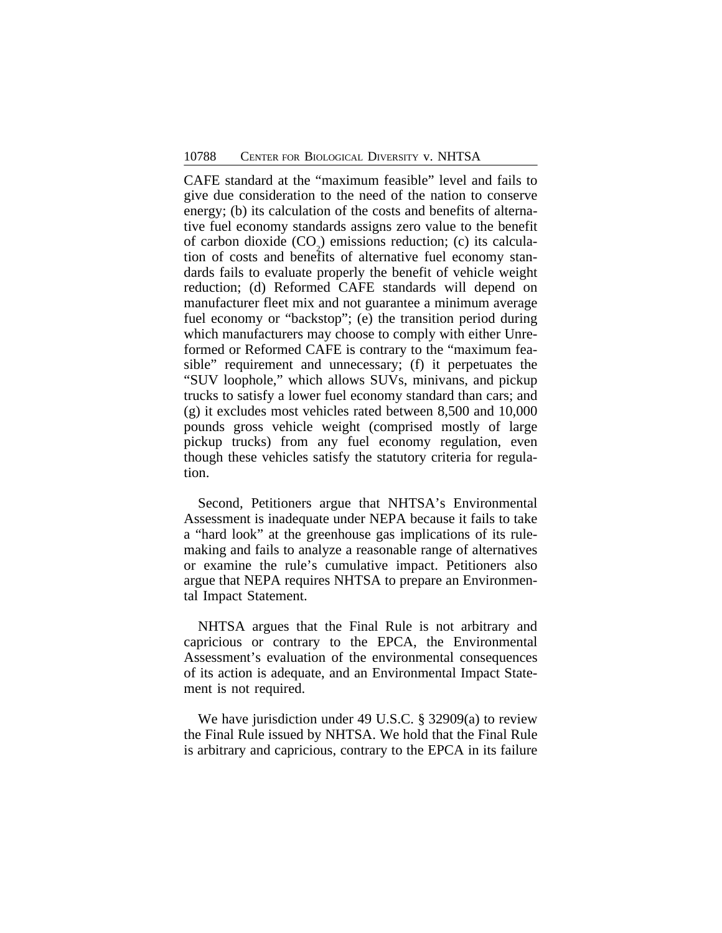CAFE standard at the "maximum feasible" level and fails to give due consideration to the need of the nation to conserve energy; (b) its calculation of the costs and benefits of alternative fuel economy standards assigns zero value to the benefit of carbon dioxide  $(CO_2)$  emissions reduction; (c) its calculation of costs and benefits of alternative fuel economy standards fails to evaluate properly the benefit of vehicle weight reduction; (d) Reformed CAFE standards will depend on manufacturer fleet mix and not guarantee a minimum average fuel economy or "backstop"; (e) the transition period during which manufacturers may choose to comply with either Unreformed or Reformed CAFE is contrary to the "maximum feasible" requirement and unnecessary; (f) it perpetuates the "SUV loophole," which allows SUVs, minivans, and pickup trucks to satisfy a lower fuel economy standard than cars; and (g) it excludes most vehicles rated between 8,500 and 10,000 pounds gross vehicle weight (comprised mostly of large pickup trucks) from any fuel economy regulation, even though these vehicles satisfy the statutory criteria for regulation.

Second, Petitioners argue that NHTSA's Environmental Assessment is inadequate under NEPA because it fails to take a "hard look" at the greenhouse gas implications of its rulemaking and fails to analyze a reasonable range of alternatives or examine the rule's cumulative impact. Petitioners also argue that NEPA requires NHTSA to prepare an Environmental Impact Statement.

NHTSA argues that the Final Rule is not arbitrary and capricious or contrary to the EPCA, the Environmental Assessment's evaluation of the environmental consequences of its action is adequate, and an Environmental Impact Statement is not required.

We have jurisdiction under 49 U.S.C. § 32909(a) to review the Final Rule issued by NHTSA. We hold that the Final Rule is arbitrary and capricious, contrary to the EPCA in its failure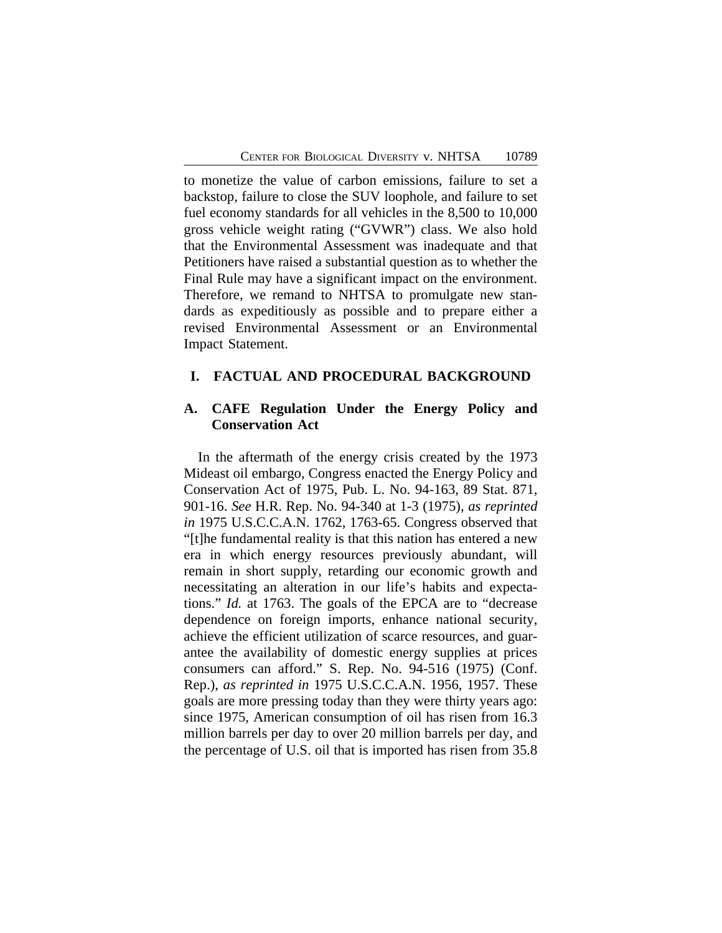to monetize the value of carbon emissions, failure to set a backstop, failure to close the SUV loophole, and failure to set fuel economy standards for all vehicles in the 8,500 to 10,000 gross vehicle weight rating ("GVWR") class. We also hold that the Environmental Assessment was inadequate and that Petitioners have raised a substantial question as to whether the Final Rule may have a significant impact on the environment. Therefore, we remand to NHTSA to promulgate new standards as expeditiously as possible and to prepare either a revised Environmental Assessment or an Environmental Impact Statement.

## **I. FACTUAL AND PROCEDURAL BACKGROUND**

## **A. CAFE Regulation Under the Energy Policy and Conservation Act**

In the aftermath of the energy crisis created by the 1973 Mideast oil embargo, Congress enacted the Energy Policy and Conservation Act of 1975, Pub. L. No. 94-163, 89 Stat. 871, 901-16. *See* H.R. Rep. No. 94-340 at 1-3 (1975), *as reprinted in* 1975 U.S.C.C.A.N. 1762, 1763-65. Congress observed that "[t]he fundamental reality is that this nation has entered a new era in which energy resources previously abundant, will remain in short supply, retarding our economic growth and necessitating an alteration in our life's habits and expectations." *Id.* at 1763. The goals of the EPCA are to "decrease dependence on foreign imports, enhance national security, achieve the efficient utilization of scarce resources, and guarantee the availability of domestic energy supplies at prices consumers can afford." S. Rep. No. 94-516 (1975) (Conf. Rep.), *as reprinted in* 1975 U.S.C.C.A.N. 1956, 1957. These goals are more pressing today than they were thirty years ago: since 1975, American consumption of oil has risen from 16.3 million barrels per day to over 20 million barrels per day, and the percentage of U.S. oil that is imported has risen from 35.8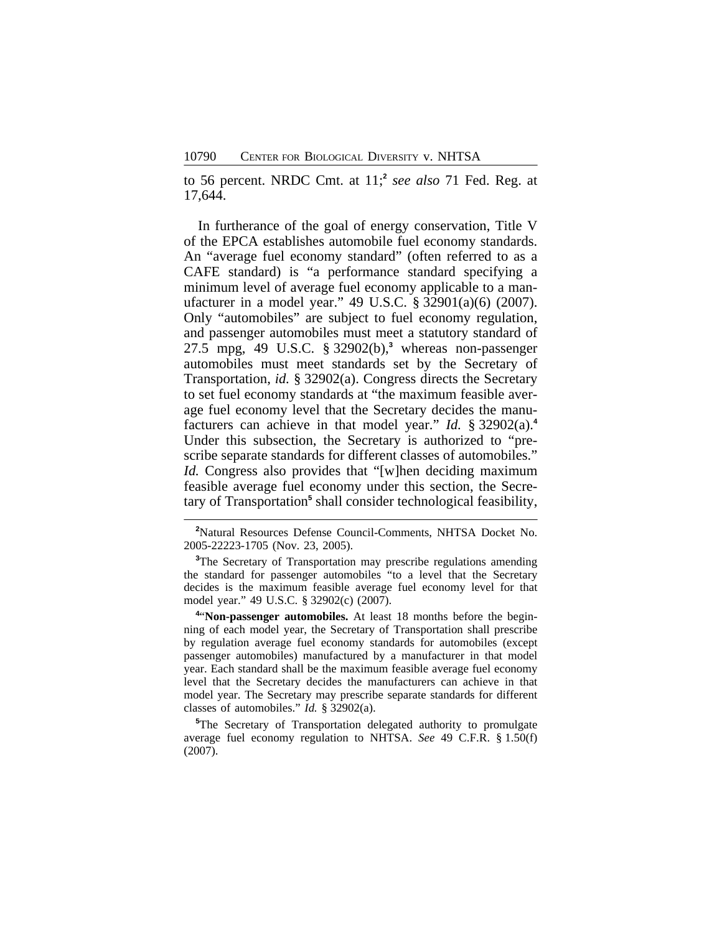to 56 percent. NRDC Cmt. at 11;**<sup>2</sup>** *see also* 71 Fed. Reg. at 17,644.

In furtherance of the goal of energy conservation, Title V of the EPCA establishes automobile fuel economy standards. An "average fuel economy standard" (often referred to as a CAFE standard) is "a performance standard specifying a minimum level of average fuel economy applicable to a manufacturer in a model year." 49 U.S.C. § 32901(a)(6) (2007). Only "automobiles" are subject to fuel economy regulation, and passenger automobiles must meet a statutory standard of 27.5 mpg, 49 U.S.C. § 32902(b),**<sup>3</sup>** whereas non-passenger automobiles must meet standards set by the Secretary of Transportation, *id.* § 32902(a). Congress directs the Secretary to set fuel economy standards at "the maximum feasible average fuel economy level that the Secretary decides the manufacturers can achieve in that model year." *Id.* § 32902(a).**<sup>4</sup>** Under this subsection, the Secretary is authorized to "prescribe separate standards for different classes of automobiles." *Id.* Congress also provides that "[w]hen deciding maximum feasible average fuel economy under this section, the Secretary of Transportation<sup>5</sup> shall consider technological feasibility,

**<sup>2</sup>**Natural Resources Defense Council-Comments, NHTSA Docket No. 2005-22223-1705 (Nov. 23, 2005).

<sup>3</sup>The Secretary of Transportation may prescribe regulations amending the standard for passenger automobiles "to a level that the Secretary decides is the maximum feasible average fuel economy level for that model year." 49 U.S.C. § 32902(c) (2007).

**4** "**Non-passenger automobiles.** At least 18 months before the beginning of each model year, the Secretary of Transportation shall prescribe by regulation average fuel economy standards for automobiles (except passenger automobiles) manufactured by a manufacturer in that model year. Each standard shall be the maximum feasible average fuel economy level that the Secretary decides the manufacturers can achieve in that model year. The Secretary may prescribe separate standards for different classes of automobiles." *Id.* § 32902(a).

**<sup>5</sup>**The Secretary of Transportation delegated authority to promulgate average fuel economy regulation to NHTSA. *See* 49 C.F.R. § 1.50(f) (2007).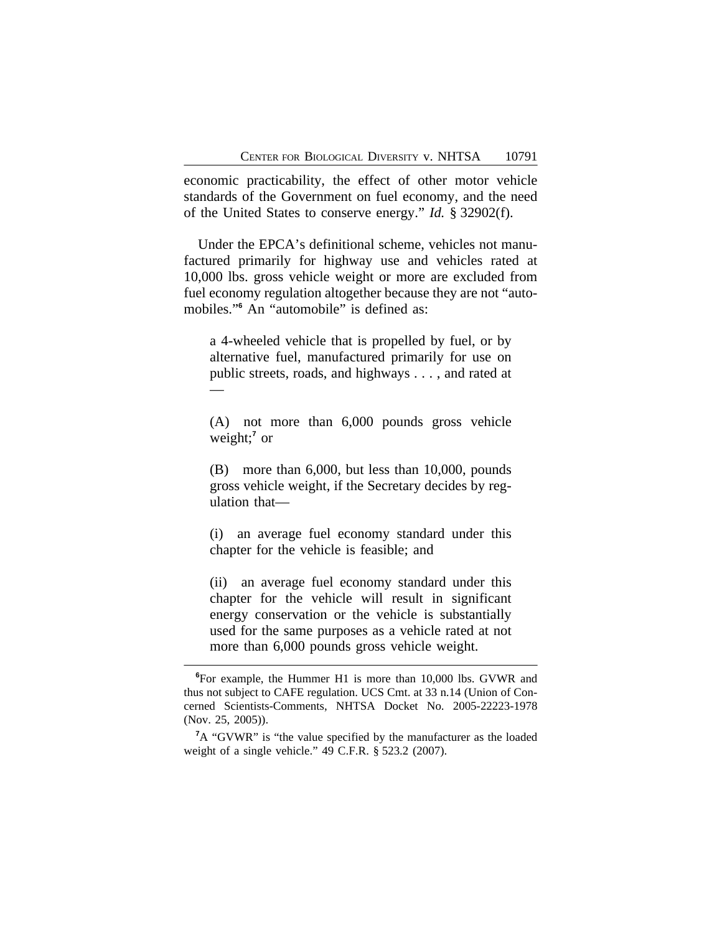economic practicability, the effect of other motor vehicle standards of the Government on fuel economy, and the need of the United States to conserve energy." *Id.* § 32902(f).

Under the EPCA's definitional scheme, vehicles not manufactured primarily for highway use and vehicles rated at 10,000 lbs. gross vehicle weight or more are excluded from fuel economy regulation altogether because they are not "automobiles."**<sup>6</sup>** An "automobile" is defined as:

a 4-wheeled vehicle that is propelled by fuel, or by alternative fuel, manufactured primarily for use on public streets, roads, and highways . . . , and rated at —

(A) not more than 6,000 pounds gross vehicle weight;**<sup>7</sup>** or

(B) more than 6,000, but less than 10,000, pounds gross vehicle weight, if the Secretary decides by regulation that—

(i) an average fuel economy standard under this chapter for the vehicle is feasible; and

(ii) an average fuel economy standard under this chapter for the vehicle will result in significant energy conservation or the vehicle is substantially used for the same purposes as a vehicle rated at not more than 6,000 pounds gross vehicle weight.

**<sup>6</sup>**For example, the Hummer H1 is more than 10,000 lbs. GVWR and thus not subject to CAFE regulation. UCS Cmt. at 33 n.14 (Union of Concerned Scientists-Comments, NHTSA Docket No. 2005-22223-1978 (Nov. 25, 2005)).

**<sup>7</sup>**A "GVWR" is "the value specified by the manufacturer as the loaded weight of a single vehicle." 49 C.F.R. § 523.2 (2007).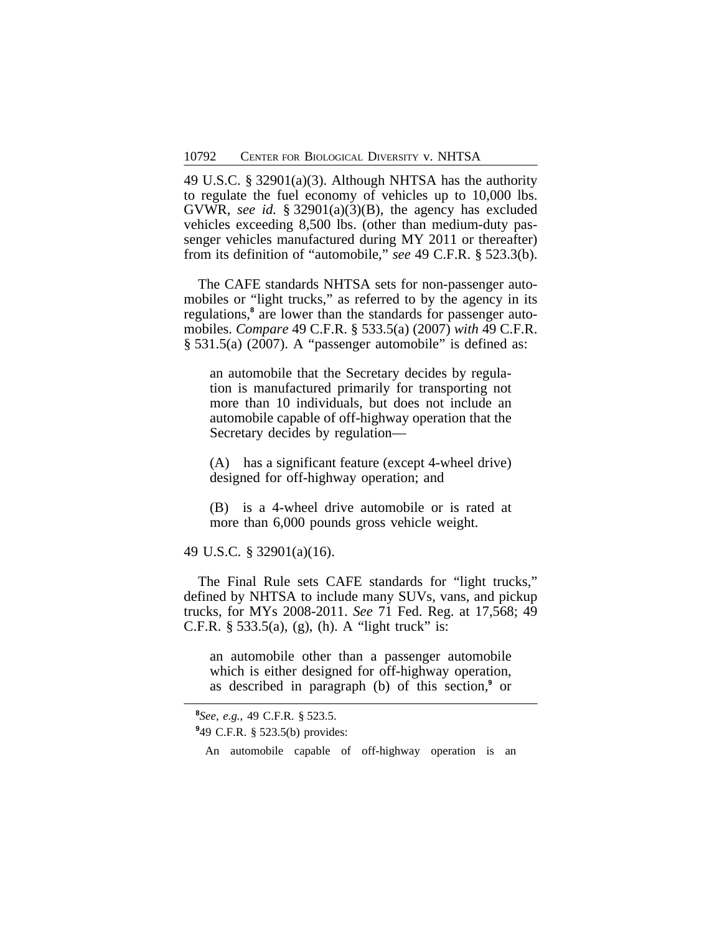49 U.S.C. § 32901(a)(3). Although NHTSA has the authority to regulate the fuel economy of vehicles up to 10,000 lbs. GVWR, *see id.* § 32901(a)(3)(B), the agency has excluded vehicles exceeding 8,500 lbs. (other than medium-duty passenger vehicles manufactured during MY 2011 or thereafter) from its definition of "automobile," *see* 49 C.F.R. § 523.3(b).

The CAFE standards NHTSA sets for non-passenger automobiles or "light trucks," as referred to by the agency in its regulations,<sup>8</sup> are lower than the standards for passenger automobiles. *Compare* 49 C.F.R. § 533.5(a) (2007) *with* 49 C.F.R. § 531.5(a) (2007). A "passenger automobile" is defined as:

an automobile that the Secretary decides by regulation is manufactured primarily for transporting not more than 10 individuals, but does not include an automobile capable of off-highway operation that the Secretary decides by regulation—

(A) has a significant feature (except 4-wheel drive) designed for off-highway operation; and

(B) is a 4-wheel drive automobile or is rated at more than 6,000 pounds gross vehicle weight.

49 U.S.C. § 32901(a)(16).

The Final Rule sets CAFE standards for "light trucks," defined by NHTSA to include many SUVs, vans, and pickup trucks, for MYs 2008-2011. *See* 71 Fed. Reg. at 17,568; 49 C.F.R.  $\S$  533.5(a), (g), (h). A "light truck" is:

an automobile other than a passenger automobile which is either designed for off-highway operation, as described in paragraph (b) of this section,**<sup>9</sup>** or

**9** 49 C.F.R. § 523.5(b) provides:

An automobile capable of off-highway operation is an

**<sup>8</sup>** *See, e.g.*, 49 C.F.R. § 523.5.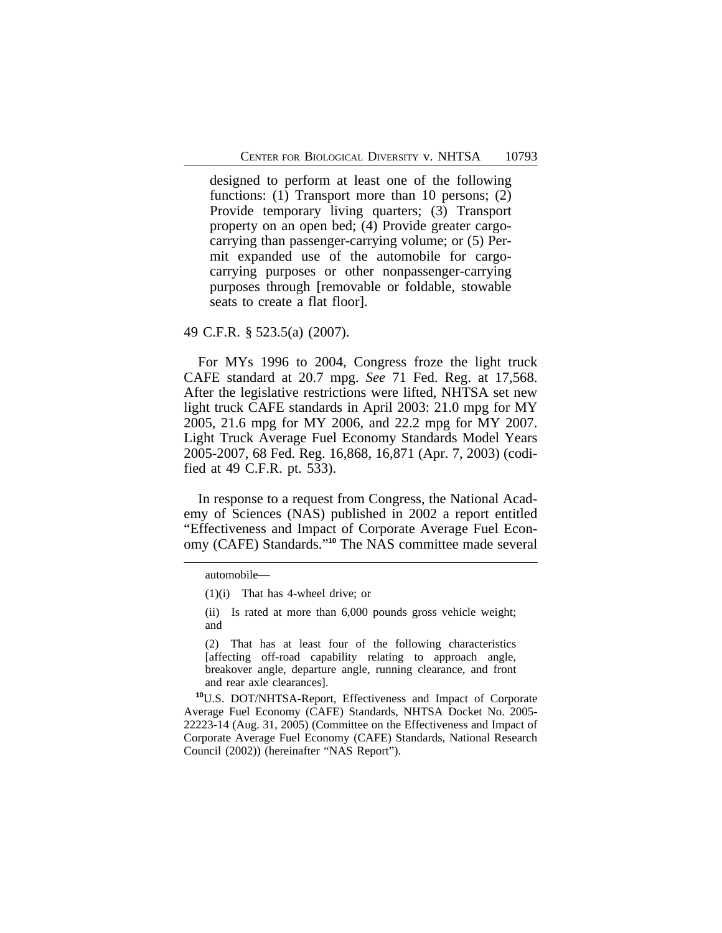designed to perform at least one of the following functions: (1) Transport more than 10 persons; (2) Provide temporary living quarters; (3) Transport property on an open bed; (4) Provide greater cargocarrying than passenger-carrying volume; or (5) Permit expanded use of the automobile for cargocarrying purposes or other nonpassenger-carrying purposes through [removable or foldable, stowable seats to create a flat floor].

49 C.F.R. § 523.5(a) (2007).

For MYs 1996 to 2004, Congress froze the light truck CAFE standard at 20.7 mpg. *See* 71 Fed. Reg. at 17,568. After the legislative restrictions were lifted, NHTSA set new light truck CAFE standards in April 2003: 21.0 mpg for MY 2005, 21.6 mpg for MY 2006, and 22.2 mpg for MY 2007. Light Truck Average Fuel Economy Standards Model Years 2005-2007, 68 Fed. Reg. 16,868, 16,871 (Apr. 7, 2003) (codified at 49 C.F.R. pt. 533).

In response to a request from Congress, the National Academy of Sciences (NAS) published in 2002 a report entitled "Effectiveness and Impact of Corporate Average Fuel Economy (CAFE) Standards." **<sup>10</sup>** The NAS committee made several

(2) That has at least four of the following characteristics [affecting off-road capability relating to approach angle, breakover angle, departure angle, running clearance, and front and rear axle clearances].

**<sup>10</sup>**U.S. DOT/NHTSA-Report, Effectiveness and Impact of Corporate Average Fuel Economy (CAFE) Standards, NHTSA Docket No. 2005- 22223-14 (Aug. 31, 2005) (Committee on the Effectiveness and Impact of Corporate Average Fuel Economy (CAFE) Standards, National Research Council (2002)) (hereinafter "NAS Report").

automobile—

<sup>(1)(</sup>i) That has 4-wheel drive; or

<sup>(</sup>ii) Is rated at more than 6,000 pounds gross vehicle weight; and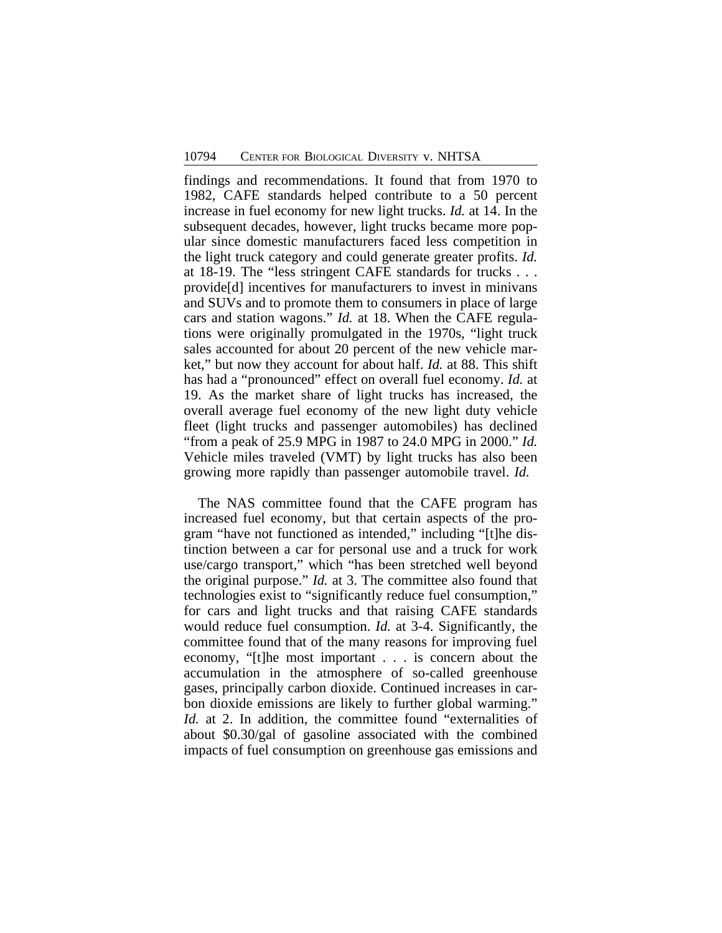findings and recommendations. It found that from 1970 to 1982, CAFE standards helped contribute to a 50 percent increase in fuel economy for new light trucks. *Id.* at 14. In the subsequent decades, however, light trucks became more popular since domestic manufacturers faced less competition in the light truck category and could generate greater profits. *Id.* at 18-19. The "less stringent CAFE standards for trucks . . . provide[d] incentives for manufacturers to invest in minivans and SUVs and to promote them to consumers in place of large cars and station wagons." *Id.* at 18. When the CAFE regulations were originally promulgated in the 1970s, "light truck sales accounted for about 20 percent of the new vehicle market," but now they account for about half. *Id.* at 88. This shift has had a "pronounced" effect on overall fuel economy. *Id.* at 19. As the market share of light trucks has increased, the overall average fuel economy of the new light duty vehicle fleet (light trucks and passenger automobiles) has declined "from a peak of 25.9 MPG in 1987 to 24.0 MPG in 2000." *Id.* Vehicle miles traveled (VMT) by light trucks has also been growing more rapidly than passenger automobile travel. *Id.*

The NAS committee found that the CAFE program has increased fuel economy, but that certain aspects of the program "have not functioned as intended," including "[t]he distinction between a car for personal use and a truck for work use/cargo transport," which "has been stretched well beyond the original purpose." *Id.* at 3. The committee also found that technologies exist to "significantly reduce fuel consumption," for cars and light trucks and that raising CAFE standards would reduce fuel consumption. *Id.* at 3-4. Significantly, the committee found that of the many reasons for improving fuel economy, "[t]he most important . . . is concern about the accumulation in the atmosphere of so-called greenhouse gases, principally carbon dioxide. Continued increases in carbon dioxide emissions are likely to further global warming." *Id.* at 2. In addition, the committee found "externalities of about \$0.30/gal of gasoline associated with the combined impacts of fuel consumption on greenhouse gas emissions and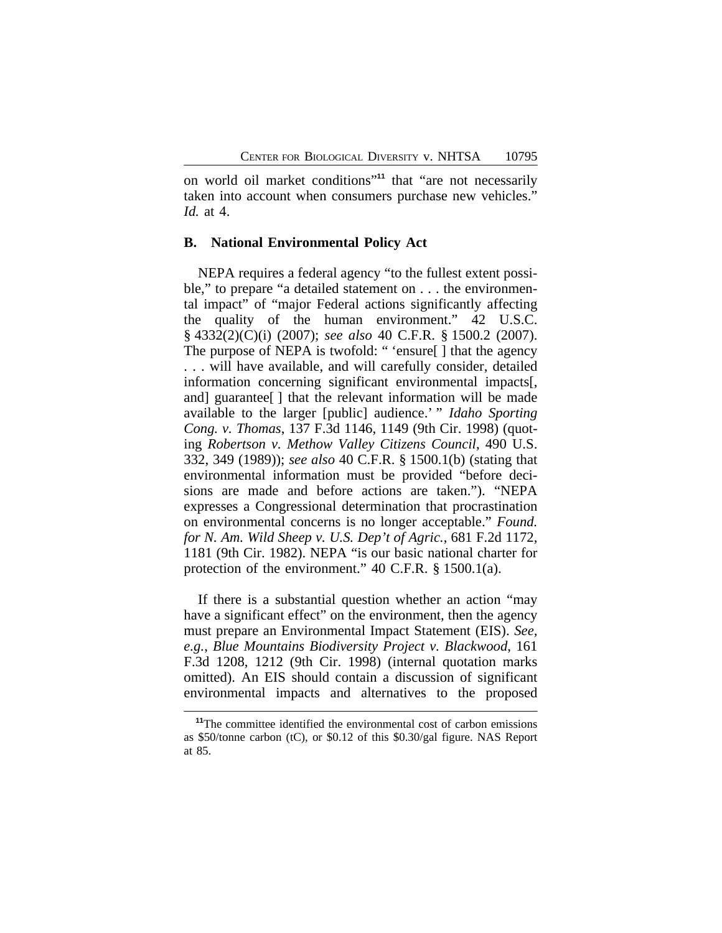on world oil market conditions" **<sup>11</sup>** that "are not necessarily taken into account when consumers purchase new vehicles." *Id.* at 4.

#### **B. National Environmental Policy Act**

NEPA requires a federal agency "to the fullest extent possible," to prepare "a detailed statement on . . . the environmental impact" of "major Federal actions significantly affecting the quality of the human environment." 42 U.S.C. § 4332(2)(C)(i) (2007); *see also* 40 C.F.R. § 1500.2 (2007). The purpose of NEPA is twofold: " 'ensure[ ] that the agency . . . will have available, and will carefully consider, detailed information concerning significant environmental impacts[, and] guarantee[ ] that the relevant information will be made available to the larger [public] audience.' " *Idaho Sporting Cong. v. Thomas*, 137 F.3d 1146, 1149 (9th Cir. 1998) (quoting *Robertson v. Methow Valley Citizens Council*, 490 U.S. 332, 349 (1989)); *see also* 40 C.F.R. § 1500.1(b) (stating that environmental information must be provided "before decisions are made and before actions are taken."). "NEPA expresses a Congressional determination that procrastination on environmental concerns is no longer acceptable." *Found. for N. Am. Wild Sheep v. U.S. Dep't of Agric.*, 681 F.2d 1172, 1181 (9th Cir. 1982). NEPA "is our basic national charter for protection of the environment." 40 C.F.R. § 1500.1(a).

If there is a substantial question whether an action "may have a significant effect" on the environment, then the agency must prepare an Environmental Impact Statement (EIS). *See, e.g.*, *Blue Mountains Biodiversity Project v. Blackwood*, 161 F.3d 1208, 1212 (9th Cir. 1998) (internal quotation marks omitted). An EIS should contain a discussion of significant environmental impacts and alternatives to the proposed

**<sup>11</sup>**The committee identified the environmental cost of carbon emissions as \$50/tonne carbon (tC), or \$0.12 of this \$0.30/gal figure. NAS Report at 85.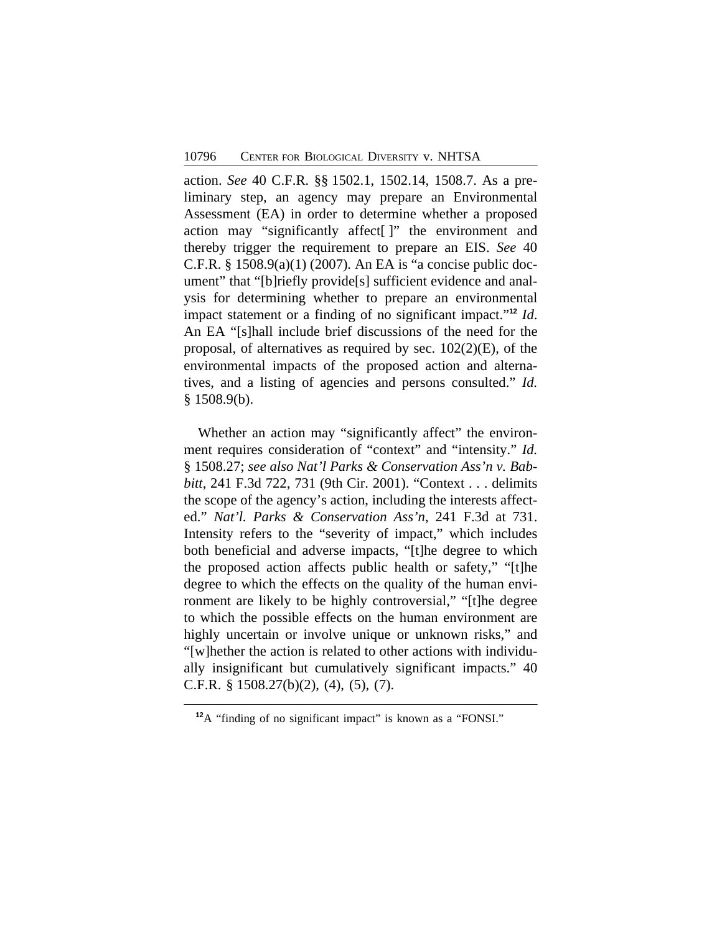action. *See* 40 C.F.R. §§ 1502.1, 1502.14, 1508.7. As a preliminary step, an agency may prepare an Environmental Assessment (EA) in order to determine whether a proposed action may "significantly affect[ ]" the environment and thereby trigger the requirement to prepare an EIS. *See* 40 C.F.R. § 1508.9(a)(1) (2007)*.* An EA is "a concise public document" that "[b]riefly provide[s] sufficient evidence and analysis for determining whether to prepare an environmental impact statement or a finding of no significant impact." **<sup>12</sup>** *Id*. An EA "[s]hall include brief discussions of the need for the proposal, of alternatives as required by sec. 102(2)(E), of the environmental impacts of the proposed action and alternatives, and a listing of agencies and persons consulted." *Id.*  $§$  1508.9(b).

Whether an action may "significantly affect" the environment requires consideration of "context" and "intensity." *Id.* § 1508.27; *see also Nat'l Parks & Conservation Ass'n v. Babbitt*, 241 F.3d 722, 731 (9th Cir. 2001). "Context . . . delimits the scope of the agency's action, including the interests affected." *Nat'l. Parks & Conservation Ass'n*, 241 F.3d at 731. Intensity refers to the "severity of impact," which includes both beneficial and adverse impacts, "[t]he degree to which the proposed action affects public health or safety," "[t]he degree to which the effects on the quality of the human environment are likely to be highly controversial," "[t]he degree to which the possible effects on the human environment are highly uncertain or involve unique or unknown risks," and "[w]hether the action is related to other actions with individually insignificant but cumulatively significant impacts." 40 C.F.R. § 1508.27(b)(2), (4), (5), (7).

<sup>&</sup>lt;sup>12</sup>A "finding of no significant impact" is known as a "FONSI."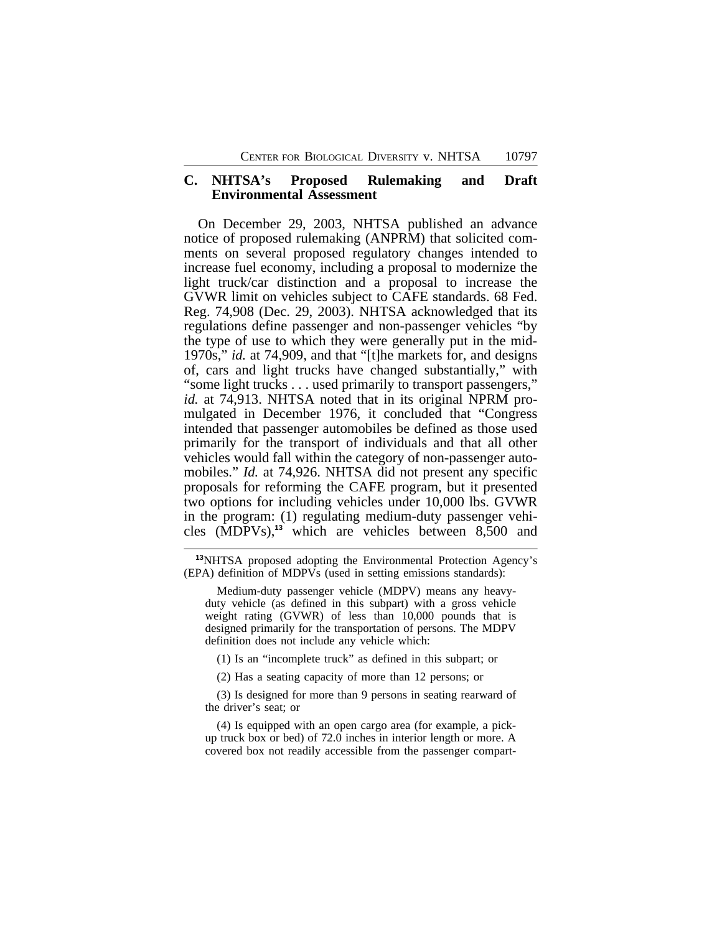## **C. NHTSA's Proposed Rulemaking and Draft Environmental Assessment**

On December 29, 2003, NHTSA published an advance notice of proposed rulemaking (ANPRM) that solicited comments on several proposed regulatory changes intended to increase fuel economy, including a proposal to modernize the light truck/car distinction and a proposal to increase the GVWR limit on vehicles subject to CAFE standards. 68 Fed. Reg. 74,908 (Dec. 29, 2003). NHTSA acknowledged that its regulations define passenger and non-passenger vehicles "by the type of use to which they were generally put in the mid-1970s," *id.* at 74,909, and that "[t]he markets for, and designs of, cars and light trucks have changed substantially," with "some light trucks . . . used primarily to transport passengers," *id.* at 74,913. NHTSA noted that in its original NPRM promulgated in December 1976, it concluded that "Congress intended that passenger automobiles be defined as those used primarily for the transport of individuals and that all other vehicles would fall within the category of non-passenger automobiles." *Id.* at 74,926. NHTSA did not present any specific proposals for reforming the CAFE program, but it presented two options for including vehicles under 10,000 lbs. GVWR in the program: (1) regulating medium-duty passenger vehicles (MDPVs),**<sup>13</sup>** which are vehicles between 8,500 and

**<sup>13</sup>**NHTSA proposed adopting the Environmental Protection Agency's (EPA) definition of MDPVs (used in setting emissions standards):

Medium-duty passenger vehicle (MDPV) means any heavyduty vehicle (as defined in this subpart) with a gross vehicle weight rating (GVWR) of less than 10,000 pounds that is designed primarily for the transportation of persons. The MDPV definition does not include any vehicle which:

(1) Is an "incomplete truck" as defined in this subpart; or

(2) Has a seating capacity of more than 12 persons; or

(3) Is designed for more than 9 persons in seating rearward of the driver's seat; or

(4) Is equipped with an open cargo area (for example, a pickup truck box or bed) of 72.0 inches in interior length or more. A covered box not readily accessible from the passenger compart-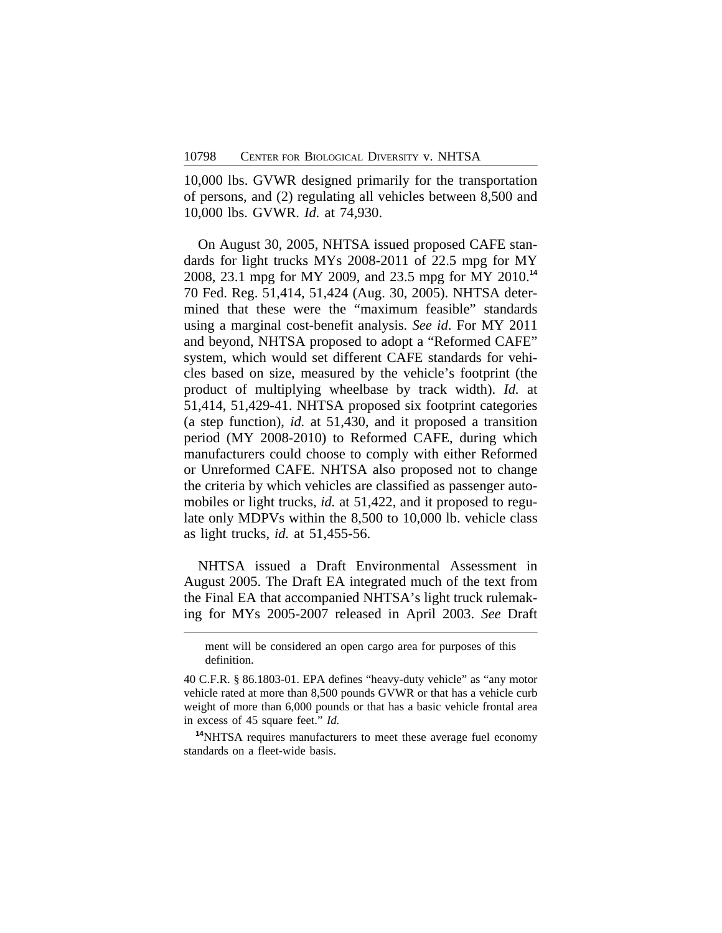10,000 lbs. GVWR designed primarily for the transportation of persons, and (2) regulating all vehicles between 8,500 and 10,000 lbs. GVWR. *Id.* at 74,930.

On August 30, 2005, NHTSA issued proposed CAFE standards for light trucks MYs 2008-2011 of 22.5 mpg for MY 2008, 23.1 mpg for MY 2009, and 23.5 mpg for MY 2010.**<sup>14</sup>** 70 Fed. Reg. 51,414, 51,424 (Aug. 30, 2005). NHTSA determined that these were the "maximum feasible" standards using a marginal cost-benefit analysis. *See id*. For MY 2011 and beyond, NHTSA proposed to adopt a "Reformed CAFE" system, which would set different CAFE standards for vehicles based on size, measured by the vehicle's footprint (the product of multiplying wheelbase by track width). *Id.* at 51,414, 51,429-41. NHTSA proposed six footprint categories (a step function), *id.* at 51,430, and it proposed a transition period (MY 2008-2010) to Reformed CAFE, during which manufacturers could choose to comply with either Reformed or Unreformed CAFE. NHTSA also proposed not to change the criteria by which vehicles are classified as passenger automobiles or light trucks, *id.* at 51,422, and it proposed to regulate only MDPVs within the 8,500 to 10,000 lb. vehicle class as light trucks, *id.* at 51,455-56.

NHTSA issued a Draft Environmental Assessment in August 2005. The Draft EA integrated much of the text from the Final EA that accompanied NHTSA's light truck rulemaking for MYs 2005-2007 released in April 2003. *See* Draft

**<sup>14</sup>**NHTSA requires manufacturers to meet these average fuel economy standards on a fleet-wide basis.

ment will be considered an open cargo area for purposes of this definition.

<sup>40</sup> C.F.R. § 86.1803-01. EPA defines "heavy-duty vehicle" as "any motor vehicle rated at more than 8,500 pounds GVWR or that has a vehicle curb weight of more than 6,000 pounds or that has a basic vehicle frontal area in excess of 45 square feet." *Id.*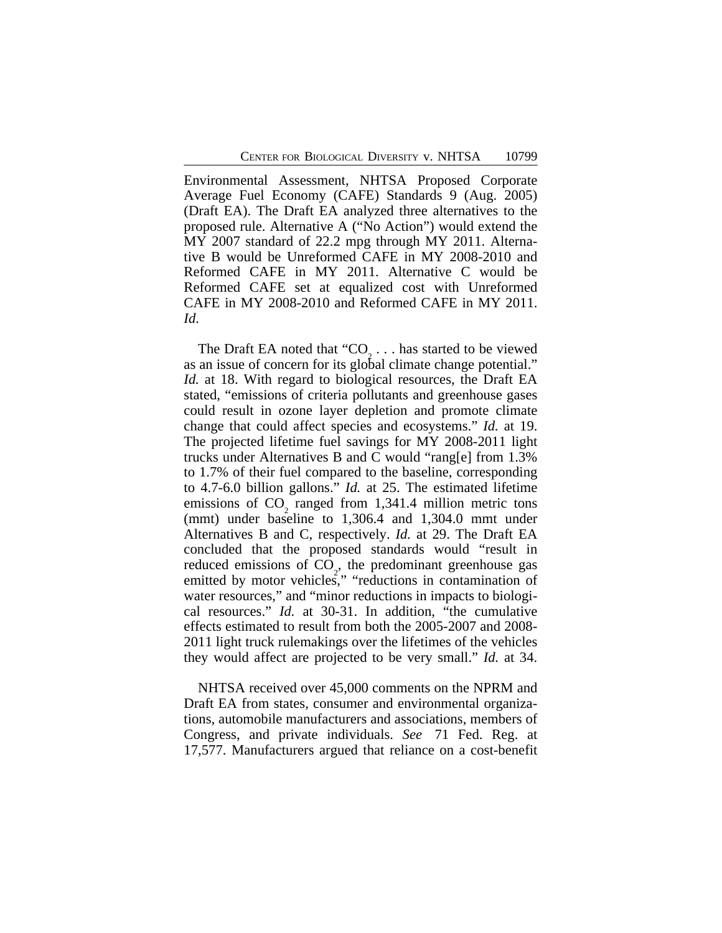Environmental Assessment, NHTSA Proposed Corporate Average Fuel Economy (CAFE) Standards 9 (Aug. 2005) (Draft EA). The Draft EA analyzed three alternatives to the proposed rule. Alternative A ("No Action") would extend the MY 2007 standard of 22.2 mpg through MY 2011. Alternative B would be Unreformed CAFE in MY 2008-2010 and Reformed CAFE in MY 2011. Alternative C would be Reformed CAFE set at equalized cost with Unreformed CAFE in MY 2008-2010 and Reformed CAFE in MY 2011. *Id*.

The Draft EA noted that " $CO_2$ ... has started to be viewed as an issue of concern for its global climate change potential." *Id.* at 18. With regard to biological resources, the Draft EA stated, "emissions of criteria pollutants and greenhouse gases could result in ozone layer depletion and promote climate change that could affect species and ecosystems." *Id.* at 19. The projected lifetime fuel savings for MY 2008-2011 light trucks under Alternatives B and C would "rang[e] from 1.3% to 1.7% of their fuel compared to the baseline, corresponding to 4.7-6.0 billion gallons." *Id.* at 25. The estimated lifetime emissions of  $CO_2$  ranged from 1,341.4 million metric tons (mmt) under baseline to 1,306.4 and 1,304.0 mmt under Alternatives B and C, respectively. *Id.* at 29. The Draft EA concluded that the proposed standards would "result in reduced emissions of CO , the predominant greenhouse gas emitted by motor vehicles," "reductions in contamination of water resources," and "minor reductions in impacts to biological resources." *Id.* at 30-31. In addition, "the cumulative effects estimated to result from both the 2005-2007 and 2008- 2011 light truck rulemakings over the lifetimes of the vehicles they would affect are projected to be very small." *Id.* at 34.

NHTSA received over 45,000 comments on the NPRM and Draft EA from states, consumer and environmental organizations, automobile manufacturers and associations, members of Congress, and private individuals. *See* 71 Fed. Reg. at 17,577. Manufacturers argued that reliance on a cost-benefit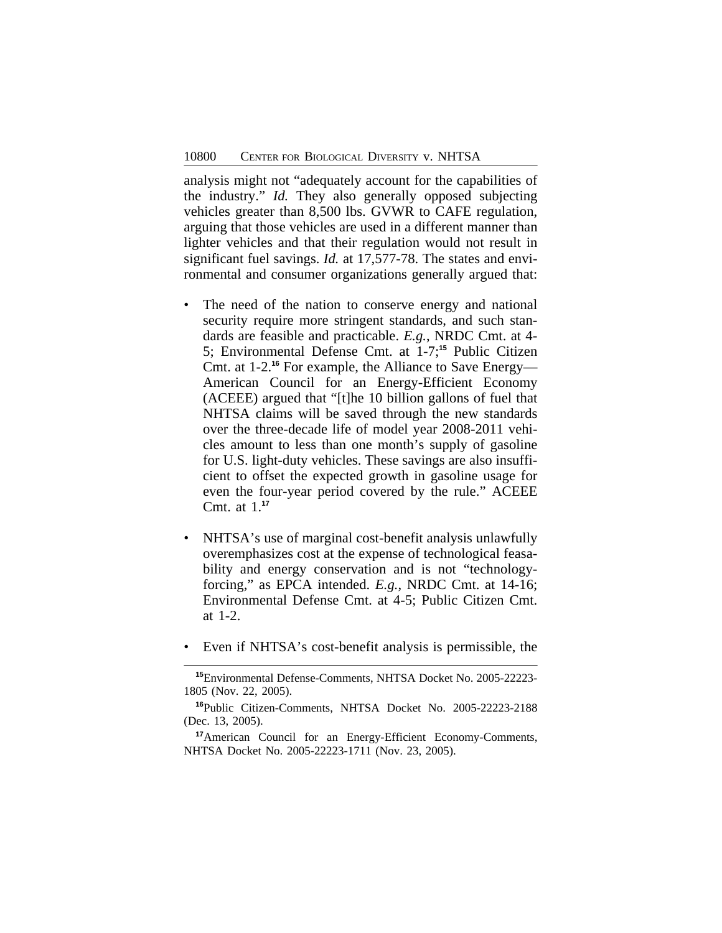analysis might not "adequately account for the capabilities of the industry." *Id.* They also generally opposed subjecting vehicles greater than 8,500 lbs. GVWR to CAFE regulation, arguing that those vehicles are used in a different manner than lighter vehicles and that their regulation would not result in significant fuel savings. *Id.* at 17,577-78. The states and environmental and consumer organizations generally argued that:

- The need of the nation to conserve energy and national security require more stringent standards, and such standards are feasible and practicable. *E.g.*, NRDC Cmt. at 4- 5; Environmental Defense Cmt. at 1-7;**<sup>15</sup>** Public Citizen Cmt. at 1-2.**<sup>16</sup>** For example, the Alliance to Save Energy— American Council for an Energy-Efficient Economy (ACEEE) argued that "[t]he 10 billion gallons of fuel that NHTSA claims will be saved through the new standards over the three-decade life of model year 2008-2011 vehicles amount to less than one month's supply of gasoline for U.S. light-duty vehicles. These savings are also insufficient to offset the expected growth in gasoline usage for even the four-year period covered by the rule." ACEEE Cmt. at 1.**<sup>17</sup>**
- NHTSA's use of marginal cost-benefit analysis unlawfully overemphasizes cost at the expense of technological feasability and energy conservation and is not "technologyforcing," as EPCA intended. *E.g.*, NRDC Cmt. at 14-16; Environmental Defense Cmt. at 4-5; Public Citizen Cmt. at 1-2.
- Even if NHTSA's cost-benefit analysis is permissible, the

**<sup>15</sup>**Environmental Defense-Comments, NHTSA Docket No. 2005-22223- 1805 (Nov. 22, 2005).

**<sup>16</sup>**Public Citizen-Comments, NHTSA Docket No. 2005-22223-2188 (Dec. 13, 2005).

**<sup>17</sup>**American Council for an Energy-Efficient Economy-Comments, NHTSA Docket No. 2005-22223-1711 (Nov. 23, 2005).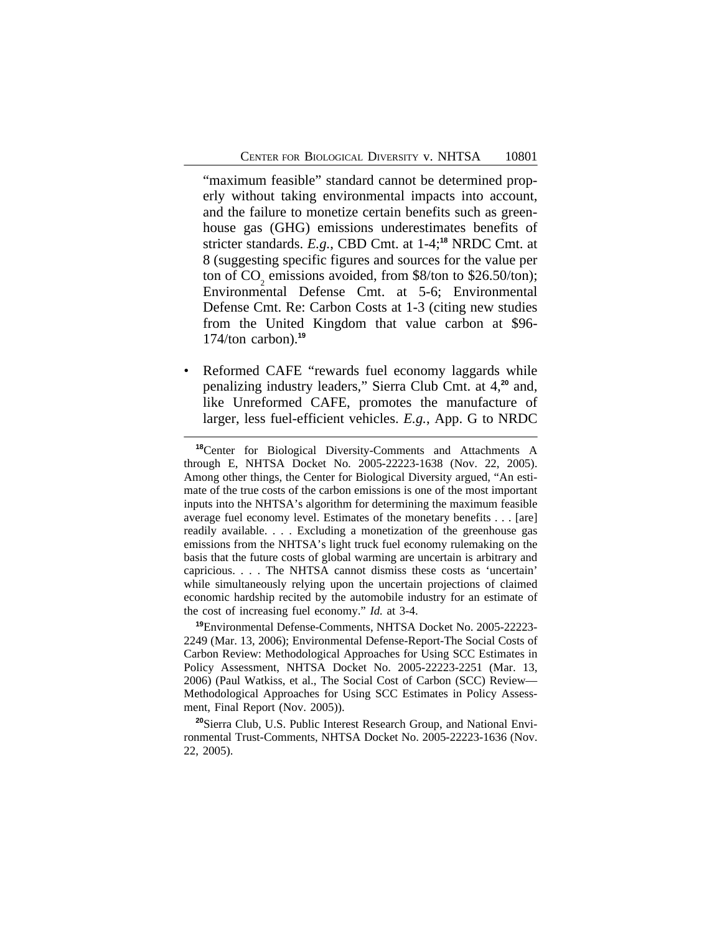"maximum feasible" standard cannot be determined properly without taking environmental impacts into account, and the failure to monetize certain benefits such as greenhouse gas (GHG) emissions underestimates benefits of stricter standards. *E.g.*, CBD Cmt. at 1-4;**<sup>18</sup>** NRDC Cmt. at 8 (suggesting specific figures and sources for the value per ton of CO emissions avoided, from \$8/ton to \$26.50/ton); Environmental Defense Cmt. at  $5-6$ ; Environmental Defense Cmt. Re: Carbon Costs at 1-3 (citing new studies from the United Kingdom that value carbon at \$96- 174/ton carbon).**<sup>19</sup>**

Reformed CAFE "rewards fuel economy laggards while penalizing industry leaders," Sierra Club Cmt. at 4,**<sup>20</sup>** and, like Unreformed CAFE, promotes the manufacture of larger, less fuel-efficient vehicles. *E.g.*, App. G to NRDC

**<sup>19</sup>**Environmental Defense-Comments, NHTSA Docket No. 2005-22223- 2249 (Mar. 13, 2006); Environmental Defense-Report-The Social Costs of Carbon Review: Methodological Approaches for Using SCC Estimates in Policy Assessment, NHTSA Docket No. 2005-22223-2251 (Mar. 13, 2006) (Paul Watkiss, et al., The Social Cost of Carbon (SCC) Review— Methodological Approaches for Using SCC Estimates in Policy Assessment, Final Report (Nov. 2005)).

**<sup>20</sup>**Sierra Club, U.S. Public Interest Research Group, and National Environmental Trust-Comments, NHTSA Docket No. 2005-22223-1636 (Nov. 22, 2005).

**<sup>18</sup>**Center for Biological Diversity-Comments and Attachments A through E, NHTSA Docket No. 2005-22223-1638 (Nov. 22, 2005). Among other things, the Center for Biological Diversity argued, "An estimate of the true costs of the carbon emissions is one of the most important inputs into the NHTSA's algorithm for determining the maximum feasible average fuel economy level. Estimates of the monetary benefits . . . [are] readily available. . . . Excluding a monetization of the greenhouse gas emissions from the NHTSA's light truck fuel economy rulemaking on the basis that the future costs of global warming are uncertain is arbitrary and capricious. . . . The NHTSA cannot dismiss these costs as 'uncertain' while simultaneously relying upon the uncertain projections of claimed economic hardship recited by the automobile industry for an estimate of the cost of increasing fuel economy." *Id.* at 3-4.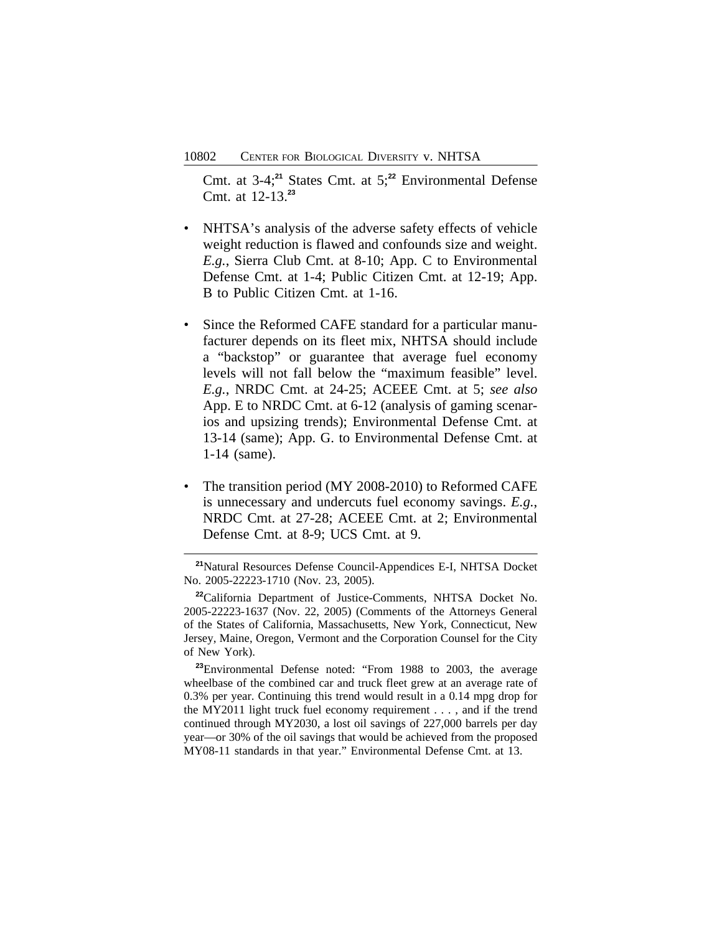Cmt. at 3-4;**<sup>21</sup>** States Cmt. at 5;**<sup>22</sup>** Environmental Defense Cmt. at 12-13.**<sup>23</sup>**

- NHTSA's analysis of the adverse safety effects of vehicle weight reduction is flawed and confounds size and weight. *E.g.*, Sierra Club Cmt. at 8-10; App. C to Environmental Defense Cmt. at 1-4; Public Citizen Cmt. at 12-19; App. B to Public Citizen Cmt. at 1-16.
- Since the Reformed CAFE standard for a particular manufacturer depends on its fleet mix, NHTSA should include a "backstop" or guarantee that average fuel economy levels will not fall below the "maximum feasible" level. *E.g.*, NRDC Cmt. at 24-25; ACEEE Cmt. at 5; *see also* App. E to NRDC Cmt. at 6-12 (analysis of gaming scenarios and upsizing trends); Environmental Defense Cmt. at 13-14 (same); App. G. to Environmental Defense Cmt. at 1-14 (same).
- The transition period (MY 2008-2010) to Reformed CAFE is unnecessary and undercuts fuel economy savings. *E.g.*, NRDC Cmt. at 27-28; ACEEE Cmt. at 2; Environmental Defense Cmt. at 8-9; UCS Cmt. at 9.

**<sup>23</sup>**Environmental Defense noted: "From 1988 to 2003, the average wheelbase of the combined car and truck fleet grew at an average rate of 0.3% per year. Continuing this trend would result in a 0.14 mpg drop for the MY2011 light truck fuel economy requirement . . . , and if the trend continued through MY2030, a lost oil savings of 227,000 barrels per day year—or 30% of the oil savings that would be achieved from the proposed MY08-11 standards in that year." Environmental Defense Cmt. at 13.

**<sup>21</sup>**Natural Resources Defense Council-Appendices E-I, NHTSA Docket No. 2005-22223-1710 (Nov. 23, 2005).

**<sup>22</sup>**California Department of Justice-Comments, NHTSA Docket No. 2005-22223-1637 (Nov. 22, 2005) (Comments of the Attorneys General of the States of California, Massachusetts, New York, Connecticut, New Jersey, Maine, Oregon, Vermont and the Corporation Counsel for the City of New York).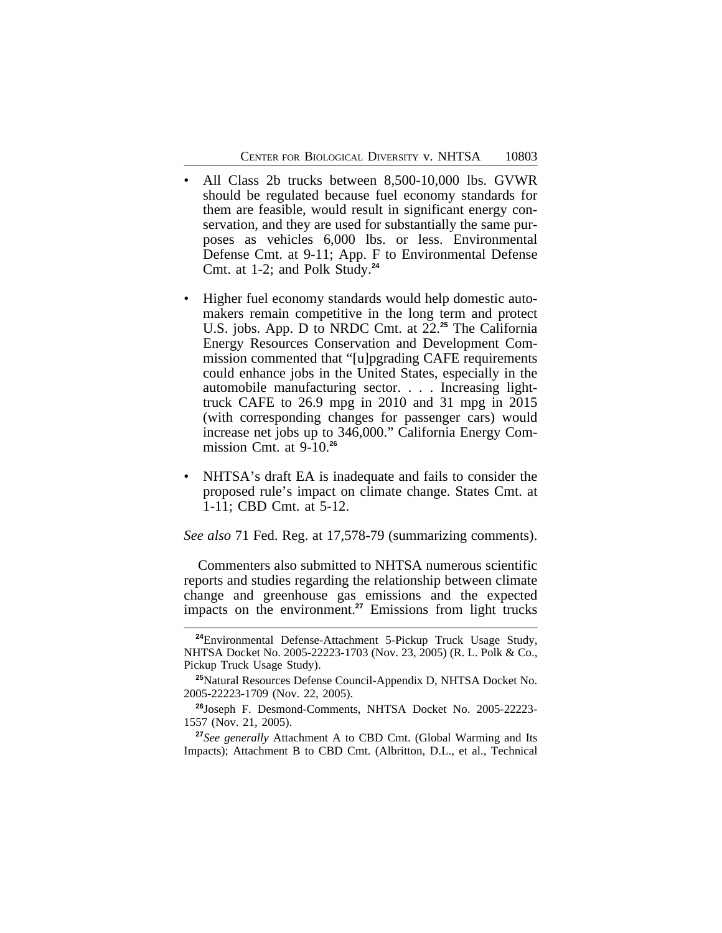- All Class 2b trucks between 8,500-10,000 lbs. GVWR should be regulated because fuel economy standards for them are feasible, would result in significant energy conservation, and they are used for substantially the same purposes as vehicles 6,000 lbs. or less. Environmental Defense Cmt. at 9-11; App. F to Environmental Defense Cmt. at 1-2; and Polk Study.**<sup>24</sup>**
- Higher fuel economy standards would help domestic automakers remain competitive in the long term and protect U.S. jobs. App. D to NRDC Cmt. at 22.**<sup>25</sup>** The California Energy Resources Conservation and Development Commission commented that "[u]pgrading CAFE requirements could enhance jobs in the United States, especially in the automobile manufacturing sector. . . . Increasing lighttruck CAFE to 26.9 mpg in 2010 and 31 mpg in 2015 (with corresponding changes for passenger cars) would increase net jobs up to 346,000." California Energy Commission Cmt. at 9-10.**<sup>26</sup>**
- NHTSA's draft EA is inadequate and fails to consider the proposed rule's impact on climate change. States Cmt. at 1-11; CBD Cmt. at 5-12.

*See also* 71 Fed. Reg. at 17,578-79 (summarizing comments).

Commenters also submitted to NHTSA numerous scientific reports and studies regarding the relationship between climate change and greenhouse gas emissions and the expected impacts on the environment.**<sup>27</sup>** Emissions from light trucks

**<sup>24</sup>**Environmental Defense-Attachment 5-Pickup Truck Usage Study, NHTSA Docket No. 2005-22223-1703 (Nov. 23, 2005) (R. L. Polk & Co., Pickup Truck Usage Study).

**<sup>25</sup>**Natural Resources Defense Council-Appendix D, NHTSA Docket No. 2005-22223-1709 (Nov. 22, 2005).

**<sup>26</sup>**Joseph F. Desmond-Comments, NHTSA Docket No. 2005-22223- 1557 (Nov. 21, 2005).

**<sup>27</sup>***See generally* Attachment A to CBD Cmt. (Global Warming and Its Impacts); Attachment B to CBD Cmt. (Albritton, D.L., et al., Technical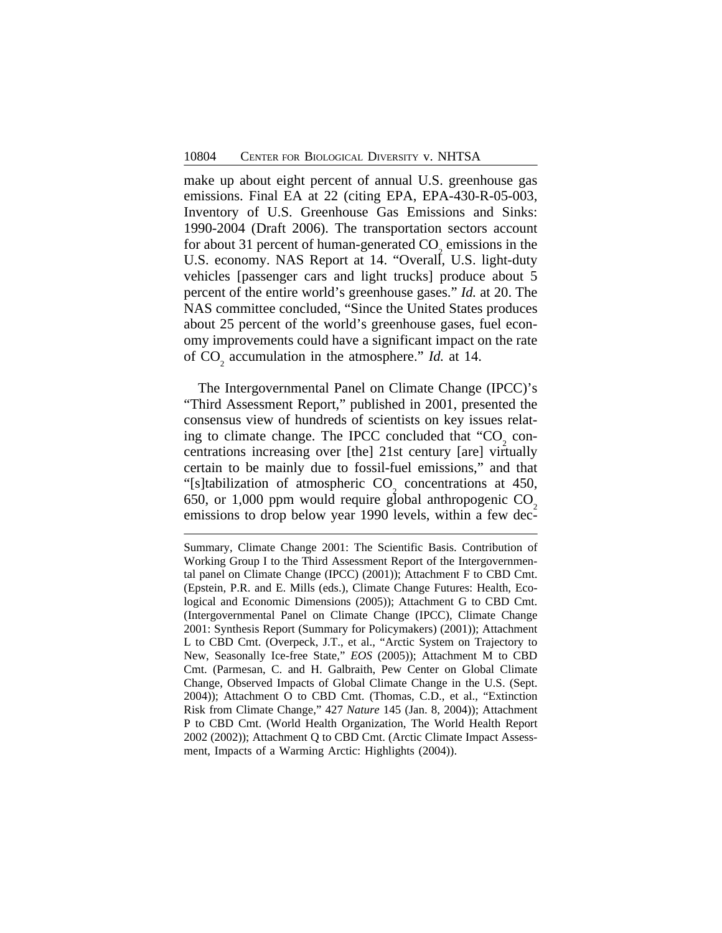make up about eight percent of annual U.S. greenhouse gas emissions. Final EA at 22 (citing EPA, EPA-430-R-05-003, Inventory of U.S. Greenhouse Gas Emissions and Sinks: 1990-2004 (Draft 2006). The transportation sectors account for about 31 percent of human-generated  $CO<sub>2</sub>$  emissions in the U.S. economy. NAS Report at 14. "Overall, U.S. light-duty vehicles [passenger cars and light trucks] produce about 5 percent of the entire world's greenhouse gases." *Id.* at 20. The NAS committee concluded, "Since the United States produces about 25 percent of the world's greenhouse gases, fuel economy improvements could have a significant impact on the rate of CO 2 accumulation in the atmosphere." *Id.* at 14.

The Intergovernmental Panel on Climate Change (IPCC)'s "Third Assessment Report," published in 2001, presented the consensus view of hundreds of scientists on key issues relating to climate change. The IPCC concluded that  $"CO<sub>2</sub>$  concentrations increasing over [the] 21st century [are] virtually certain to be mainly due to fossil-fuel emissions," and that "[s]tabilization of atmospheric  $CO<sub>2</sub>$  concentrations at 450, 650, or 1,000 ppm would require global anthropogenic  $CO<sub>2</sub>$ emissions to drop below year 1990 levels, within a few dec-

Summary, Climate Change 2001: The Scientific Basis. Contribution of Working Group I to the Third Assessment Report of the Intergovernmental panel on Climate Change (IPCC) (2001)); Attachment F to CBD Cmt. (Epstein, P.R. and E. Mills (eds.), Climate Change Futures: Health, Ecological and Economic Dimensions (2005)); Attachment G to CBD Cmt. (Intergovernmental Panel on Climate Change (IPCC), Climate Change 2001: Synthesis Report (Summary for Policymakers) (2001)); Attachment L to CBD Cmt. (Overpeck, J.T., et al., "Arctic System on Trajectory to New, Seasonally Ice-free State," *EOS* (2005)); Attachment M to CBD Cmt. (Parmesan, C. and H. Galbraith, Pew Center on Global Climate Change, Observed Impacts of Global Climate Change in the U.S. (Sept. 2004)); Attachment O to CBD Cmt. (Thomas, C.D., et al., "Extinction Risk from Climate Change," 427 *Nature* 145 (Jan. 8, 2004)); Attachment P to CBD Cmt. (World Health Organization, The World Health Report 2002 (2002)); Attachment Q to CBD Cmt. (Arctic Climate Impact Assessment, Impacts of a Warming Arctic: Highlights (2004)).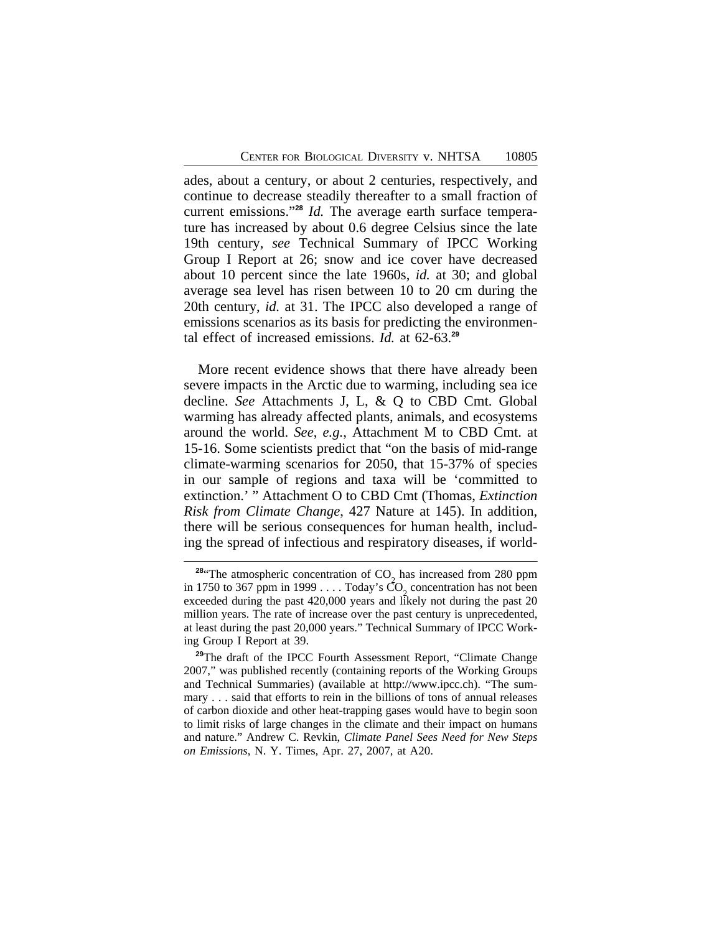ades, about a century, or about 2 centuries, respectively, and continue to decrease steadily thereafter to a small fraction of current emissions." **<sup>28</sup>** *Id.* The average earth surface temperature has increased by about 0.6 degree Celsius since the late 19th century, *see* Technical Summary of IPCC Working Group I Report at 26; snow and ice cover have decreased about 10 percent since the late 1960s, *id.* at 30; and global average sea level has risen between 10 to 20 cm during the 20th century, *id.* at 31. The IPCC also developed a range of emissions scenarios as its basis for predicting the environmental effect of increased emissions. *Id.* at 62-63.**<sup>29</sup>**

More recent evidence shows that there have already been severe impacts in the Arctic due to warming, including sea ice decline. *See* Attachments J, L, & Q to CBD Cmt. Global warming has already affected plants, animals, and ecosystems around the world. *See*, *e.g.*, Attachment M to CBD Cmt. at 15-16. Some scientists predict that "on the basis of mid-range climate-warming scenarios for 2050, that 15-37% of species in our sample of regions and taxa will be 'committed to extinction.' " Attachment O to CBD Cmt (Thomas, *Extinction Risk from Climate Change*, 427 Nature at 145). In addition, there will be serious consequences for human health, including the spread of infectious and respiratory diseases, if world-

<sup>&</sup>lt;sup>28</sup> The atmospheric concentration of  $CO<sub>2</sub>$  has increased from 280 ppm in 1750 to 367 ppm in 1999  $\dots$  Today's  $\overline{CO}_2$  concentration has not been exceeded during the past 420,000 years and likely not during the past 20 million years. The rate of increase over the past century is unprecedented, at least during the past 20,000 years." Technical Summary of IPCC Working Group I Report at 39.

**<sup>29</sup>**The draft of the IPCC Fourth Assessment Report, "Climate Change 2007," was published recently (containing reports of the Working Groups and Technical Summaries) (available at http://www.ipcc.ch). "The summary . . . said that efforts to rein in the billions of tons of annual releases of carbon dioxide and other heat-trapping gases would have to begin soon to limit risks of large changes in the climate and their impact on humans and nature." Andrew C. Revkin, *Climate Panel Sees Need for New Steps on Emissions*, N. Y. Times, Apr. 27, 2007, at A20.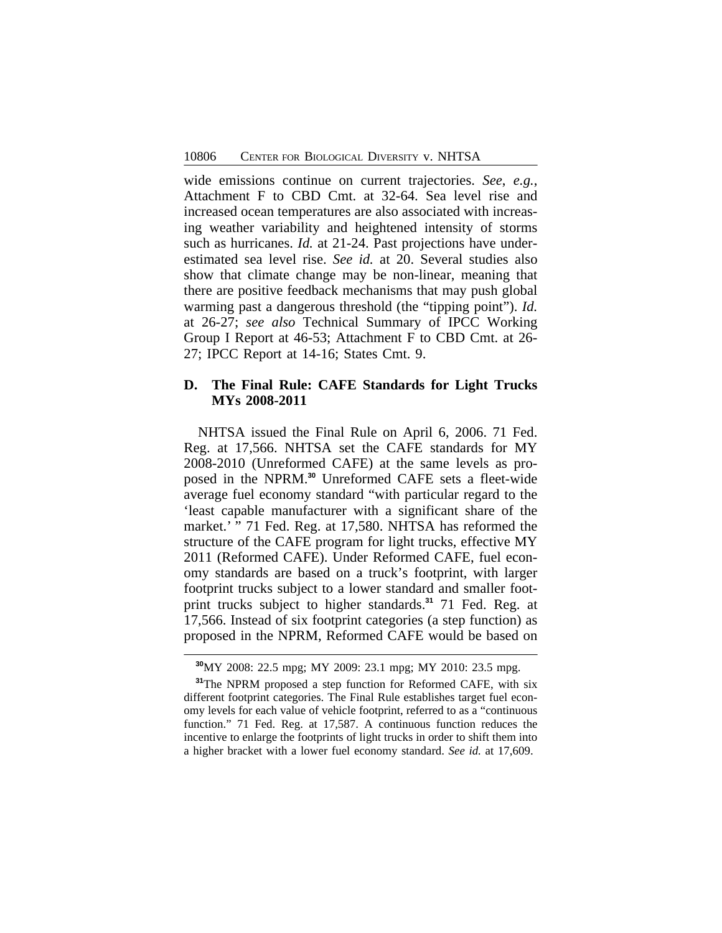wide emissions continue on current trajectories. *See*, *e.g.*, Attachment F to CBD Cmt. at 32-64. Sea level rise and increased ocean temperatures are also associated with increasing weather variability and heightened intensity of storms such as hurricanes. *Id.* at 21-24. Past projections have underestimated sea level rise. *See id.* at 20. Several studies also show that climate change may be non-linear, meaning that there are positive feedback mechanisms that may push global warming past a dangerous threshold (the "tipping point"). *Id.* at 26-27; *see also* Technical Summary of IPCC Working Group I Report at 46-53; Attachment F to CBD Cmt. at 26- 27; IPCC Report at 14-16; States Cmt. 9.

## **D. The Final Rule: CAFE Standards for Light Trucks MYs 2008-2011**

NHTSA issued the Final Rule on April 6, 2006. 71 Fed. Reg. at 17,566. NHTSA set the CAFE standards for MY 2008-2010 (Unreformed CAFE) at the same levels as proposed in the NPRM.**<sup>30</sup>** Unreformed CAFE sets a fleet-wide average fuel economy standard "with particular regard to the 'least capable manufacturer with a significant share of the market.' " 71 Fed. Reg. at 17,580. NHTSA has reformed the structure of the CAFE program for light trucks, effective MY 2011 (Reformed CAFE). Under Reformed CAFE, fuel economy standards are based on a truck's footprint, with larger footprint trucks subject to a lower standard and smaller footprint trucks subject to higher standards.**<sup>31</sup>** 71 Fed. Reg. at 17,566. Instead of six footprint categories (a step function) as proposed in the NPRM, Reformed CAFE would be based on

**<sup>30</sup>**MY 2008: 22.5 mpg; MY 2009: 23.1 mpg; MY 2010: 23.5 mpg.

**<sup>31</sup>**The NPRM proposed a step function for Reformed CAFE, with six different footprint categories. The Final Rule establishes target fuel economy levels for each value of vehicle footprint, referred to as a "continuous function." 71 Fed. Reg. at 17,587. A continuous function reduces the incentive to enlarge the footprints of light trucks in order to shift them into a higher bracket with a lower fuel economy standard. *See id.* at 17,609.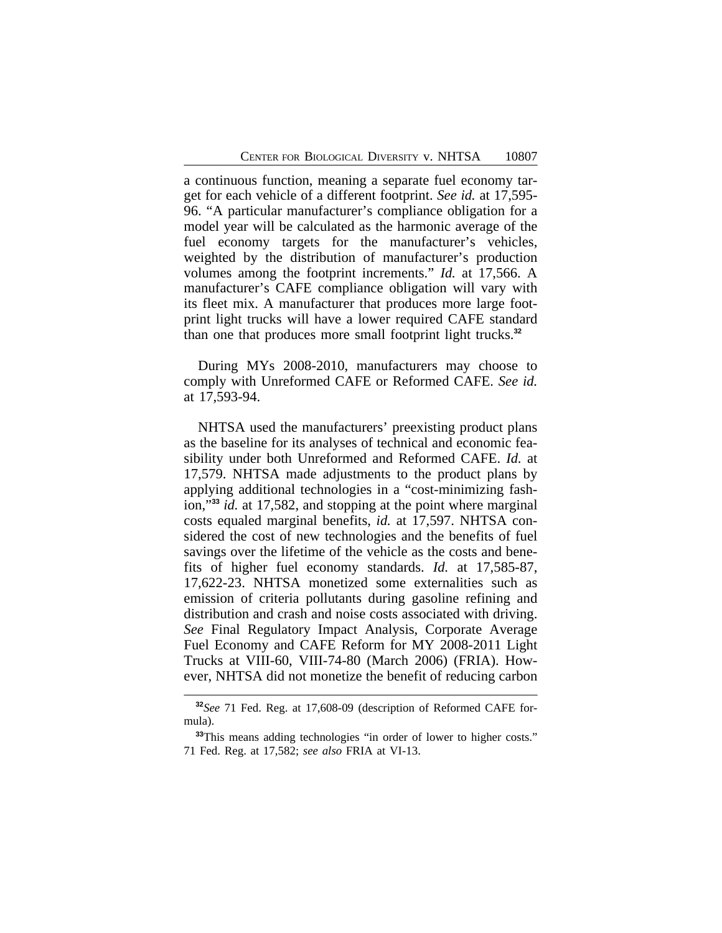a continuous function, meaning a separate fuel economy target for each vehicle of a different footprint. *See id.* at 17,595- 96. "A particular manufacturer's compliance obligation for a model year will be calculated as the harmonic average of the fuel economy targets for the manufacturer's vehicles, weighted by the distribution of manufacturer's production volumes among the footprint increments." *Id.* at 17,566. A manufacturer's CAFE compliance obligation will vary with its fleet mix. A manufacturer that produces more large footprint light trucks will have a lower required CAFE standard than one that produces more small footprint light trucks.**<sup>32</sup>**

During MYs 2008-2010, manufacturers may choose to comply with Unreformed CAFE or Reformed CAFE. *See id.* at 17,593-94.

NHTSA used the manufacturers' preexisting product plans as the baseline for its analyses of technical and economic feasibility under both Unreformed and Reformed CAFE. *Id.* at 17,579. NHTSA made adjustments to the product plans by applying additional technologies in a "cost-minimizing fashion,"**<sup>33</sup>** *id.* at 17,582, and stopping at the point where marginal costs equaled marginal benefits, *id.* at 17,597. NHTSA considered the cost of new technologies and the benefits of fuel savings over the lifetime of the vehicle as the costs and benefits of higher fuel economy standards. *Id.* at 17,585-87, 17,622-23. NHTSA monetized some externalities such as emission of criteria pollutants during gasoline refining and distribution and crash and noise costs associated with driving. *See* Final Regulatory Impact Analysis, Corporate Average Fuel Economy and CAFE Reform for MY 2008-2011 Light Trucks at VIII-60, VIII-74-80 (March 2006) (FRIA). However, NHTSA did not monetize the benefit of reducing carbon

**<sup>32</sup>***See* 71 Fed. Reg. at 17,608-09 (description of Reformed CAFE formula).

<sup>&</sup>lt;sup>33</sup>This means adding technologies "in order of lower to higher costs." 71 Fed. Reg. at 17,582; *see also* FRIA at VI-13.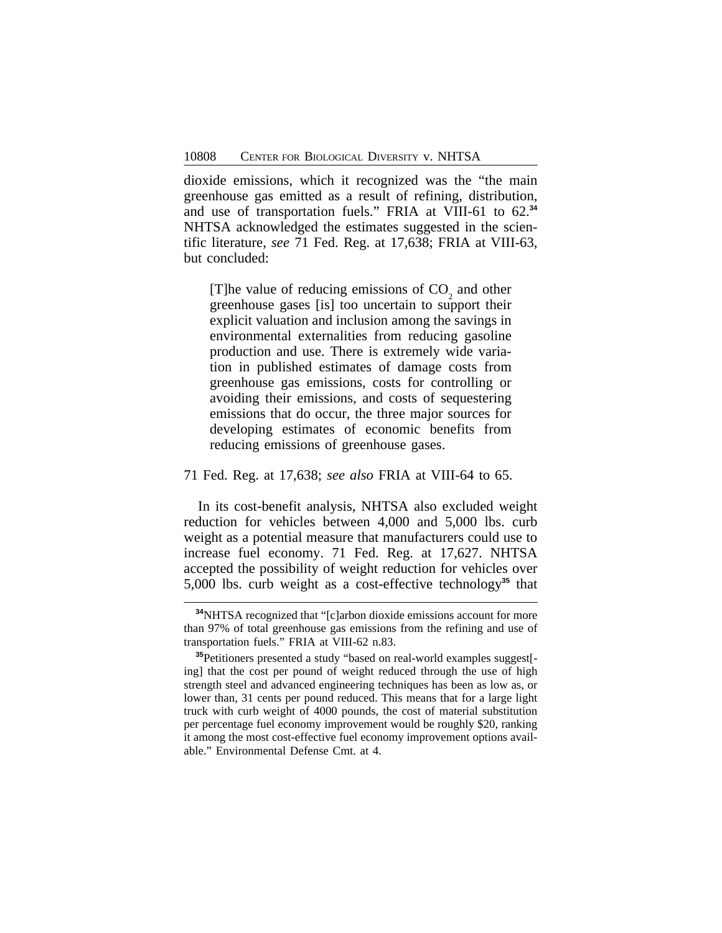dioxide emissions, which it recognized was the "the main greenhouse gas emitted as a result of refining, distribution, and use of transportation fuels." FRIA at VIII-61 to 62.**<sup>34</sup>** NHTSA acknowledged the estimates suggested in the scientific literature, *see* 71 Fed. Reg. at 17,638; FRIA at VIII-63, but concluded:

[T]he value of reducing emissions of  $CO<sub>2</sub>$  and other greenhouse gases [is] too uncertain to support their explicit valuation and inclusion among the savings in environmental externalities from reducing gasoline production and use. There is extremely wide variation in published estimates of damage costs from greenhouse gas emissions, costs for controlling or avoiding their emissions, and costs of sequestering emissions that do occur, the three major sources for developing estimates of economic benefits from reducing emissions of greenhouse gases.

#### 71 Fed. Reg. at 17,638; *see also* FRIA at VIII-64 to 65.

In its cost-benefit analysis, NHTSA also excluded weight reduction for vehicles between 4,000 and 5,000 lbs. curb weight as a potential measure that manufacturers could use to increase fuel economy. 71 Fed. Reg. at 17,627. NHTSA accepted the possibility of weight reduction for vehicles over 5,000 lbs. curb weight as a cost-effective technology**<sup>35</sup>** that

**<sup>34</sup>**NHTSA recognized that "[c]arbon dioxide emissions account for more than 97% of total greenhouse gas emissions from the refining and use of transportation fuels." FRIA at VIII-62 n.83.

**<sup>35</sup>**Petitioners presented a study "based on real-world examples suggest[ ing] that the cost per pound of weight reduced through the use of high strength steel and advanced engineering techniques has been as low as, or lower than, 31 cents per pound reduced. This means that for a large light truck with curb weight of 4000 pounds, the cost of material substitution per percentage fuel economy improvement would be roughly \$20, ranking it among the most cost-effective fuel economy improvement options available." Environmental Defense Cmt. at 4.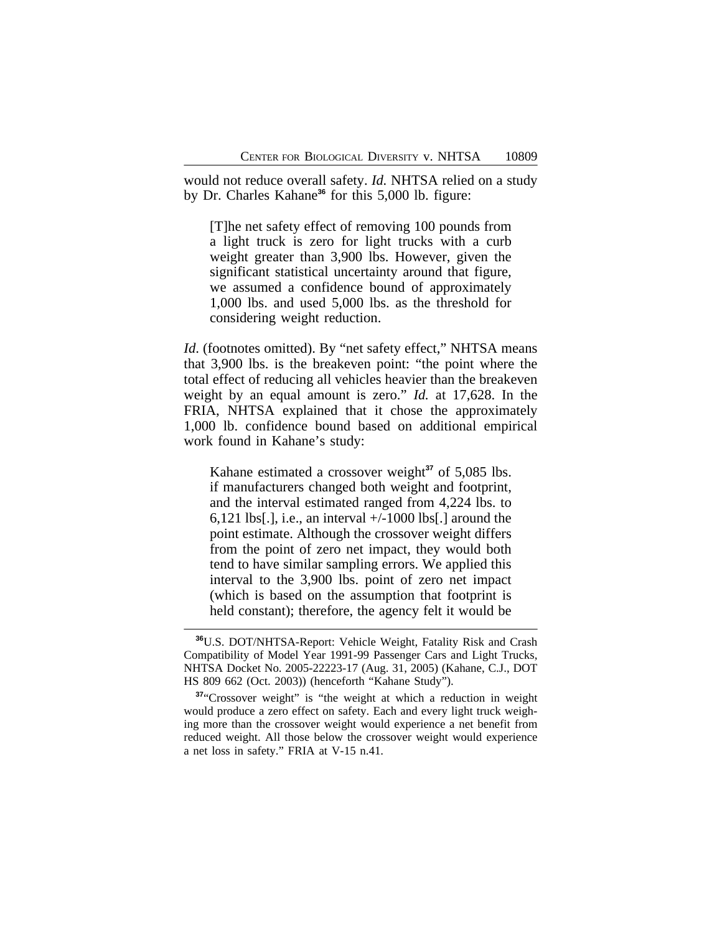would not reduce overall safety. *Id.* NHTSA relied on a study by Dr. Charles Kahane<sup>36</sup> for this 5,000 lb. figure:

[T]he net safety effect of removing 100 pounds from a light truck is zero for light trucks with a curb weight greater than 3,900 lbs. However, given the significant statistical uncertainty around that figure, we assumed a confidence bound of approximately 1,000 lbs. and used 5,000 lbs. as the threshold for considering weight reduction.

*Id.* (footnotes omitted). By "net safety effect," NHTSA means that 3,900 lbs. is the breakeven point: "the point where the total effect of reducing all vehicles heavier than the breakeven weight by an equal amount is zero." *Id.* at 17,628. In the FRIA, NHTSA explained that it chose the approximately 1,000 lb. confidence bound based on additional empirical work found in Kahane's study:

Kahane estimated a crossover weight<sup>37</sup> of 5,085 lbs. if manufacturers changed both weight and footprint, and the interval estimated ranged from 4,224 lbs. to 6,121 lbs[.], i.e., an interval  $+/-1000$  lbs[.] around the point estimate. Although the crossover weight differs from the point of zero net impact, they would both tend to have similar sampling errors. We applied this interval to the 3,900 lbs. point of zero net impact (which is based on the assumption that footprint is held constant); therefore, the agency felt it would be

**<sup>36</sup>**U.S. DOT/NHTSA-Report: Vehicle Weight, Fatality Risk and Crash Compatibility of Model Year 1991-99 Passenger Cars and Light Trucks, NHTSA Docket No. 2005-22223-17 (Aug. 31, 2005) (Kahane, C.J., DOT HS 809 662 (Oct. 2003)) (henceforth "Kahane Study").

**<sup>37</sup>**"Crossover weight" is "the weight at which a reduction in weight would produce a zero effect on safety. Each and every light truck weighing more than the crossover weight would experience a net benefit from reduced weight. All those below the crossover weight would experience a net loss in safety." FRIA at V-15 n.41.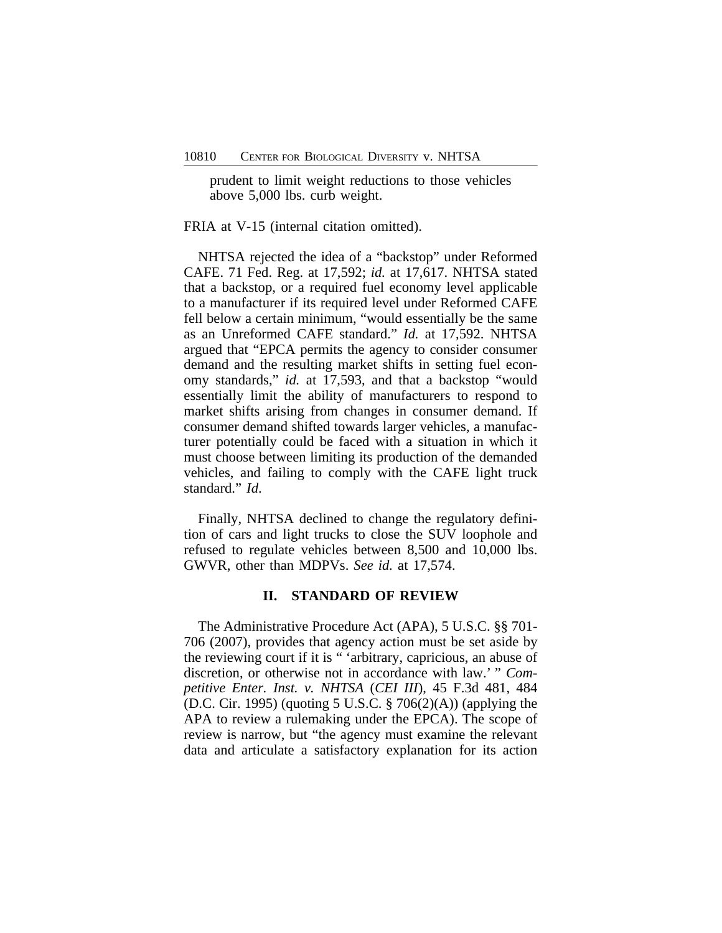prudent to limit weight reductions to those vehicles above 5,000 lbs. curb weight.

FRIA at V-15 (internal citation omitted).

NHTSA rejected the idea of a "backstop" under Reformed CAFE. 71 Fed. Reg. at 17,592; *id.* at 17,617. NHTSA stated that a backstop, or a required fuel economy level applicable to a manufacturer if its required level under Reformed CAFE fell below a certain minimum, "would essentially be the same as an Unreformed CAFE standard." *Id.* at 17,592. NHTSA argued that "EPCA permits the agency to consider consumer demand and the resulting market shifts in setting fuel economy standards," *id.* at 17,593, and that a backstop "would essentially limit the ability of manufacturers to respond to market shifts arising from changes in consumer demand. If consumer demand shifted towards larger vehicles, a manufacturer potentially could be faced with a situation in which it must choose between limiting its production of the demanded vehicles, and failing to comply with the CAFE light truck standard." *Id*.

Finally, NHTSA declined to change the regulatory definition of cars and light trucks to close the SUV loophole and refused to regulate vehicles between 8,500 and 10,000 lbs. GWVR, other than MDPVs. *See id.* at 17,574.

## **II. STANDARD OF REVIEW**

The Administrative Procedure Act (APA), 5 U.S.C. §§ 701- 706 (2007), provides that agency action must be set aside by the reviewing court if it is " 'arbitrary, capricious, an abuse of discretion, or otherwise not in accordance with law.' " *Competitive Enter. Inst. v. NHTSA* (*CEI III*), 45 F.3d 481, 484 (D.C. Cir. 1995) (quoting 5 U.S.C. § 706(2)(A)) (applying the APA to review a rulemaking under the EPCA). The scope of review is narrow, but "the agency must examine the relevant data and articulate a satisfactory explanation for its action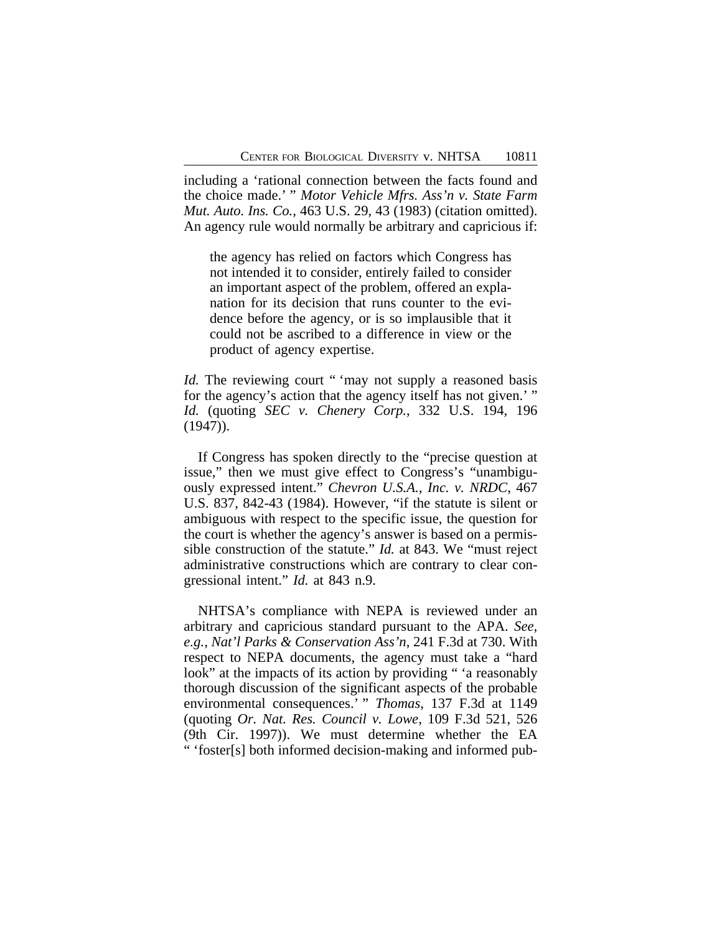including a 'rational connection between the facts found and the choice made.' " *Motor Vehicle Mfrs. Ass'n v. State Farm Mut. Auto. Ins. Co.*, 463 U.S. 29, 43 (1983) (citation omitted). An agency rule would normally be arbitrary and capricious if:

the agency has relied on factors which Congress has not intended it to consider, entirely failed to consider an important aspect of the problem, offered an explanation for its decision that runs counter to the evidence before the agency, or is so implausible that it could not be ascribed to a difference in view or the product of agency expertise.

*Id.* The reviewing court " 'may not supply a reasoned basis for the agency's action that the agency itself has not given.'" *Id.* (quoting *SEC v. Chenery Corp.*, 332 U.S. 194, 196 (1947)).

If Congress has spoken directly to the "precise question at issue," then we must give effect to Congress's "unambiguously expressed intent." *Chevron U.S.A., Inc. v. NRDC*, 467 U.S. 837, 842-43 (1984). However, "if the statute is silent or ambiguous with respect to the specific issue, the question for the court is whether the agency's answer is based on a permissible construction of the statute." *Id.* at 843. We "must reject administrative constructions which are contrary to clear congressional intent." *Id.* at 843 n.9.

NHTSA's compliance with NEPA is reviewed under an arbitrary and capricious standard pursuant to the APA. *See, e.g.*, *Nat'l Parks & Conservation Ass'n*, 241 F.3d at 730. With respect to NEPA documents, the agency must take a "hard look" at the impacts of its action by providing " 'a reasonably thorough discussion of the significant aspects of the probable environmental consequences.' " *Thomas*, 137 F.3d at 1149 (quoting *Or. Nat. Res. Council v. Lowe*, 109 F.3d 521, 526 (9th Cir. 1997)). We must determine whether the EA " 'foster[s] both informed decision-making and informed pub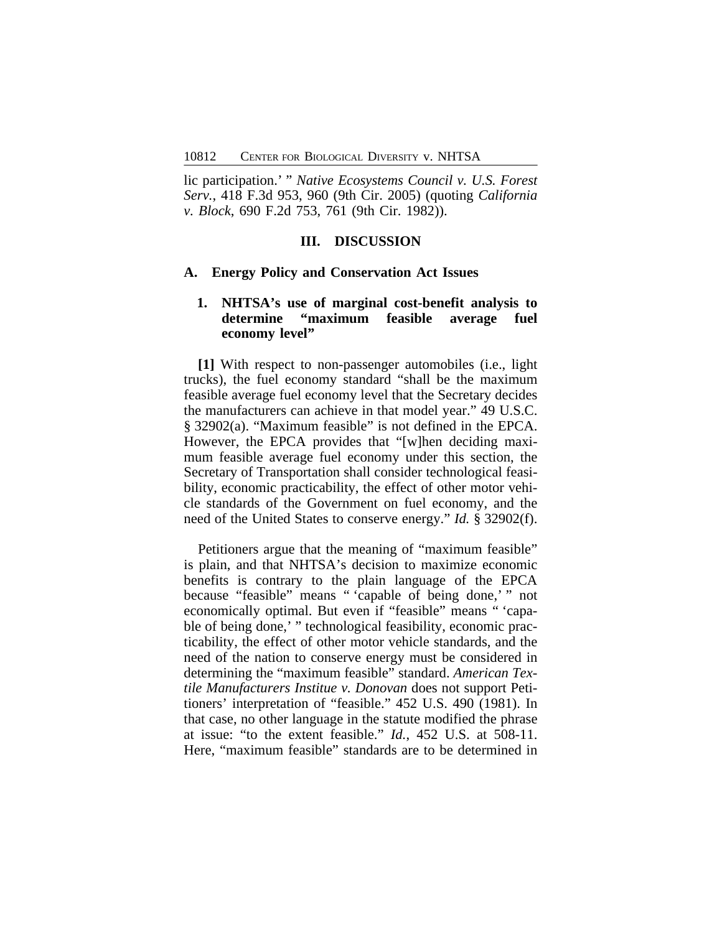lic participation.' " *Native Ecosystems Council v. U.S. Forest Serv.*, 418 F.3d 953, 960 (9th Cir. 2005) (quoting *California v. Block*, 690 F.2d 753, 761 (9th Cir. 1982)).

#### **III. DISCUSSION**

#### **A. Energy Policy and Conservation Act Issues**

## **1. NHTSA's use of marginal cost-benefit analysis to determine "maximum feasible average fuel economy level"**

**[1]** With respect to non-passenger automobiles (i.e., light trucks), the fuel economy standard "shall be the maximum feasible average fuel economy level that the Secretary decides the manufacturers can achieve in that model year." 49 U.S.C. § 32902(a). "Maximum feasible" is not defined in the EPCA. However, the EPCA provides that "[w]hen deciding maximum feasible average fuel economy under this section, the Secretary of Transportation shall consider technological feasibility, economic practicability, the effect of other motor vehicle standards of the Government on fuel economy, and the need of the United States to conserve energy." *Id.* § 32902(f).

Petitioners argue that the meaning of "maximum feasible" is plain, and that NHTSA's decision to maximize economic benefits is contrary to the plain language of the EPCA because "feasible" means " 'capable of being done,' " not economically optimal. But even if "feasible" means " 'capable of being done,' " technological feasibility, economic practicability, the effect of other motor vehicle standards, and the need of the nation to conserve energy must be considered in determining the "maximum feasible" standard. *American Textile Manufacturers Institue v. Donovan* does not support Petitioners' interpretation of "feasible." 452 U.S. 490 (1981). In that case, no other language in the statute modified the phrase at issue: "to the extent feasible." *Id.*, 452 U.S. at 508-11. Here, "maximum feasible" standards are to be determined in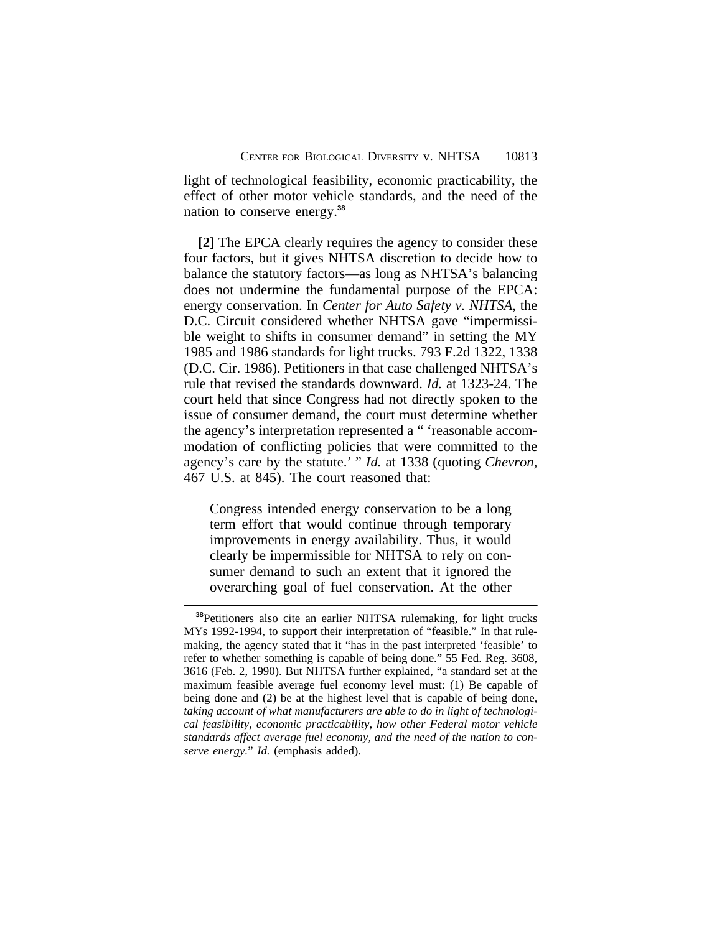light of technological feasibility, economic practicability, the effect of other motor vehicle standards, and the need of the nation to conserve energy.**<sup>38</sup>**

**[2]** The EPCA clearly requires the agency to consider these four factors, but it gives NHTSA discretion to decide how to balance the statutory factors—as long as NHTSA's balancing does not undermine the fundamental purpose of the EPCA: energy conservation. In *Center for Auto Safety v. NHTSA*, the D.C. Circuit considered whether NHTSA gave "impermissible weight to shifts in consumer demand" in setting the MY 1985 and 1986 standards for light trucks. 793 F.2d 1322, 1338 (D.C. Cir. 1986). Petitioners in that case challenged NHTSA's rule that revised the standards downward. *Id.* at 1323-24. The court held that since Congress had not directly spoken to the issue of consumer demand, the court must determine whether the agency's interpretation represented a " 'reasonable accommodation of conflicting policies that were committed to the agency's care by the statute.' " *Id.* at 1338 (quoting *Chevron*, 467 U.S. at 845). The court reasoned that:

Congress intended energy conservation to be a long term effort that would continue through temporary improvements in energy availability. Thus, it would clearly be impermissible for NHTSA to rely on consumer demand to such an extent that it ignored the overarching goal of fuel conservation. At the other

**<sup>38</sup>**Petitioners also cite an earlier NHTSA rulemaking, for light trucks MYs 1992-1994, to support their interpretation of "feasible." In that rulemaking, the agency stated that it "has in the past interpreted 'feasible' to refer to whether something is capable of being done." 55 Fed. Reg. 3608, 3616 (Feb. 2, 1990). But NHTSA further explained, "a standard set at the maximum feasible average fuel economy level must: (1) Be capable of being done and (2) be at the highest level that is capable of being done, *taking account of what manufacturers are able to do in light of technological feasibility, economic practicability, how other Federal motor vehicle standards affect average fuel economy, and the need of the nation to conserve energy.*" *Id.* (emphasis added).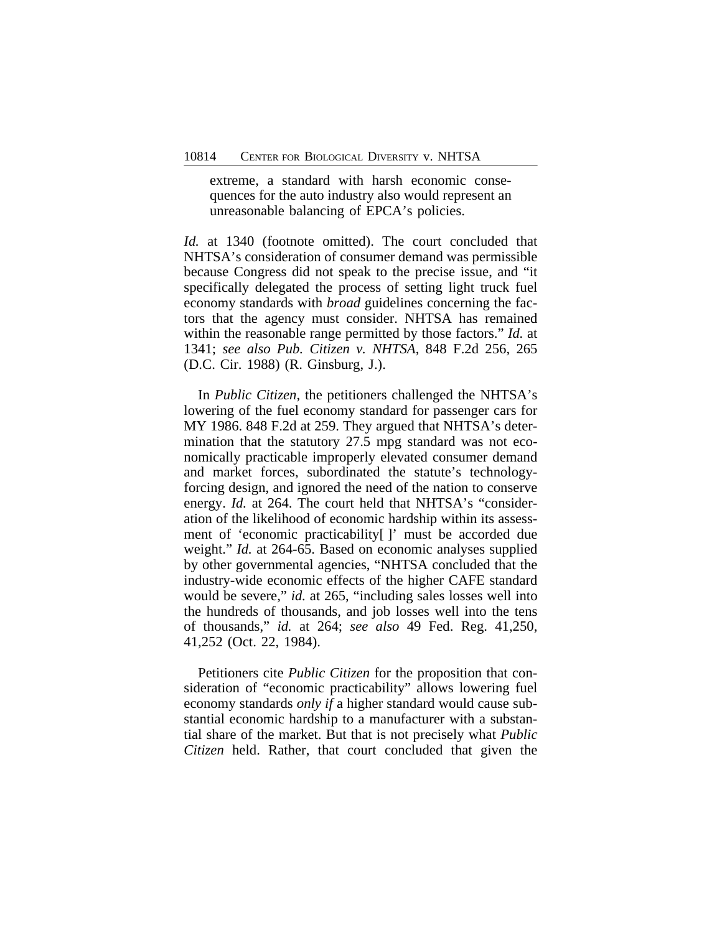extreme, a standard with harsh economic consequences for the auto industry also would represent an unreasonable balancing of EPCA's policies.

*Id.* at 1340 (footnote omitted). The court concluded that NHTSA's consideration of consumer demand was permissible because Congress did not speak to the precise issue, and "it specifically delegated the process of setting light truck fuel economy standards with *broad* guidelines concerning the factors that the agency must consider. NHTSA has remained within the reasonable range permitted by those factors." *Id.* at 1341; *see also Pub. Citizen v. NHTSA*, 848 F.2d 256, 265 (D.C. Cir. 1988) (R. Ginsburg, J.).

In *Public Citizen*, the petitioners challenged the NHTSA's lowering of the fuel economy standard for passenger cars for MY 1986. 848 F.2d at 259. They argued that NHTSA's determination that the statutory 27.5 mpg standard was not economically practicable improperly elevated consumer demand and market forces, subordinated the statute's technologyforcing design, and ignored the need of the nation to conserve energy. *Id.* at 264. The court held that NHTSA's "consideration of the likelihood of economic hardship within its assessment of 'economic practicability[ ]' must be accorded due weight." *Id.* at 264-65. Based on economic analyses supplied by other governmental agencies, "NHTSA concluded that the industry-wide economic effects of the higher CAFE standard would be severe," *id.* at 265, "including sales losses well into the hundreds of thousands, and job losses well into the tens of thousands," *id.* at 264; *see also* 49 Fed. Reg. 41,250, 41,252 (Oct. 22, 1984).

Petitioners cite *Public Citizen* for the proposition that consideration of "economic practicability" allows lowering fuel economy standards *only if* a higher standard would cause substantial economic hardship to a manufacturer with a substantial share of the market. But that is not precisely what *Public Citizen* held. Rather, that court concluded that given the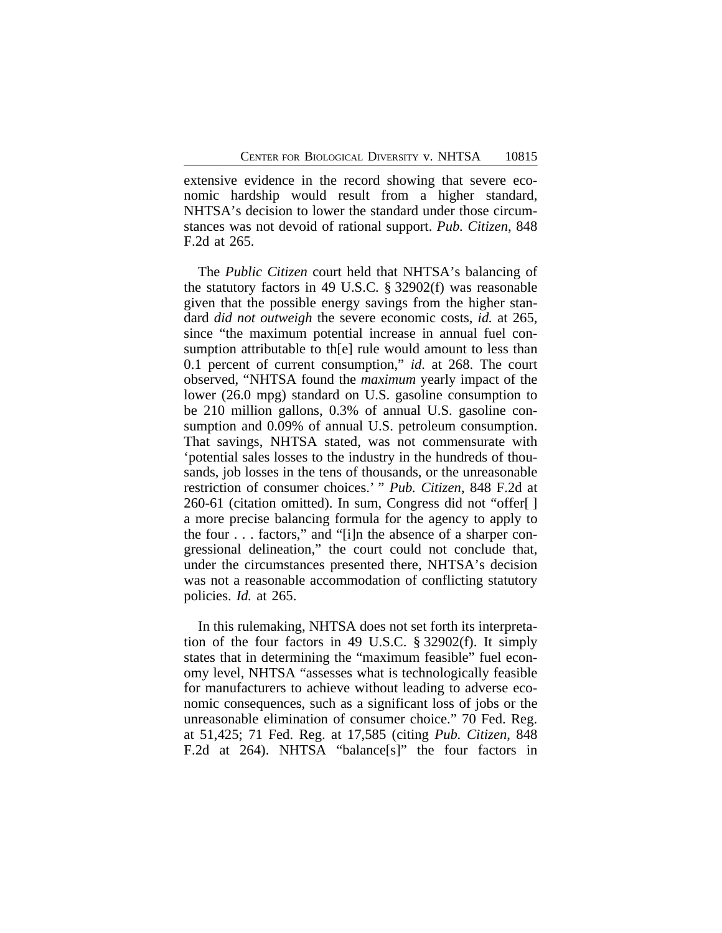extensive evidence in the record showing that severe economic hardship would result from a higher standard, NHTSA's decision to lower the standard under those circumstances was not devoid of rational support. *Pub. Citizen*, 848 F.2d at 265.

The *Public Citizen* court held that NHTSA's balancing of the statutory factors in 49 U.S.C. § 32902(f) was reasonable given that the possible energy savings from the higher standard *did not outweigh* the severe economic costs, *id.* at 265, since "the maximum potential increase in annual fuel consumption attributable to th[e] rule would amount to less than 0.1 percent of current consumption," *id*. at 268. The court observed, "NHTSA found the *maximum* yearly impact of the lower (26.0 mpg) standard on U.S. gasoline consumption to be 210 million gallons, 0.3% of annual U.S. gasoline consumption and 0.09% of annual U.S. petroleum consumption. That savings, NHTSA stated, was not commensurate with 'potential sales losses to the industry in the hundreds of thousands, job losses in the tens of thousands, or the unreasonable restriction of consumer choices.' " *Pub. Citizen*, 848 F.2d at 260-61 (citation omitted). In sum, Congress did not "offer[ ] a more precise balancing formula for the agency to apply to the four . . . factors," and "[i]n the absence of a sharper congressional delineation," the court could not conclude that, under the circumstances presented there, NHTSA's decision was not a reasonable accommodation of conflicting statutory policies. *Id.* at 265.

In this rulemaking, NHTSA does not set forth its interpretation of the four factors in 49 U.S.C. § 32902(f). It simply states that in determining the "maximum feasible" fuel economy level, NHTSA "assesses what is technologically feasible for manufacturers to achieve without leading to adverse economic consequences, such as a significant loss of jobs or the unreasonable elimination of consumer choice." 70 Fed. Reg. at 51,425; 71 Fed. Reg. at 17,585 (citing *Pub. Citizen*, 848 F.2d at 264). NHTSA "balance[s]" the four factors in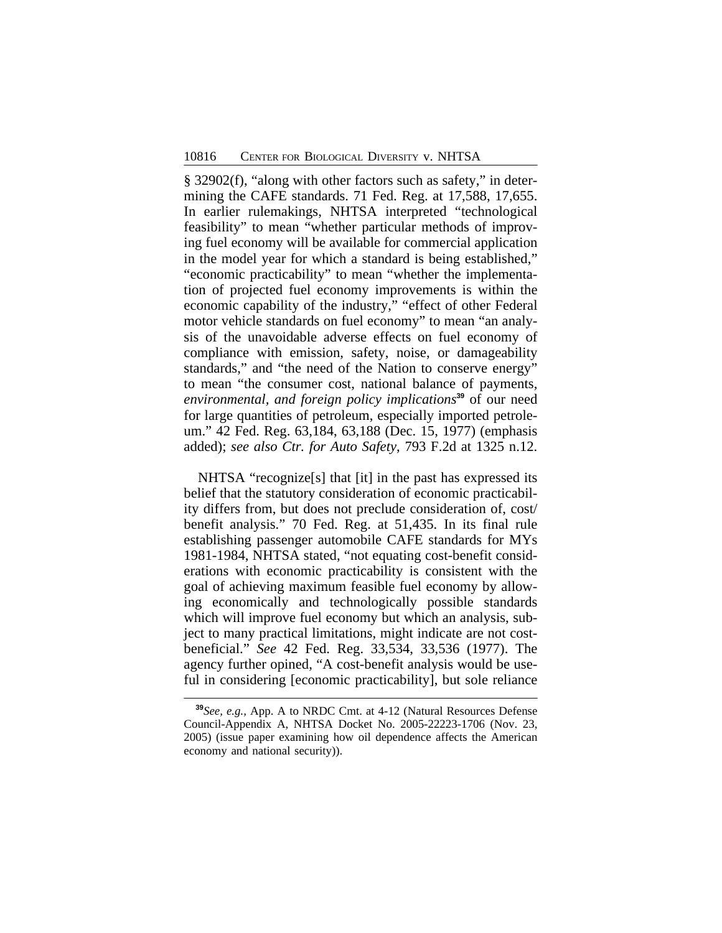§ 32902(f), "along with other factors such as safety," in determining the CAFE standards. 71 Fed. Reg. at 17,588, 17,655. In earlier rulemakings, NHTSA interpreted "technological feasibility" to mean "whether particular methods of improving fuel economy will be available for commercial application in the model year for which a standard is being established," "economic practicability" to mean "whether the implementation of projected fuel economy improvements is within the economic capability of the industry," "effect of other Federal motor vehicle standards on fuel economy" to mean "an analysis of the unavoidable adverse effects on fuel economy of compliance with emission, safety, noise, or damageability standards," and "the need of the Nation to conserve energy" to mean "the consumer cost, national balance of payments, *environmental, and foreign policy implications***<sup>39</sup>** of our need for large quantities of petroleum, especially imported petroleum." 42 Fed. Reg. 63,184, 63,188 (Dec. 15, 1977) (emphasis added); *see also Ctr. for Auto Safety*, 793 F.2d at 1325 n.12.

NHTSA "recognize[s] that [it] in the past has expressed its belief that the statutory consideration of economic practicability differs from, but does not preclude consideration of, cost/ benefit analysis." 70 Fed. Reg. at 51,435. In its final rule establishing passenger automobile CAFE standards for MYs 1981-1984, NHTSA stated, "not equating cost-benefit considerations with economic practicability is consistent with the goal of achieving maximum feasible fuel economy by allowing economically and technologically possible standards which will improve fuel economy but which an analysis, subject to many practical limitations, might indicate are not costbeneficial." *See* 42 Fed. Reg. 33,534, 33,536 (1977). The agency further opined, "A cost-benefit analysis would be useful in considering [economic practicability], but sole reliance

**<sup>39</sup>***See, e.g.,* App. A to NRDC Cmt. at 4-12 (Natural Resources Defense Council-Appendix A, NHTSA Docket No. 2005-22223-1706 (Nov. 23, 2005) (issue paper examining how oil dependence affects the American economy and national security)).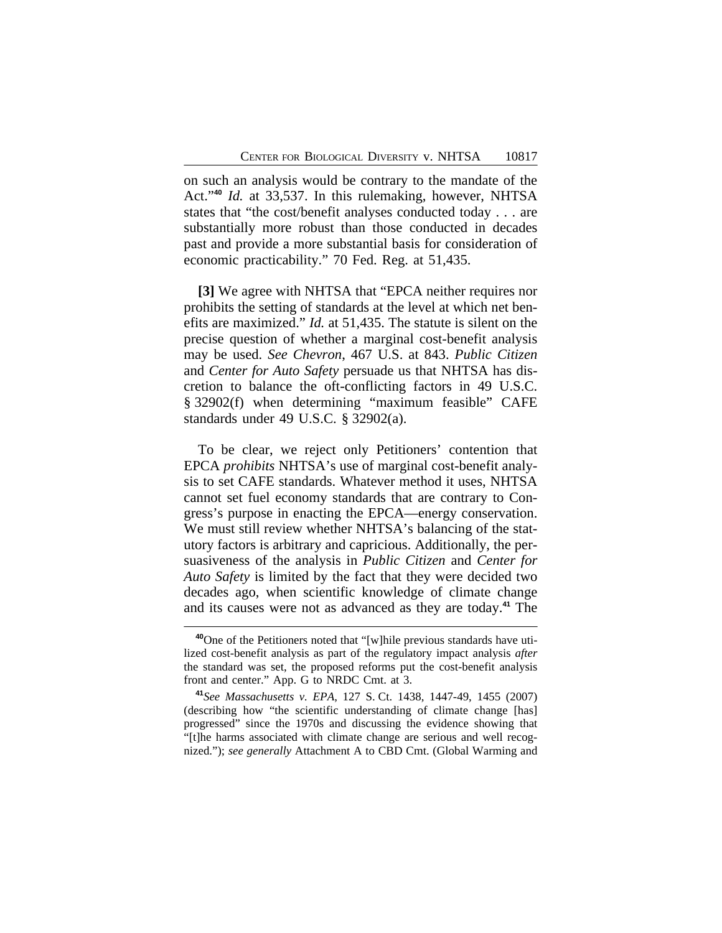on such an analysis would be contrary to the mandate of the Act." **<sup>40</sup>** *Id.* at 33,537. In this rulemaking, however, NHTSA states that "the cost/benefit analyses conducted today . . . are substantially more robust than those conducted in decades past and provide a more substantial basis for consideration of economic practicability." 70 Fed. Reg. at 51,435.

**[3]** We agree with NHTSA that "EPCA neither requires nor prohibits the setting of standards at the level at which net benefits are maximized." *Id.* at 51,435. The statute is silent on the precise question of whether a marginal cost-benefit analysis may be used. *See Chevron*, 467 U.S. at 843. *Public Citizen* and *Center for Auto Safety* persuade us that NHTSA has discretion to balance the oft-conflicting factors in 49 U.S.C. § 32902(f) when determining "maximum feasible" CAFE standards under 49 U.S.C. § 32902(a).

To be clear, we reject only Petitioners' contention that EPCA *prohibits* NHTSA's use of marginal cost-benefit analysis to set CAFE standards. Whatever method it uses, NHTSA cannot set fuel economy standards that are contrary to Congress's purpose in enacting the EPCA—energy conservation. We must still review whether NHTSA's balancing of the statutory factors is arbitrary and capricious. Additionally, the persuasiveness of the analysis in *Public Citizen* and *Center for Auto Safety* is limited by the fact that they were decided two decades ago, when scientific knowledge of climate change and its causes were not as advanced as they are today.**<sup>41</sup>** The

**<sup>40</sup>**One of the Petitioners noted that "[w]hile previous standards have utilized cost-benefit analysis as part of the regulatory impact analysis *after* the standard was set, the proposed reforms put the cost-benefit analysis front and center." App. G to NRDC Cmt. at 3.

**<sup>41</sup>***See Massachusetts v. EPA*, 127 S. Ct. 1438, 1447-49, 1455 (2007) (describing how "the scientific understanding of climate change [has] progressed" since the 1970s and discussing the evidence showing that "[t]he harms associated with climate change are serious and well recognized."); *see generally* Attachment A to CBD Cmt. (Global Warming and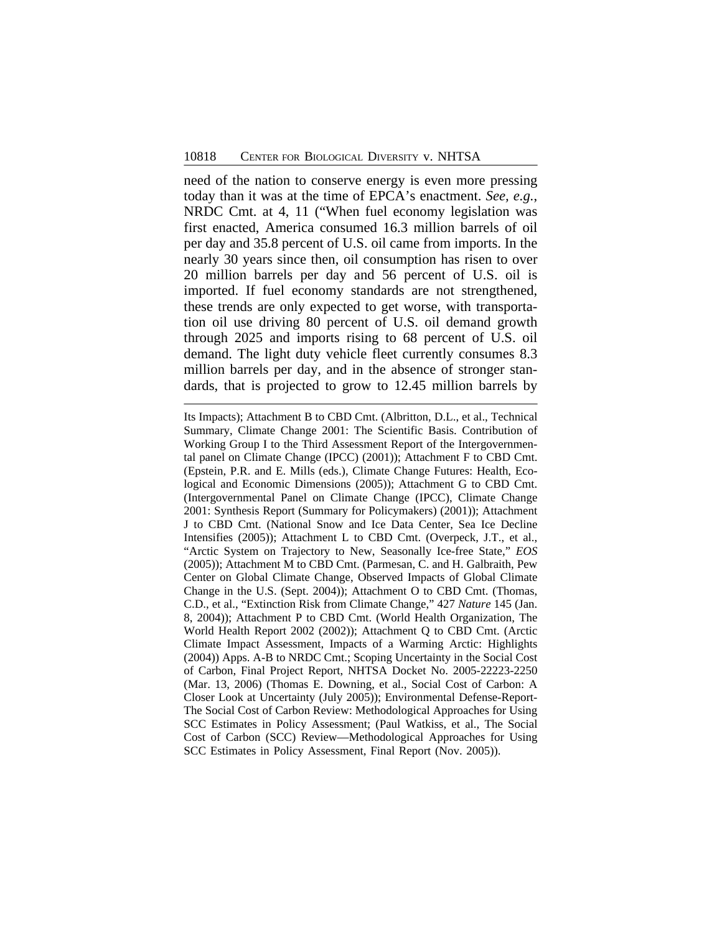need of the nation to conserve energy is even more pressing today than it was at the time of EPCA's enactment. *See, e.g.*, NRDC Cmt. at 4, 11 ("When fuel economy legislation was first enacted, America consumed 16.3 million barrels of oil per day and 35.8 percent of U.S. oil came from imports. In the nearly 30 years since then, oil consumption has risen to over 20 million barrels per day and 56 percent of U.S. oil is imported. If fuel economy standards are not strengthened, these trends are only expected to get worse, with transportation oil use driving 80 percent of U.S. oil demand growth through 2025 and imports rising to 68 percent of U.S. oil demand. The light duty vehicle fleet currently consumes 8.3 million barrels per day, and in the absence of stronger standards, that is projected to grow to 12.45 million barrels by

Its Impacts); Attachment B to CBD Cmt. (Albritton, D.L., et al., Technical Summary, Climate Change 2001: The Scientific Basis. Contribution of Working Group I to the Third Assessment Report of the Intergovernmental panel on Climate Change (IPCC) (2001)); Attachment F to CBD Cmt. (Epstein, P.R. and E. Mills (eds.), Climate Change Futures: Health, Ecological and Economic Dimensions (2005)); Attachment G to CBD Cmt. (Intergovernmental Panel on Climate Change (IPCC), Climate Change 2001: Synthesis Report (Summary for Policymakers) (2001)); Attachment J to CBD Cmt. (National Snow and Ice Data Center, Sea Ice Decline Intensifies (2005)); Attachment L to CBD Cmt. (Overpeck, J.T., et al., "Arctic System on Trajectory to New, Seasonally Ice-free State," *EOS* (2005)); Attachment M to CBD Cmt. (Parmesan, C. and H. Galbraith, Pew Center on Global Climate Change, Observed Impacts of Global Climate Change in the U.S. (Sept. 2004)); Attachment O to CBD Cmt. (Thomas, C.D., et al., "Extinction Risk from Climate Change," 427 *Nature* 145 (Jan. 8, 2004)); Attachment P to CBD Cmt. (World Health Organization, The World Health Report 2002 (2002)); Attachment Q to CBD Cmt. (Arctic Climate Impact Assessment, Impacts of a Warming Arctic: Highlights (2004)) Apps. A-B to NRDC Cmt.; Scoping Uncertainty in the Social Cost of Carbon, Final Project Report, NHTSA Docket No. 2005-22223-2250 (Mar. 13, 2006) (Thomas E. Downing, et al., Social Cost of Carbon: A Closer Look at Uncertainty (July 2005)); Environmental Defense-Report-The Social Cost of Carbon Review: Methodological Approaches for Using SCC Estimates in Policy Assessment; (Paul Watkiss, et al., The Social Cost of Carbon (SCC) Review—Methodological Approaches for Using SCC Estimates in Policy Assessment, Final Report (Nov. 2005)).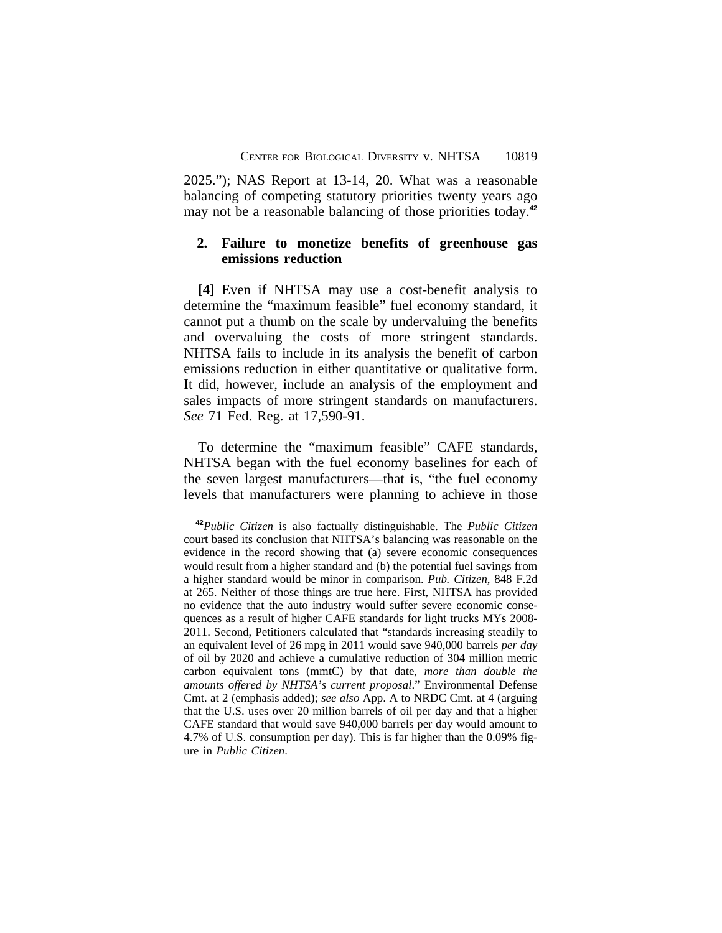2025."); NAS Report at 13-14, 20. What was a reasonable balancing of competing statutory priorities twenty years ago may not be a reasonable balancing of those priorities today.**<sup>42</sup>**

### **2. Failure to monetize benefits of greenhouse gas emissions reduction**

**[4]** Even if NHTSA may use a cost-benefit analysis to determine the "maximum feasible" fuel economy standard, it cannot put a thumb on the scale by undervaluing the benefits and overvaluing the costs of more stringent standards. NHTSA fails to include in its analysis the benefit of carbon emissions reduction in either quantitative or qualitative form. It did, however, include an analysis of the employment and sales impacts of more stringent standards on manufacturers. *See* 71 Fed. Reg. at 17,590-91.

To determine the "maximum feasible" CAFE standards, NHTSA began with the fuel economy baselines for each of the seven largest manufacturers—that is, "the fuel economy levels that manufacturers were planning to achieve in those

**<sup>42</sup>***Public Citizen* is also factually distinguishable. The *Public Citizen* court based its conclusion that NHTSA's balancing was reasonable on the evidence in the record showing that (a) severe economic consequences would result from a higher standard and (b) the potential fuel savings from a higher standard would be minor in comparison. *Pub. Citizen*, 848 F.2d at 265. Neither of those things are true here. First, NHTSA has provided no evidence that the auto industry would suffer severe economic consequences as a result of higher CAFE standards for light trucks MYs 2008- 2011. Second, Petitioners calculated that "standards increasing steadily to an equivalent level of 26 mpg in 2011 would save 940,000 barrels *per day* of oil by 2020 and achieve a cumulative reduction of 304 million metric carbon equivalent tons (mmtC) by that date, *more than double the amounts offered by NHTSA's current proposal*." Environmental Defense Cmt. at 2 (emphasis added); *see also* App. A to NRDC Cmt. at 4 (arguing that the U.S. uses over 20 million barrels of oil per day and that a higher CAFE standard that would save 940,000 barrels per day would amount to 4.7% of U.S. consumption per day). This is far higher than the 0.09% figure in *Public Citizen*.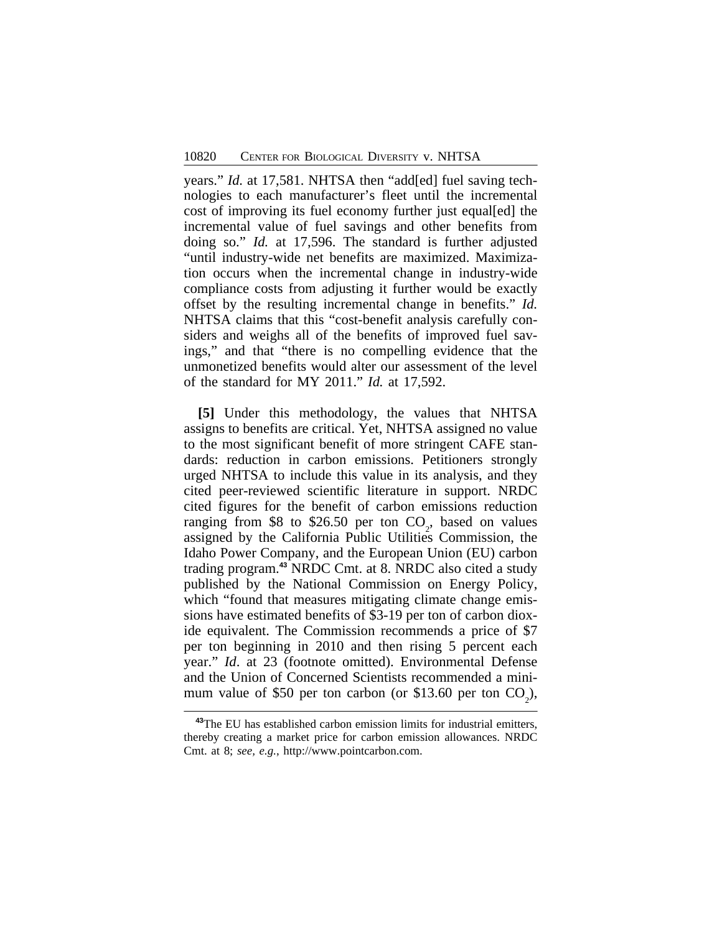years." *Id.* at 17,581. NHTSA then "add[ed] fuel saving technologies to each manufacturer's fleet until the incremental cost of improving its fuel economy further just equal[ed] the incremental value of fuel savings and other benefits from doing so." *Id.* at 17,596. The standard is further adjusted "until industry-wide net benefits are maximized. Maximization occurs when the incremental change in industry-wide compliance costs from adjusting it further would be exactly offset by the resulting incremental change in benefits." *Id.* NHTSA claims that this "cost-benefit analysis carefully considers and weighs all of the benefits of improved fuel savings," and that "there is no compelling evidence that the unmonetized benefits would alter our assessment of the level of the standard for MY 2011." *Id.* at 17,592.

**[5]** Under this methodology, the values that NHTSA assigns to benefits are critical. Yet, NHTSA assigned no value to the most significant benefit of more stringent CAFE standards: reduction in carbon emissions. Petitioners strongly urged NHTSA to include this value in its analysis, and they cited peer-reviewed scientific literature in support. NRDC cited figures for the benefit of carbon emissions reduction ranging from \$8 to \$26.50 per ton  $CO<sub>2</sub>$ , based on values assigned by the California Public Utilities Commission, the Idaho Power Company, and the European Union (EU) carbon trading program.**<sup>43</sup>** NRDC Cmt. at 8. NRDC also cited a study published by the National Commission on Energy Policy, which "found that measures mitigating climate change emissions have estimated benefits of \$3-19 per ton of carbon dioxide equivalent. The Commission recommends a price of \$7 per ton beginning in 2010 and then rising 5 percent each year." *Id*. at 23 (footnote omitted). Environmental Defense and the Union of Concerned Scientists recommended a minimum value of \$50 per ton carbon (or \$13.60 per ton  $CO_2$ ),

**<sup>43</sup>**The EU has established carbon emission limits for industrial emitters, thereby creating a market price for carbon emission allowances. NRDC Cmt. at 8; *see, e.g.*, http://www.pointcarbon.com.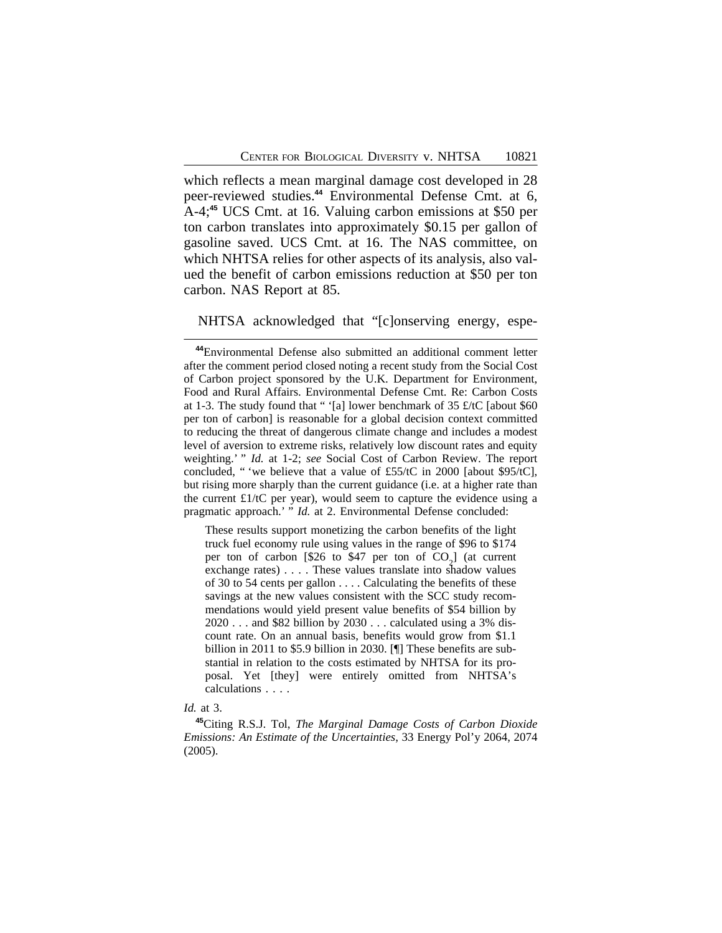which reflects a mean marginal damage cost developed in 28 peer-reviewed studies.**<sup>44</sup>** Environmental Defense Cmt. at 6, A-4;**<sup>45</sup>** UCS Cmt. at 16. Valuing carbon emissions at \$50 per ton carbon translates into approximately \$0.15 per gallon of gasoline saved. UCS Cmt. at 16. The NAS committee, on which NHTSA relies for other aspects of its analysis, also valued the benefit of carbon emissions reduction at \$50 per ton carbon. NAS Report at 85.

### NHTSA acknowledged that "[c]onserving energy, espe-

These results support monetizing the carbon benefits of the light truck fuel economy rule using values in the range of \$96 to \$174 per ton of carbon [\$26 to \$47 per ton of  $CO_2$ ] (at current exchange rates) . . . . These values translate into shadow values of 30 to 54 cents per gallon . . . . Calculating the benefits of these savings at the new values consistent with the SCC study recommendations would yield present value benefits of \$54 billion by 2020 . . . and \$82 billion by 2030 . . . calculated using a 3% discount rate. On an annual basis, benefits would grow from \$1.1 billion in 2011 to \$5.9 billion in 2030. [¶] These benefits are substantial in relation to the costs estimated by NHTSA for its proposal. Yet [they] were entirely omitted from NHTSA's calculations . . . .

#### *Id.* at 3.

**<sup>45</sup>**Citing R.S.J. Tol, *The Marginal Damage Costs of Carbon Dioxide Emissions: An Estimate of the Uncertainties*, 33 Energy Pol'y 2064, 2074 (2005).

**<sup>44</sup>**Environmental Defense also submitted an additional comment letter after the comment period closed noting a recent study from the Social Cost of Carbon project sponsored by the U.K. Department for Environment, Food and Rural Affairs. Environmental Defense Cmt. Re: Carbon Costs at 1-3. The study found that "'[a] lower benchmark of 35  $\pounds$ /tC [about \$60 per ton of carbon] is reasonable for a global decision context committed to reducing the threat of dangerous climate change and includes a modest level of aversion to extreme risks, relatively low discount rates and equity weighting.' " *Id.* at 1-2; *see* Social Cost of Carbon Review. The report concluded, " 'we believe that a value of £55/tC in 2000 [about \$95/tC], but rising more sharply than the current guidance (i.e. at a higher rate than the current  $£1/tC$  per year), would seem to capture the evidence using a pragmatic approach.' " *Id.* at 2. Environmental Defense concluded: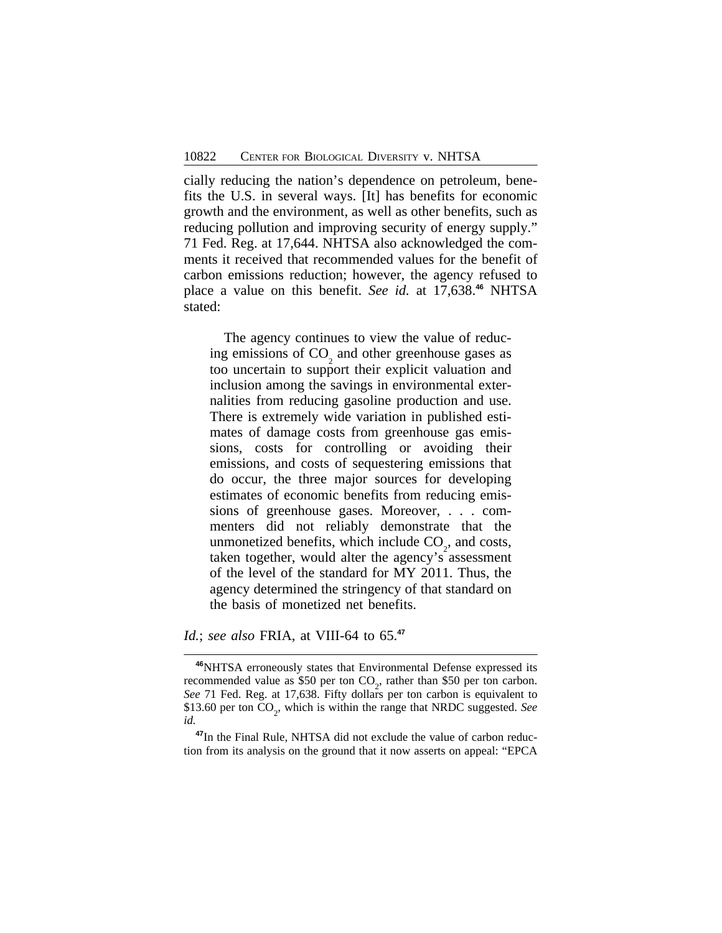cially reducing the nation's dependence on petroleum, benefits the U.S. in several ways. [It] has benefits for economic growth and the environment, as well as other benefits, such as reducing pollution and improving security of energy supply." 71 Fed. Reg. at 17,644. NHTSA also acknowledged the comments it received that recommended values for the benefit of carbon emissions reduction; however, the agency refused to place a value on this benefit. *See id.* at 17,638.**<sup>46</sup>** NHTSA stated:

The agency continues to view the value of reducing emissions of  $CO<sub>2</sub>$  and other greenhouse gases as too uncertain to support their explicit valuation and inclusion among the savings in environmental externalities from reducing gasoline production and use. There is extremely wide variation in published estimates of damage costs from greenhouse gas emissions, costs for controlling or avoiding their emissions, and costs of sequestering emissions that do occur, the three major sources for developing estimates of economic benefits from reducing emissions of greenhouse gases. Moreover, . . . commenters did not reliably demonstrate that the unmonetized benefits, which include  $CO_2$ , and costs, taken together, would alter the agency's assessment of the level of the standard for MY 2011. Thus, the agency determined the stringency of that standard on the basis of monetized net benefits.

*Id.*; *see also* FRIA, at VIII-64 to 65.**<sup>47</sup>**

**<sup>46</sup>**NHTSA erroneously states that Environmental Defense expressed its recommended value as \$50 per ton  $CO<sub>2</sub>$ , rather than \$50 per ton carbon. *See* 71 Fed. Reg. at 17,638. Fifty dollars per ton carbon is equivalent to \$13.60 per ton CO<sub>2</sub>, which is within the range that NRDC suggested. *See id.*

**<sup>47</sup>**In the Final Rule, NHTSA did not exclude the value of carbon reduction from its analysis on the ground that it now asserts on appeal: "EPCA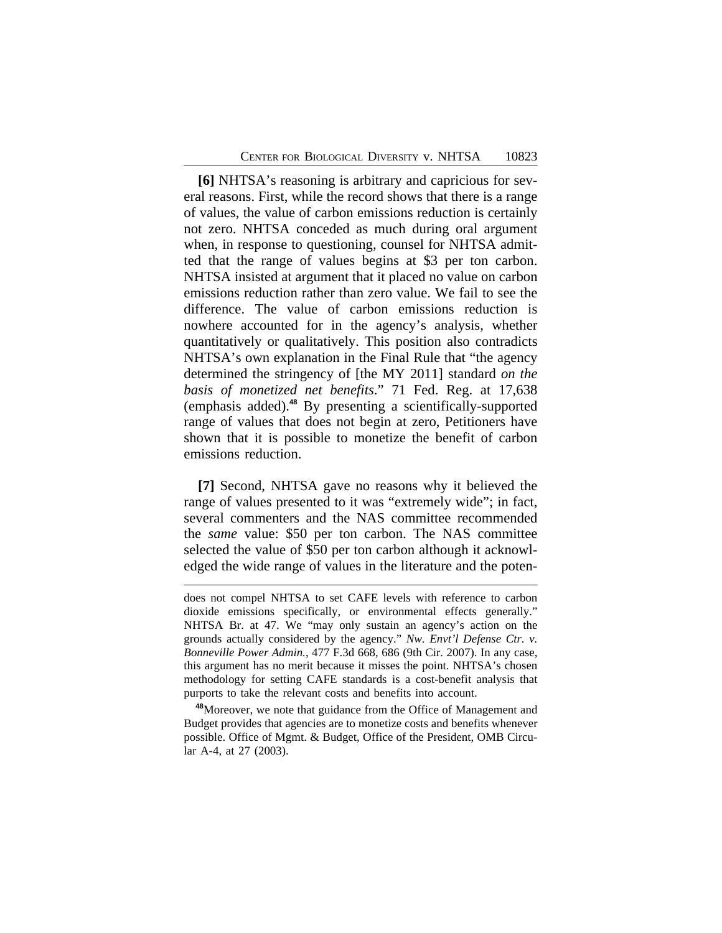**[6]** NHTSA's reasoning is arbitrary and capricious for several reasons. First, while the record shows that there is a range of values, the value of carbon emissions reduction is certainly not zero. NHTSA conceded as much during oral argument when, in response to questioning, counsel for NHTSA admitted that the range of values begins at \$3 per ton carbon. NHTSA insisted at argument that it placed no value on carbon emissions reduction rather than zero value. We fail to see the difference. The value of carbon emissions reduction is nowhere accounted for in the agency's analysis, whether quantitatively or qualitatively. This position also contradicts NHTSA's own explanation in the Final Rule that "the agency determined the stringency of [the MY 2011] standard *on the basis of monetized net benefits*." 71 Fed. Reg. at 17,638 (emphasis added).**<sup>48</sup>** By presenting a scientifically-supported range of values that does not begin at zero, Petitioners have shown that it is possible to monetize the benefit of carbon emissions reduction.

**[7]** Second, NHTSA gave no reasons why it believed the range of values presented to it was "extremely wide"; in fact, several commenters and the NAS committee recommended the *same* value: \$50 per ton carbon. The NAS committee selected the value of \$50 per ton carbon although it acknowledged the wide range of values in the literature and the poten-

**<sup>48</sup>**Moreover, we note that guidance from the Office of Management and Budget provides that agencies are to monetize costs and benefits whenever possible. Office of Mgmt. & Budget, Office of the President, OMB Circular A-4, at 27 (2003).

does not compel NHTSA to set CAFE levels with reference to carbon dioxide emissions specifically, or environmental effects generally." NHTSA Br. at 47. We "may only sustain an agency's action on the grounds actually considered by the agency." *Nw. Envt'l Defense Ctr. v. Bonneville Power Admin.*, 477 F.3d 668, 686 (9th Cir. 2007). In any case, this argument has no merit because it misses the point. NHTSA's chosen methodology for setting CAFE standards is a cost-benefit analysis that purports to take the relevant costs and benefits into account.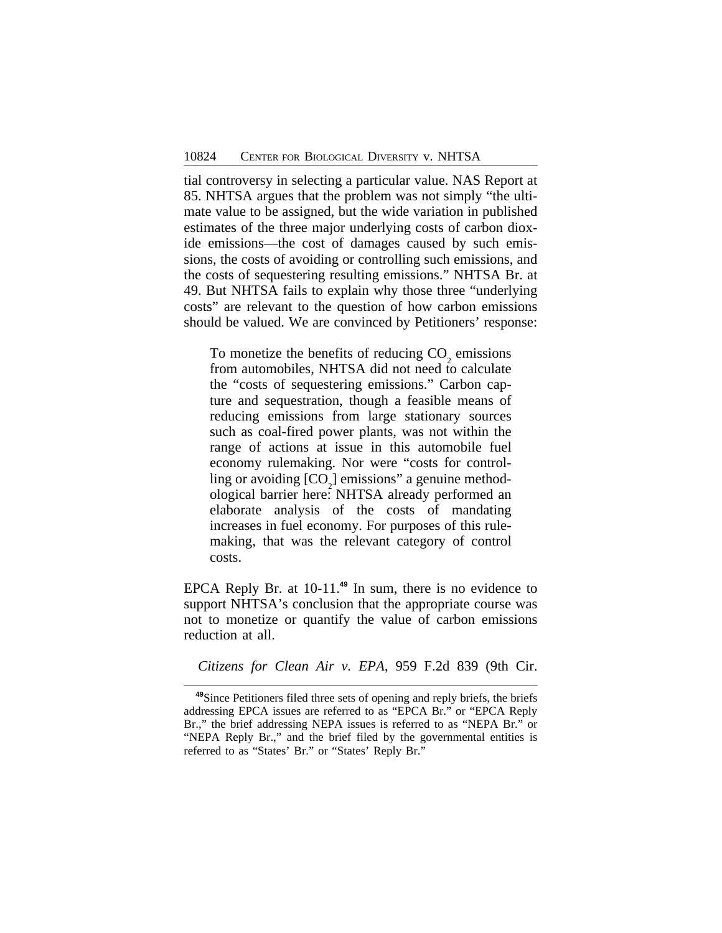tial controversy in selecting a particular value. NAS Report at 85. NHTSA argues that the problem was not simply "the ultimate value to be assigned, but the wide variation in published estimates of the three major underlying costs of carbon dioxide emissions—the cost of damages caused by such emissions, the costs of avoiding or controlling such emissions, and the costs of sequestering resulting emissions." NHTSA Br. at 49. But NHTSA fails to explain why those three "underlying costs" are relevant to the question of how carbon emissions should be valued. We are convinced by Petitioners' response:

To monetize the benefits of reducing  $CO<sub>2</sub>$  emissions from automobiles, NHTSA did not need to calculate the "costs of sequestering emissions." Carbon capture and sequestration, though a feasible means of reducing emissions from large stationary sources such as coal-fired power plants, was not within the range of actions at issue in this automobile fuel economy rulemaking. Nor were "costs for controlling or avoiding  $[CO_2]$  emissions" a genuine methodological barrier here: NHTSA already performed an elaborate analysis of the costs of mandating increases in fuel economy. For purposes of this rulemaking, that was the relevant category of control costs.

EPCA Reply Br. at 10-11.**<sup>49</sup>** In sum, there is no evidence to support NHTSA's conclusion that the appropriate course was not to monetize or quantify the value of carbon emissions reduction at all.

*Citizens for Clean Air v. EPA*, 959 F.2d 839 (9th Cir.

**<sup>49</sup>**Since Petitioners filed three sets of opening and reply briefs, the briefs addressing EPCA issues are referred to as "EPCA Br." or "EPCA Reply Br.," the brief addressing NEPA issues is referred to as "NEPA Br." or "NEPA Reply Br.," and the brief filed by the governmental entities is referred to as "States' Br." or "States' Reply Br."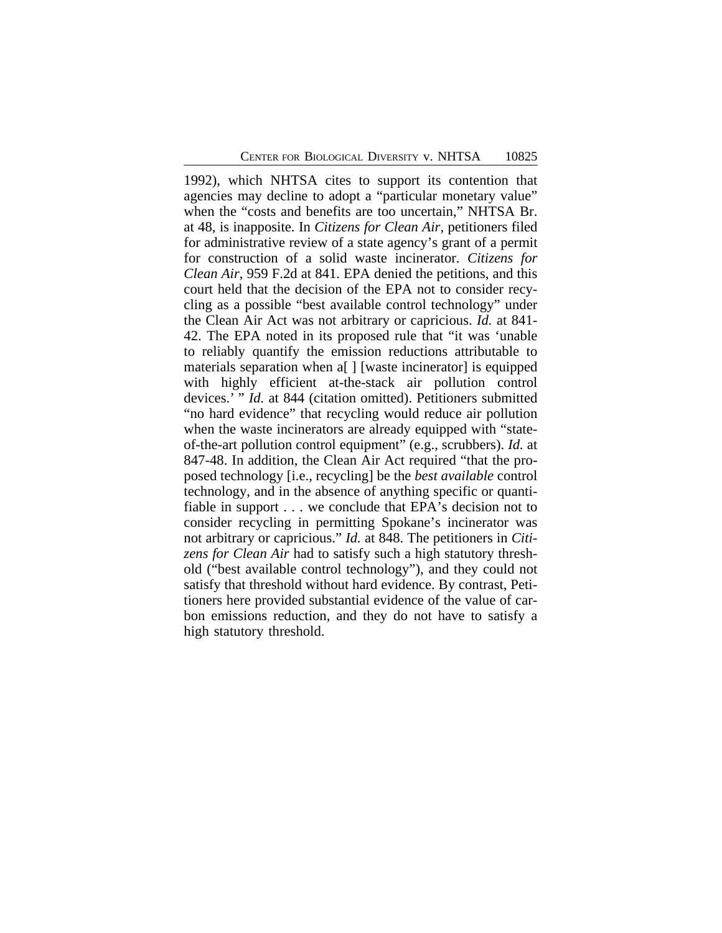1992), which NHTSA cites to support its contention that agencies may decline to adopt a "particular monetary value" when the "costs and benefits are too uncertain," NHTSA Br. at 48, is inapposite. In *Citizens for Clean Air*, petitioners filed for administrative review of a state agency's grant of a permit for construction of a solid waste incinerator. *Citizens for Clean Air*, 959 F.2d at 841. EPA denied the petitions, and this court held that the decision of the EPA not to consider recycling as a possible "best available control technology" under the Clean Air Act was not arbitrary or capricious. *Id.* at 841- 42. The EPA noted in its proposed rule that "it was 'unable to reliably quantify the emission reductions attributable to materials separation when a[ ] [waste incinerator] is equipped with highly efficient at-the-stack air pollution control devices.' " *Id.* at 844 (citation omitted). Petitioners submitted "no hard evidence" that recycling would reduce air pollution when the waste incinerators are already equipped with "stateof-the-art pollution control equipment" (e.g., scrubbers). *Id.* at 847-48. In addition, the Clean Air Act required "that the proposed technology [i.e., recycling] be the *best available* control technology, and in the absence of anything specific or quantifiable in support . . . we conclude that EPA's decision not to consider recycling in permitting Spokane's incinerator was not arbitrary or capricious." *Id.* at 848. The petitioners in *Citizens for Clean Air* had to satisfy such a high statutory threshold ("best available control technology"), and they could not satisfy that threshold without hard evidence. By contrast, Petitioners here provided substantial evidence of the value of carbon emissions reduction, and they do not have to satisfy a high statutory threshold.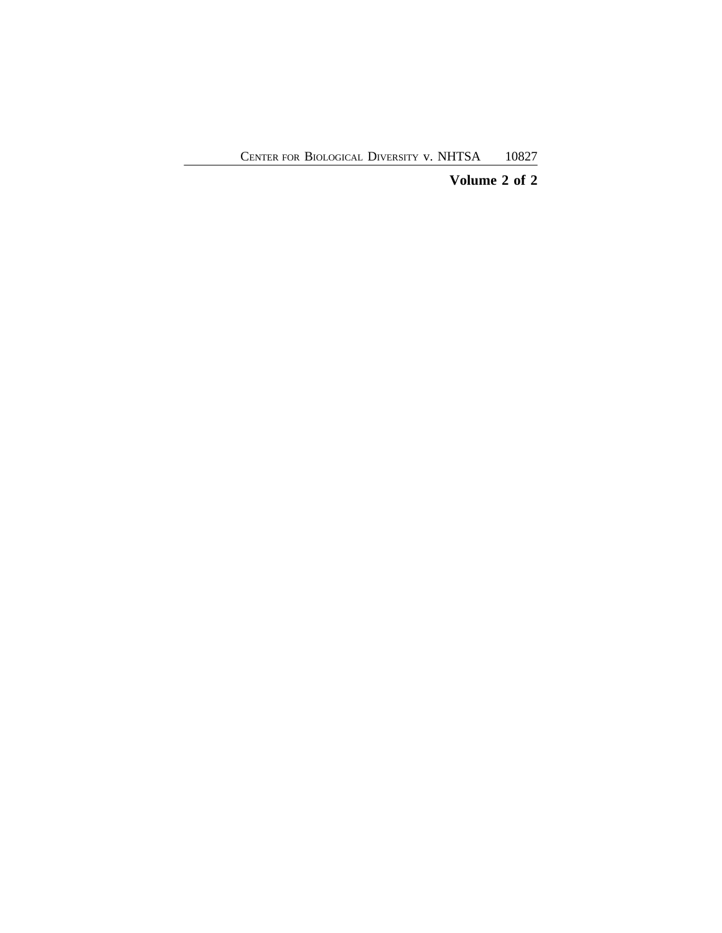# **Volume 2 of 2**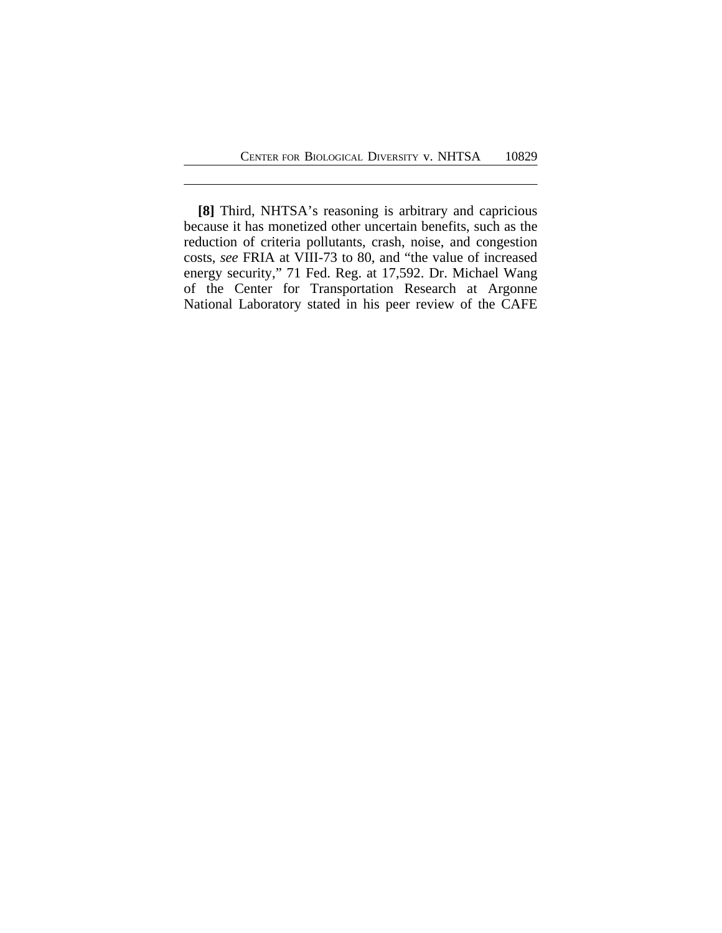**[8]** Third, NHTSA's reasoning is arbitrary and capricious because it has monetized other uncertain benefits, such as the reduction of criteria pollutants, crash, noise, and congestion costs, *see* FRIA at VIII-73 to 80, and "the value of increased energy security," 71 Fed. Reg. at 17,592. Dr. Michael Wang of the Center for Transportation Research at Argonne National Laboratory stated in his peer review of the CAFE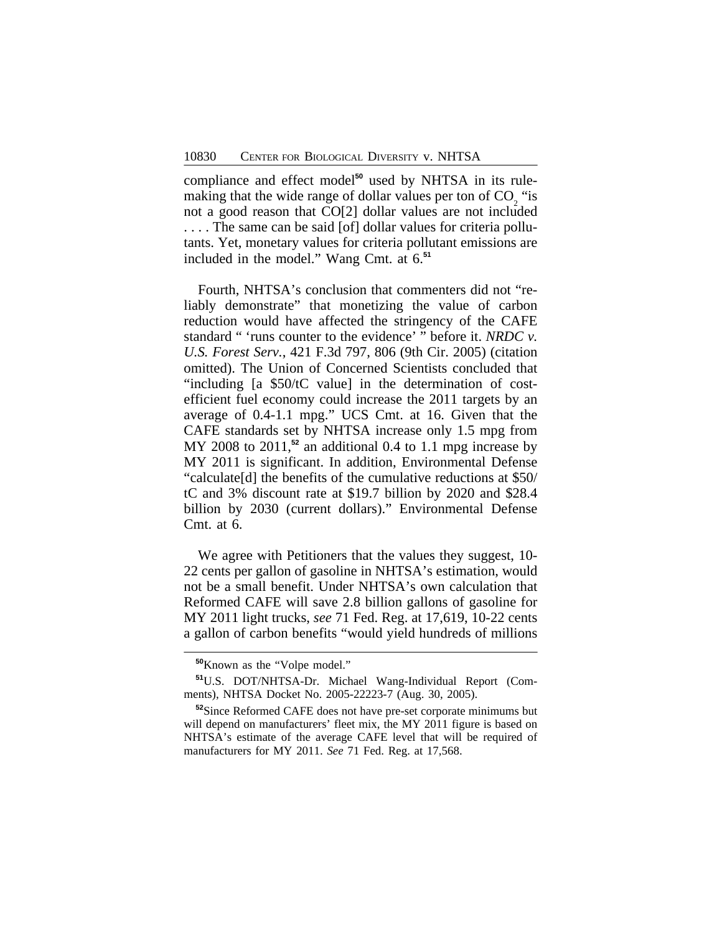compliance and effect model**50** used by NHTSA in its rulemaking that the wide range of dollar values per ton of  $CO<sub>2</sub>$  "is not a good reason that CO[2] dollar values are not included . . . . The same can be said [of] dollar values for criteria pollutants. Yet, monetary values for criteria pollutant emissions are included in the model." Wang Cmt. at 6.**<sup>51</sup>**

Fourth, NHTSA's conclusion that commenters did not "reliably demonstrate" that monetizing the value of carbon reduction would have affected the stringency of the CAFE standard " 'runs counter to the evidence' " before it. *NRDC v. U.S. Forest Serv.*, 421 F.3d 797, 806 (9th Cir. 2005) (citation omitted). The Union of Concerned Scientists concluded that "including [a \$50/tC value] in the determination of costefficient fuel economy could increase the 2011 targets by an average of 0.4-1.1 mpg." UCS Cmt. at 16. Given that the CAFE standards set by NHTSA increase only 1.5 mpg from MY 2008 to 2011,<sup>52</sup> an additional 0.4 to 1.1 mpg increase by MY 2011 is significant. In addition, Environmental Defense "calculate[d] the benefits of the cumulative reductions at \$50/ tC and 3% discount rate at \$19.7 billion by 2020 and \$28.4 billion by 2030 (current dollars)." Environmental Defense Cmt. at 6.

We agree with Petitioners that the values they suggest, 10- 22 cents per gallon of gasoline in NHTSA's estimation, would not be a small benefit. Under NHTSA's own calculation that Reformed CAFE will save 2.8 billion gallons of gasoline for MY 2011 light trucks, *see* 71 Fed. Reg. at 17,619, 10-22 cents a gallon of carbon benefits "would yield hundreds of millions

**<sup>50</sup>**Known as the "Volpe model."

**<sup>51</sup>**U.S. DOT/NHTSA-Dr. Michael Wang-Individual Report (Comments), NHTSA Docket No. 2005-22223-7 (Aug. 30, 2005).

**<sup>52</sup>**Since Reformed CAFE does not have pre-set corporate minimums but will depend on manufacturers' fleet mix, the MY 2011 figure is based on NHTSA's estimate of the average CAFE level that will be required of manufacturers for MY 2011. *See* 71 Fed. Reg. at 17,568.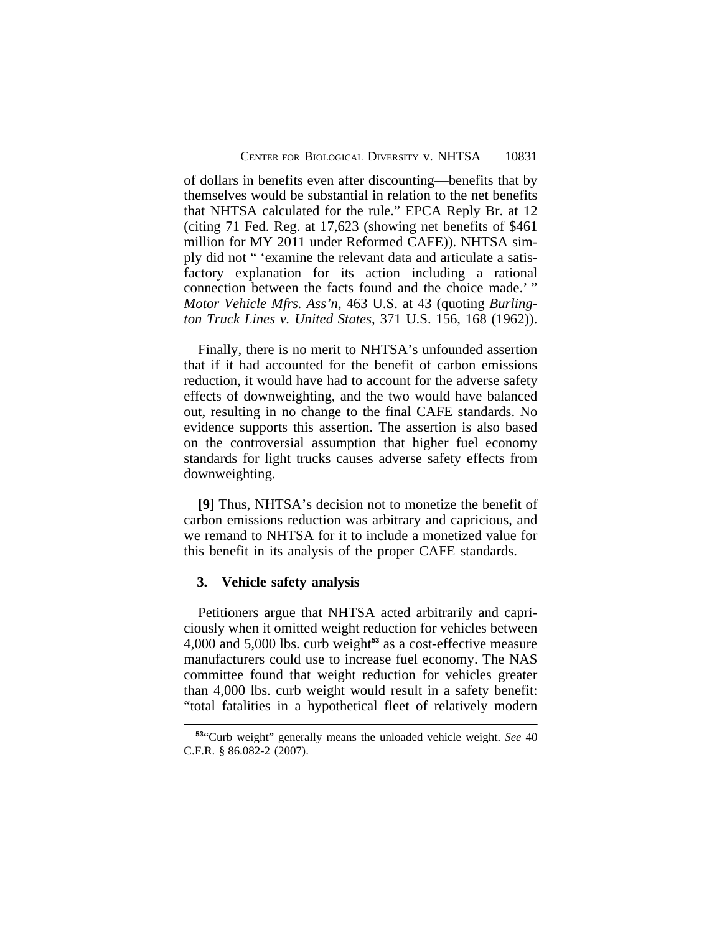of dollars in benefits even after discounting—benefits that by themselves would be substantial in relation to the net benefits that NHTSA calculated for the rule." EPCA Reply Br. at 12 (citing 71 Fed. Reg. at 17,623 (showing net benefits of \$461 million for MY 2011 under Reformed CAFE)). NHTSA simply did not " 'examine the relevant data and articulate a satisfactory explanation for its action including a rational connection between the facts found and the choice made.' " *Motor Vehicle Mfrs. Ass'n*, 463 U.S. at 43 (quoting *Burlington Truck Lines v. United States*, 371 U.S. 156, 168 (1962)).

Finally, there is no merit to NHTSA's unfounded assertion that if it had accounted for the benefit of carbon emissions reduction, it would have had to account for the adverse safety effects of downweighting, and the two would have balanced out, resulting in no change to the final CAFE standards. No evidence supports this assertion. The assertion is also based on the controversial assumption that higher fuel economy standards for light trucks causes adverse safety effects from downweighting.

**[9]** Thus, NHTSA's decision not to monetize the benefit of carbon emissions reduction was arbitrary and capricious, and we remand to NHTSA for it to include a monetized value for this benefit in its analysis of the proper CAFE standards.

### **3. Vehicle safety analysis**

Petitioners argue that NHTSA acted arbitrarily and capriciously when it omitted weight reduction for vehicles between 4,000 and 5,000 lbs. curb weight**<sup>53</sup>** as a cost-effective measure manufacturers could use to increase fuel economy. The NAS committee found that weight reduction for vehicles greater than 4,000 lbs. curb weight would result in a safety benefit: "total fatalities in a hypothetical fleet of relatively modern

**<sup>53</sup>**"Curb weight" generally means the unloaded vehicle weight. *See* 40 C.F.R. § 86.082-2 (2007).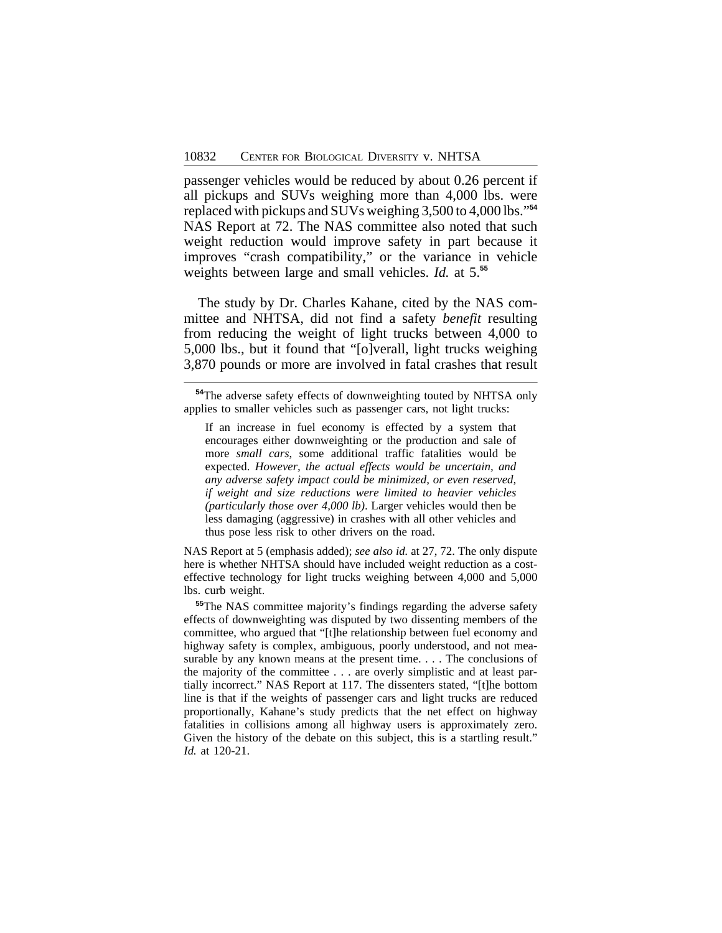passenger vehicles would be reduced by about 0.26 percent if all pickups and SUVs weighing more than 4,000 lbs. were replaced with pickups and SUVs weighing 3,500 to 4,000 lbs." **54** NAS Report at 72. The NAS committee also noted that such weight reduction would improve safety in part because it improves "crash compatibility," or the variance in vehicle weights between large and small vehicles. *Id.* at 5.**<sup>55</sup>**

The study by Dr. Charles Kahane, cited by the NAS committee and NHTSA, did not find a safety *benefit* resulting from reducing the weight of light trucks between 4,000 to 5,000 lbs., but it found that "[o]verall, light trucks weighing 3,870 pounds or more are involved in fatal crashes that result

If an increase in fuel economy is effected by a system that encourages either downweighting or the production and sale of more *small cars*, some additional traffic fatalities would be expected. *However, the actual effects would be uncertain, and any adverse safety impact could be minimized, or even reserved, if weight and size reductions were limited to heavier vehicles (particularly those over 4,000 lb)*. Larger vehicles would then be less damaging (aggressive) in crashes with all other vehicles and thus pose less risk to other drivers on the road.

NAS Report at 5 (emphasis added); *see also id.* at 27, 72. The only dispute here is whether NHTSA should have included weight reduction as a costeffective technology for light trucks weighing between 4,000 and 5,000 lbs. curb weight.

**<sup>55</sup>**The NAS committee majority's findings regarding the adverse safety effects of downweighting was disputed by two dissenting members of the committee, who argued that "[t]he relationship between fuel economy and highway safety is complex, ambiguous, poorly understood, and not measurable by any known means at the present time. . . . The conclusions of the majority of the committee . . . are overly simplistic and at least partially incorrect." NAS Report at 117. The dissenters stated, "[t]he bottom line is that if the weights of passenger cars and light trucks are reduced proportionally, Kahane's study predicts that the net effect on highway fatalities in collisions among all highway users is approximately zero. Given the history of the debate on this subject, this is a startling result." *Id.* at 120-21.

**<sup>54</sup>**The adverse safety effects of downweighting touted by NHTSA only applies to smaller vehicles such as passenger cars, not light trucks: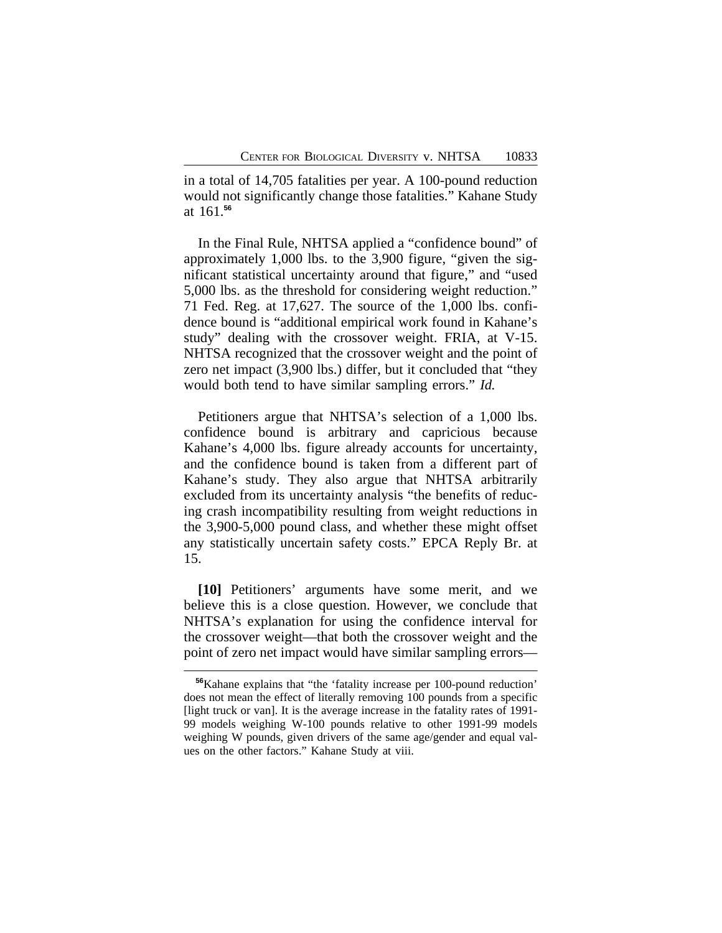in a total of 14,705 fatalities per year. A 100-pound reduction would not significantly change those fatalities." Kahane Study at 161.**<sup>56</sup>**

In the Final Rule, NHTSA applied a "confidence bound" of approximately 1,000 lbs. to the 3,900 figure, "given the significant statistical uncertainty around that figure," and "used 5,000 lbs. as the threshold for considering weight reduction." 71 Fed. Reg. at 17,627. The source of the 1,000 lbs. confidence bound is "additional empirical work found in Kahane's study" dealing with the crossover weight. FRIA, at V-15. NHTSA recognized that the crossover weight and the point of zero net impact (3,900 lbs.) differ, but it concluded that "they would both tend to have similar sampling errors." *Id.*

Petitioners argue that NHTSA's selection of a 1,000 lbs. confidence bound is arbitrary and capricious because Kahane's 4,000 lbs. figure already accounts for uncertainty, and the confidence bound is taken from a different part of Kahane's study. They also argue that NHTSA arbitrarily excluded from its uncertainty analysis "the benefits of reducing crash incompatibility resulting from weight reductions in the 3,900-5,000 pound class, and whether these might offset any statistically uncertain safety costs." EPCA Reply Br. at 15.

**[10]** Petitioners' arguments have some merit, and we believe this is a close question. However, we conclude that NHTSA's explanation for using the confidence interval for the crossover weight—that both the crossover weight and the point of zero net impact would have similar sampling errors—

**<sup>56</sup>**Kahane explains that "the 'fatality increase per 100-pound reduction' does not mean the effect of literally removing 100 pounds from a specific [light truck or van]. It is the average increase in the fatality rates of 1991- 99 models weighing W-100 pounds relative to other 1991-99 models weighing W pounds, given drivers of the same age/gender and equal values on the other factors." Kahane Study at viii.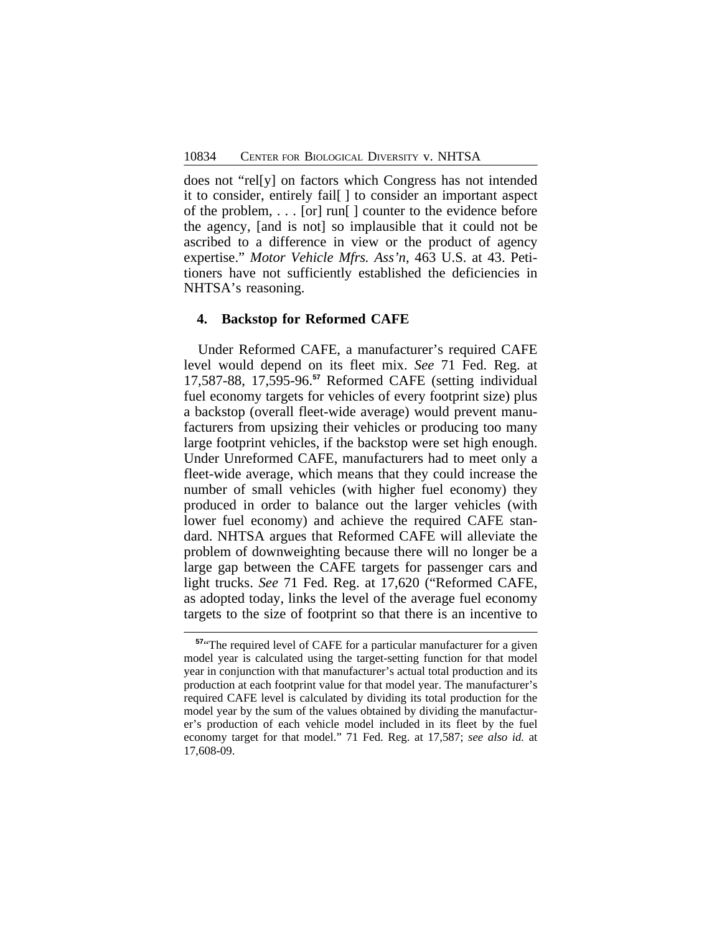does not "rel[y] on factors which Congress has not intended it to consider, entirely fail[ ] to consider an important aspect of the problem, . . . [or] run[ ] counter to the evidence before the agency, [and is not] so implausible that it could not be ascribed to a difference in view or the product of agency expertise." *Motor Vehicle Mfrs. Ass'n*, 463 U.S. at 43. Petitioners have not sufficiently established the deficiencies in NHTSA's reasoning.

#### **4. Backstop for Reformed CAFE**

Under Reformed CAFE, a manufacturer's required CAFE level would depend on its fleet mix. *See* 71 Fed. Reg. at 17,587-88, 17,595-96.**<sup>57</sup>** Reformed CAFE (setting individual fuel economy targets for vehicles of every footprint size) plus a backstop (overall fleet-wide average) would prevent manufacturers from upsizing their vehicles or producing too many large footprint vehicles, if the backstop were set high enough. Under Unreformed CAFE, manufacturers had to meet only a fleet-wide average, which means that they could increase the number of small vehicles (with higher fuel economy) they produced in order to balance out the larger vehicles (with lower fuel economy) and achieve the required CAFE standard. NHTSA argues that Reformed CAFE will alleviate the problem of downweighting because there will no longer be a large gap between the CAFE targets for passenger cars and light trucks. *See* 71 Fed. Reg. at 17,620 ("Reformed CAFE, as adopted today, links the level of the average fuel economy targets to the size of footprint so that there is an incentive to

**<sup>57</sup>**"The required level of CAFE for a particular manufacturer for a given model year is calculated using the target-setting function for that model year in conjunction with that manufacturer's actual total production and its production at each footprint value for that model year. The manufacturer's required CAFE level is calculated by dividing its total production for the model year by the sum of the values obtained by dividing the manufacturer's production of each vehicle model included in its fleet by the fuel economy target for that model." 71 Fed. Reg. at 17,587; *see also id.* at 17,608-09.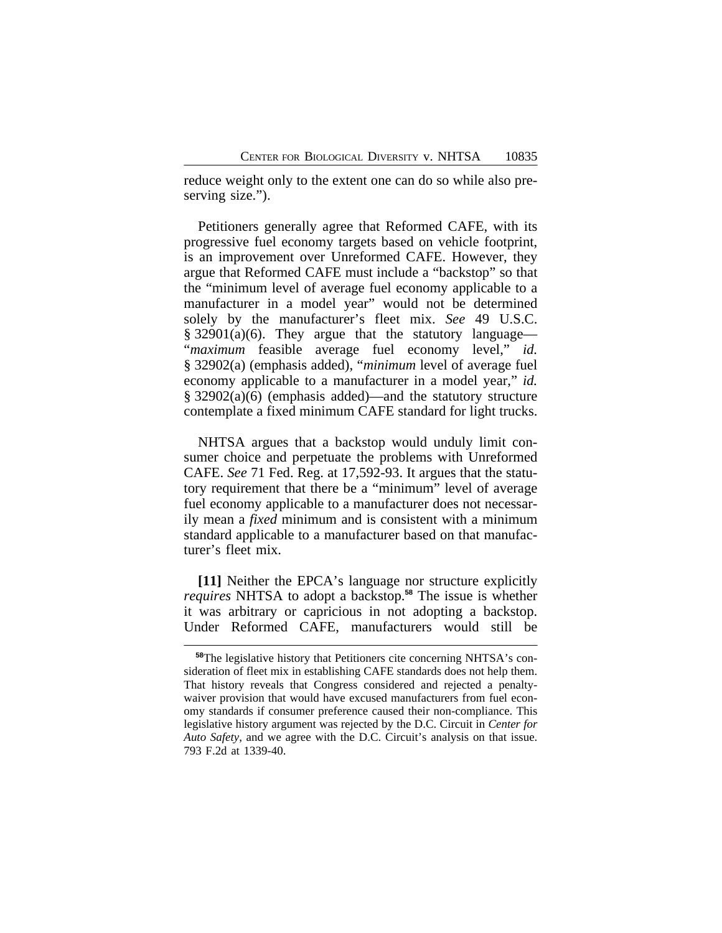reduce weight only to the extent one can do so while also preserving size.").

Petitioners generally agree that Reformed CAFE, with its progressive fuel economy targets based on vehicle footprint, is an improvement over Unreformed CAFE. However, they argue that Reformed CAFE must include a "backstop" so that the "minimum level of average fuel economy applicable to a manufacturer in a model year" would not be determined solely by the manufacturer's fleet mix. *See* 49 U.S.C. § 32901(a)(6). They argue that the statutory language— "*maximum* feasible average fuel economy level," *id.* § 32902(a) (emphasis added), "*minimum* level of average fuel economy applicable to a manufacturer in a model year," *id.* § 32902(a)(6) (emphasis added)—and the statutory structure contemplate a fixed minimum CAFE standard for light trucks.

NHTSA argues that a backstop would unduly limit consumer choice and perpetuate the problems with Unreformed CAFE. *See* 71 Fed. Reg. at 17,592-93. It argues that the statutory requirement that there be a "minimum" level of average fuel economy applicable to a manufacturer does not necessarily mean a *fixed* minimum and is consistent with a minimum standard applicable to a manufacturer based on that manufacturer's fleet mix.

**[11]** Neither the EPCA's language nor structure explicitly *requires* NHTSA to adopt a backstop.**<sup>58</sup>** The issue is whether it was arbitrary or capricious in not adopting a backstop. Under Reformed CAFE, manufacturers would still be

**<sup>58</sup>**The legislative history that Petitioners cite concerning NHTSA's consideration of fleet mix in establishing CAFE standards does not help them. That history reveals that Congress considered and rejected a penaltywaiver provision that would have excused manufacturers from fuel economy standards if consumer preference caused their non-compliance. This legislative history argument was rejected by the D.C. Circuit in *Center for Auto Safety*, and we agree with the D.C. Circuit's analysis on that issue. 793 F.2d at 1339-40.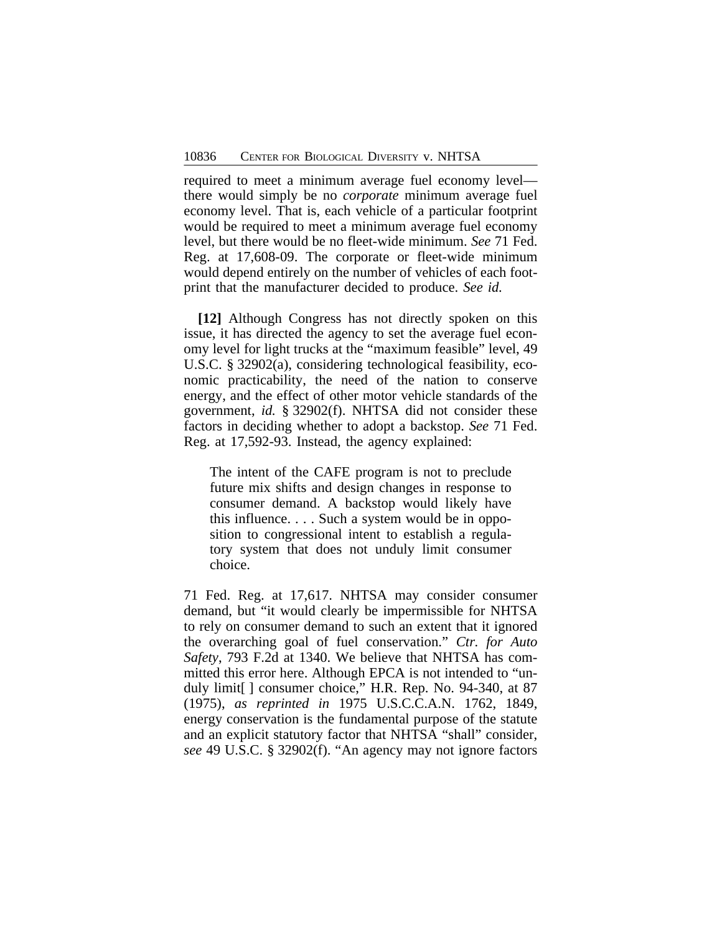required to meet a minimum average fuel economy level there would simply be no *corporate* minimum average fuel economy level. That is, each vehicle of a particular footprint would be required to meet a minimum average fuel economy level, but there would be no fleet-wide minimum. *See* 71 Fed. Reg. at 17,608-09. The corporate or fleet-wide minimum would depend entirely on the number of vehicles of each footprint that the manufacturer decided to produce. *See id.*

**[12]** Although Congress has not directly spoken on this issue, it has directed the agency to set the average fuel economy level for light trucks at the "maximum feasible" level, 49 U.S.C. § 32902(a), considering technological feasibility, economic practicability, the need of the nation to conserve energy, and the effect of other motor vehicle standards of the government, *id.* § 32902(f). NHTSA did not consider these factors in deciding whether to adopt a backstop. *See* 71 Fed. Reg. at 17,592-93. Instead, the agency explained:

The intent of the CAFE program is not to preclude future mix shifts and design changes in response to consumer demand. A backstop would likely have this influence. . . . Such a system would be in opposition to congressional intent to establish a regulatory system that does not unduly limit consumer choice.

71 Fed. Reg. at 17,617. NHTSA may consider consumer demand, but "it would clearly be impermissible for NHTSA to rely on consumer demand to such an extent that it ignored the overarching goal of fuel conservation." *Ctr. for Auto Safety*, 793 F.2d at 1340. We believe that NHTSA has committed this error here. Although EPCA is not intended to "unduly limit[ ] consumer choice," H.R. Rep. No. 94-340, at 87 (1975), *as reprinted in* 1975 U.S.C.C.A.N. 1762, 1849, energy conservation is the fundamental purpose of the statute and an explicit statutory factor that NHTSA "shall" consider, *see* 49 U.S.C. § 32902(f). "An agency may not ignore factors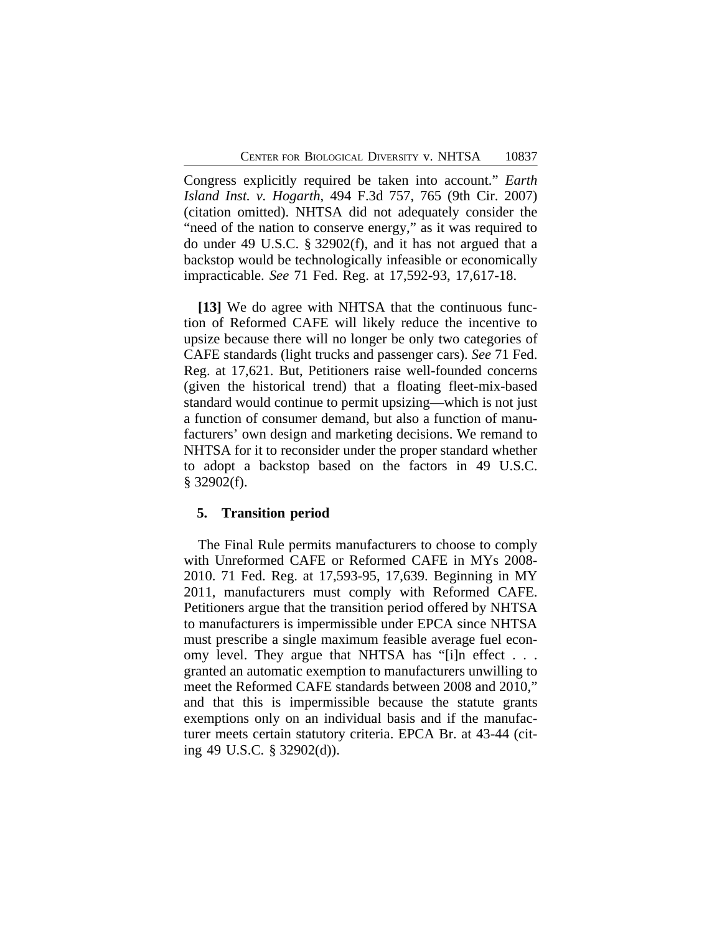Congress explicitly required be taken into account." *Earth Island Inst. v. Hogarth*, 494 F.3d 757, 765 (9th Cir. 2007) (citation omitted). NHTSA did not adequately consider the "need of the nation to conserve energy," as it was required to do under 49 U.S.C. § 32902(f), and it has not argued that a backstop would be technologically infeasible or economically impracticable. *See* 71 Fed. Reg. at 17,592-93, 17,617-18.

**[13]** We do agree with NHTSA that the continuous function of Reformed CAFE will likely reduce the incentive to upsize because there will no longer be only two categories of CAFE standards (light trucks and passenger cars). *See* 71 Fed. Reg. at 17,621. But, Petitioners raise well-founded concerns (given the historical trend) that a floating fleet-mix-based standard would continue to permit upsizing—which is not just a function of consumer demand, but also a function of manufacturers' own design and marketing decisions. We remand to NHTSA for it to reconsider under the proper standard whether to adopt a backstop based on the factors in 49 U.S.C.  $§$  32902(f).

#### **5. Transition period**

The Final Rule permits manufacturers to choose to comply with Unreformed CAFE or Reformed CAFE in MYs 2008- 2010. 71 Fed. Reg. at 17,593-95, 17,639. Beginning in MY 2011, manufacturers must comply with Reformed CAFE. Petitioners argue that the transition period offered by NHTSA to manufacturers is impermissible under EPCA since NHTSA must prescribe a single maximum feasible average fuel economy level. They argue that NHTSA has "[i]n effect . . . granted an automatic exemption to manufacturers unwilling to meet the Reformed CAFE standards between 2008 and 2010," and that this is impermissible because the statute grants exemptions only on an individual basis and if the manufacturer meets certain statutory criteria. EPCA Br. at 43-44 (citing 49 U.S.C. § 32902(d)).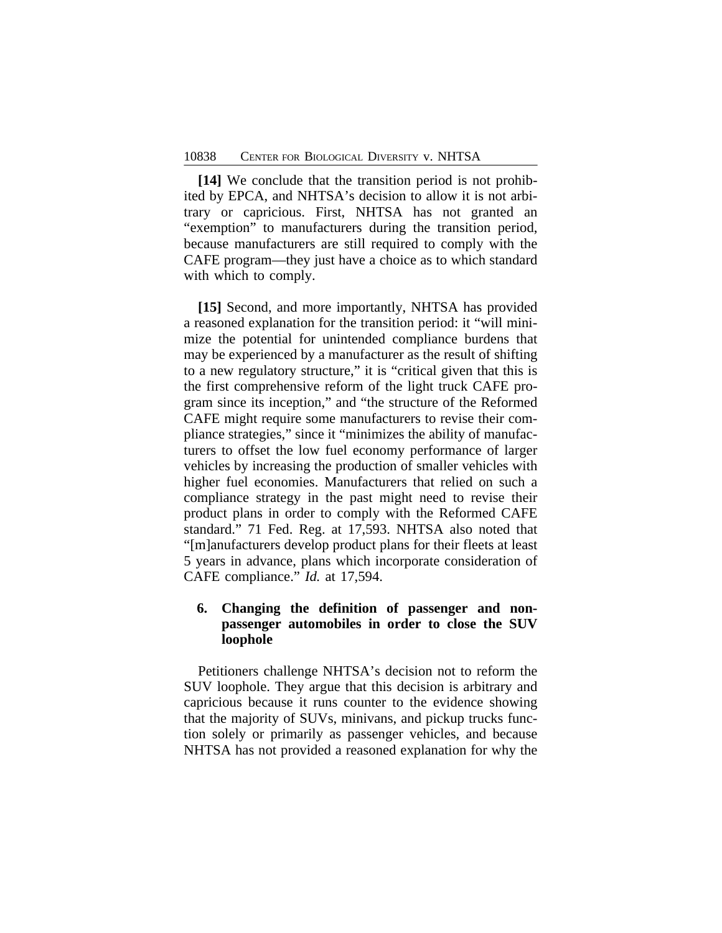**[14]** We conclude that the transition period is not prohibited by EPCA, and NHTSA's decision to allow it is not arbitrary or capricious. First, NHTSA has not granted an "exemption" to manufacturers during the transition period, because manufacturers are still required to comply with the CAFE program—they just have a choice as to which standard with which to comply.

**[15]** Second, and more importantly, NHTSA has provided a reasoned explanation for the transition period: it "will minimize the potential for unintended compliance burdens that may be experienced by a manufacturer as the result of shifting to a new regulatory structure," it is "critical given that this is the first comprehensive reform of the light truck CAFE program since its inception," and "the structure of the Reformed CAFE might require some manufacturers to revise their compliance strategies," since it "minimizes the ability of manufacturers to offset the low fuel economy performance of larger vehicles by increasing the production of smaller vehicles with higher fuel economies. Manufacturers that relied on such a compliance strategy in the past might need to revise their product plans in order to comply with the Reformed CAFE standard." 71 Fed. Reg. at 17,593. NHTSA also noted that "[m]anufacturers develop product plans for their fleets at least 5 years in advance, plans which incorporate consideration of CAFE compliance." *Id.* at 17,594.

# **6. Changing the definition of passenger and nonpassenger automobiles in order to close the SUV loophole**

Petitioners challenge NHTSA's decision not to reform the SUV loophole. They argue that this decision is arbitrary and capricious because it runs counter to the evidence showing that the majority of SUVs, minivans, and pickup trucks function solely or primarily as passenger vehicles, and because NHTSA has not provided a reasoned explanation for why the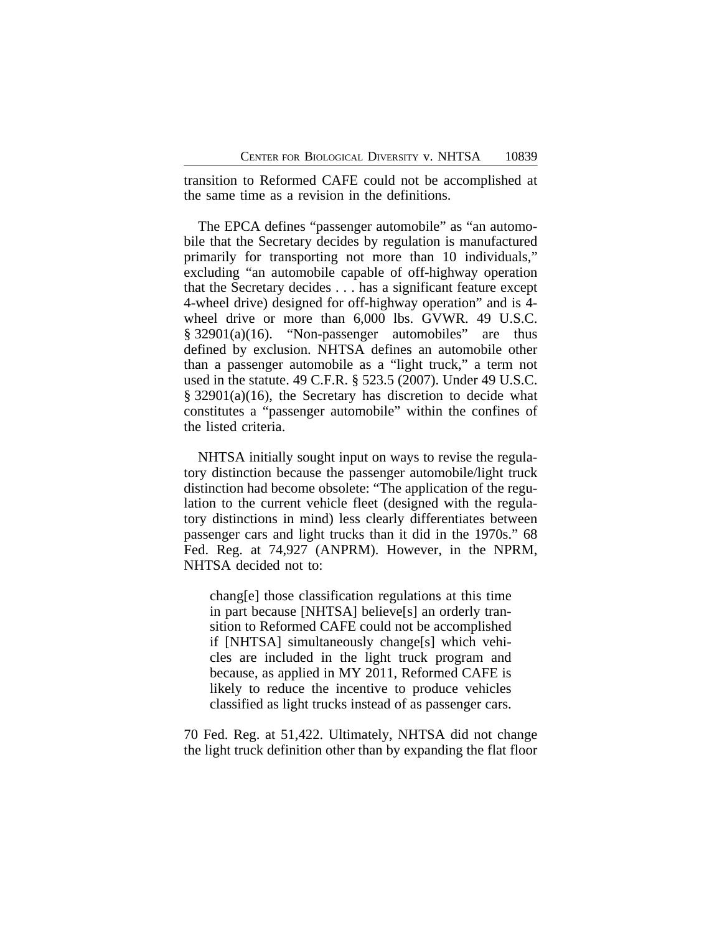transition to Reformed CAFE could not be accomplished at the same time as a revision in the definitions.

The EPCA defines "passenger automobile" as "an automobile that the Secretary decides by regulation is manufactured primarily for transporting not more than 10 individuals," excluding "an automobile capable of off-highway operation that the Secretary decides . . . has a significant feature except 4-wheel drive) designed for off-highway operation" and is 4 wheel drive or more than 6,000 lbs. GVWR. 49 U.S.C.  $§ 32901(a)(16)$ . "Non-passenger automobiles" are thus defined by exclusion. NHTSA defines an automobile other than a passenger automobile as a "light truck," a term not used in the statute. 49 C.F.R. § 523.5 (2007). Under 49 U.S.C. § 32901(a)(16), the Secretary has discretion to decide what constitutes a "passenger automobile" within the confines of the listed criteria.

NHTSA initially sought input on ways to revise the regulatory distinction because the passenger automobile/light truck distinction had become obsolete: "The application of the regulation to the current vehicle fleet (designed with the regulatory distinctions in mind) less clearly differentiates between passenger cars and light trucks than it did in the 1970s." 68 Fed. Reg. at 74,927 (ANPRM). However, in the NPRM, NHTSA decided not to:

chang[e] those classification regulations at this time in part because [NHTSA] believe[s] an orderly transition to Reformed CAFE could not be accomplished if [NHTSA] simultaneously change[s] which vehicles are included in the light truck program and because, as applied in MY 2011, Reformed CAFE is likely to reduce the incentive to produce vehicles classified as light trucks instead of as passenger cars.

70 Fed. Reg. at 51,422. Ultimately, NHTSA did not change the light truck definition other than by expanding the flat floor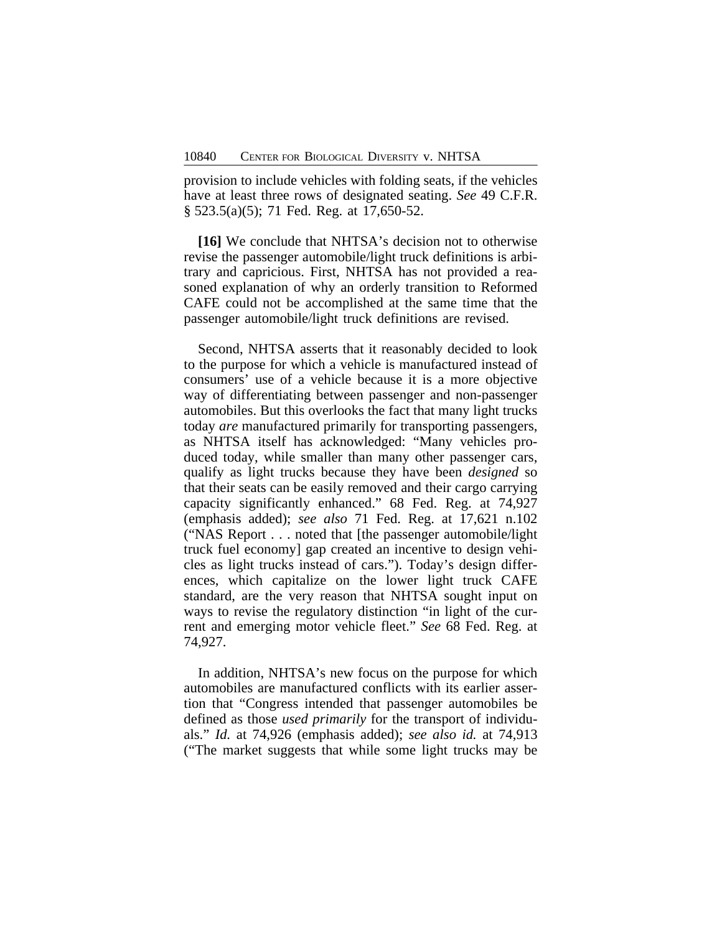provision to include vehicles with folding seats, if the vehicles have at least three rows of designated seating. *See* 49 C.F.R. § 523.5(a)(5); 71 Fed. Reg. at 17,650-52.

**[16]** We conclude that NHTSA's decision not to otherwise revise the passenger automobile/light truck definitions is arbitrary and capricious. First, NHTSA has not provided a reasoned explanation of why an orderly transition to Reformed CAFE could not be accomplished at the same time that the passenger automobile/light truck definitions are revised.

Second, NHTSA asserts that it reasonably decided to look to the purpose for which a vehicle is manufactured instead of consumers' use of a vehicle because it is a more objective way of differentiating between passenger and non-passenger automobiles. But this overlooks the fact that many light trucks today *are* manufactured primarily for transporting passengers, as NHTSA itself has acknowledged: "Many vehicles produced today, while smaller than many other passenger cars, qualify as light trucks because they have been *designed* so that their seats can be easily removed and their cargo carrying capacity significantly enhanced." 68 Fed. Reg. at 74,927 (emphasis added); *see also* 71 Fed. Reg. at 17,621 n.102 ("NAS Report . . . noted that [the passenger automobile/light truck fuel economy] gap created an incentive to design vehicles as light trucks instead of cars."). Today's design differences, which capitalize on the lower light truck CAFE standard, are the very reason that NHTSA sought input on ways to revise the regulatory distinction "in light of the current and emerging motor vehicle fleet." *See* 68 Fed. Reg. at 74,927.

In addition, NHTSA's new focus on the purpose for which automobiles are manufactured conflicts with its earlier assertion that "Congress intended that passenger automobiles be defined as those *used primarily* for the transport of individuals." *Id.* at 74,926 (emphasis added); *see also id.* at 74,913 ("The market suggests that while some light trucks may be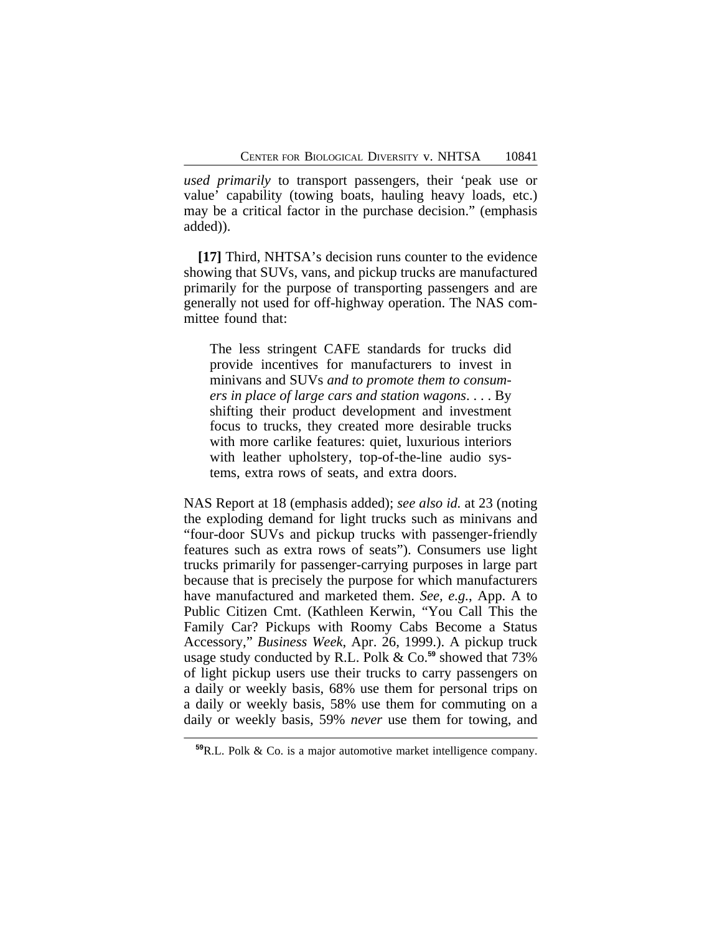*used primarily* to transport passengers, their 'peak use or value' capability (towing boats, hauling heavy loads, etc.) may be a critical factor in the purchase decision." (emphasis added)).

**[17]** Third, NHTSA's decision runs counter to the evidence showing that SUVs, vans, and pickup trucks are manufactured primarily for the purpose of transporting passengers and are generally not used for off-highway operation. The NAS committee found that:

The less stringent CAFE standards for trucks did provide incentives for manufacturers to invest in minivans and SUVs *and to promote them to consumers in place of large cars and station wagons*. . . . By shifting their product development and investment focus to trucks, they created more desirable trucks with more carlike features: quiet, luxurious interiors with leather upholstery, top-of-the-line audio systems, extra rows of seats, and extra doors.

NAS Report at 18 (emphasis added); *see also id.* at 23 (noting the exploding demand for light trucks such as minivans and "four-door SUVs and pickup trucks with passenger-friendly features such as extra rows of seats"). Consumers use light trucks primarily for passenger-carrying purposes in large part because that is precisely the purpose for which manufacturers have manufactured and marketed them. *See, e.g.*, App. A to Public Citizen Cmt. (Kathleen Kerwin, "You Call This the Family Car? Pickups with Roomy Cabs Become a Status Accessory," *Business Week*, Apr. 26, 1999.). A pickup truck usage study conducted by R.L. Polk & Co.**<sup>59</sup>** showed that 73% of light pickup users use their trucks to carry passengers on a daily or weekly basis, 68% use them for personal trips on a daily or weekly basis, 58% use them for commuting on a daily or weekly basis, 59% *never* use them for towing, and

**<sup>59</sup>**R.L. Polk & Co. is a major automotive market intelligence company.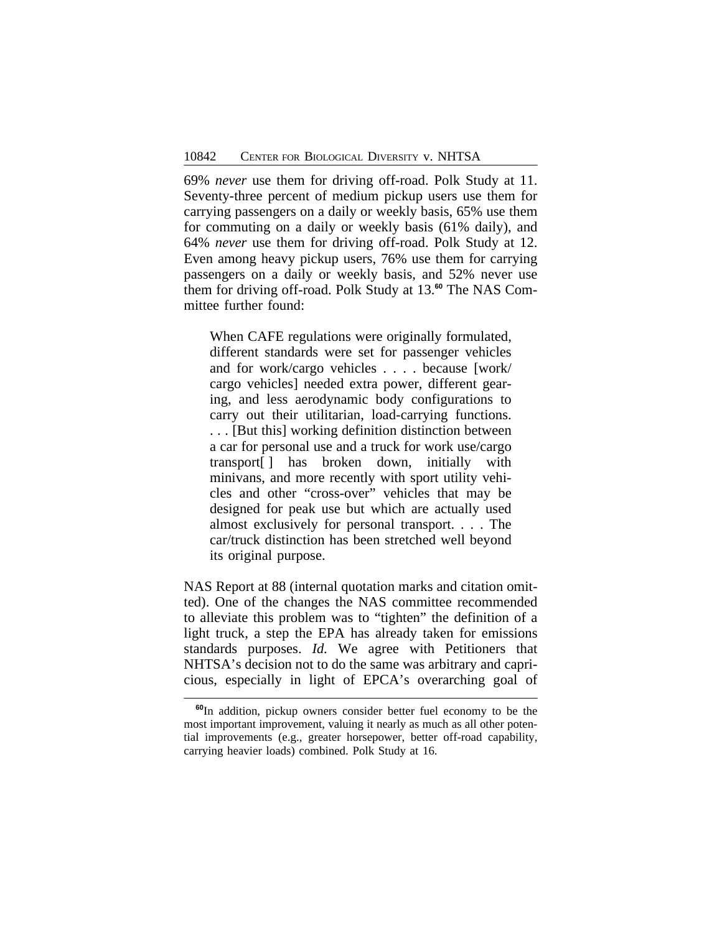69% *never* use them for driving off-road. Polk Study at 11. Seventy-three percent of medium pickup users use them for carrying passengers on a daily or weekly basis, 65% use them for commuting on a daily or weekly basis (61% daily), and 64% *never* use them for driving off-road. Polk Study at 12. Even among heavy pickup users, 76% use them for carrying passengers on a daily or weekly basis, and 52% never use them for driving off-road. Polk Study at 13.**60** The NAS Committee further found:

When CAFE regulations were originally formulated, different standards were set for passenger vehicles and for work/cargo vehicles . . . . because [work/ cargo vehicles] needed extra power, different gearing, and less aerodynamic body configurations to carry out their utilitarian, load-carrying functions. . . . [But this] working definition distinction between a car for personal use and a truck for work use/cargo transport[ ] has broken down, initially with minivans, and more recently with sport utility vehicles and other "cross-over" vehicles that may be designed for peak use but which are actually used almost exclusively for personal transport. . . . The car/truck distinction has been stretched well beyond its original purpose.

NAS Report at 88 (internal quotation marks and citation omitted). One of the changes the NAS committee recommended to alleviate this problem was to "tighten" the definition of a light truck, a step the EPA has already taken for emissions standards purposes. *Id.* We agree with Petitioners that NHTSA's decision not to do the same was arbitrary and capricious, especially in light of EPCA's overarching goal of

**<sup>60</sup>**In addition, pickup owners consider better fuel economy to be the most important improvement, valuing it nearly as much as all other potential improvements (e.g., greater horsepower, better off-road capability, carrying heavier loads) combined. Polk Study at 16.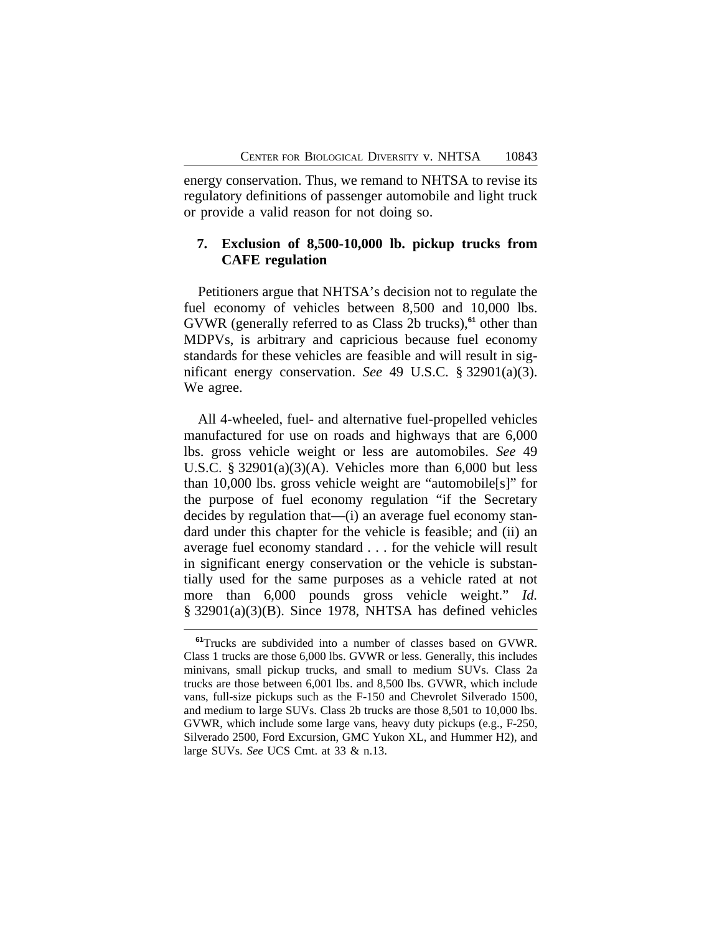energy conservation. Thus, we remand to NHTSA to revise its regulatory definitions of passenger automobile and light truck or provide a valid reason for not doing so.

## **7. Exclusion of 8,500-10,000 lb. pickup trucks from CAFE regulation**

Petitioners argue that NHTSA's decision not to regulate the fuel economy of vehicles between 8,500 and 10,000 lbs. GVWR (generally referred to as Class 2b trucks),**<sup>61</sup>** other than MDPVs, is arbitrary and capricious because fuel economy standards for these vehicles are feasible and will result in significant energy conservation. *See* 49 U.S.C. § 32901(a)(3). We agree.

All 4-wheeled, fuel- and alternative fuel-propelled vehicles manufactured for use on roads and highways that are 6,000 lbs. gross vehicle weight or less are automobiles. *See* 49 U.S.C.  $\S$  32901(a)(3)(A). Vehicles more than 6,000 but less than 10,000 lbs. gross vehicle weight are "automobile[s]" for the purpose of fuel economy regulation "if the Secretary decides by regulation that—(i) an average fuel economy standard under this chapter for the vehicle is feasible; and (ii) an average fuel economy standard . . . for the vehicle will result in significant energy conservation or the vehicle is substantially used for the same purposes as a vehicle rated at not more than 6,000 pounds gross vehicle weight." *Id.* § 32901(a)(3)(B). Since 1978, NHTSA has defined vehicles

**<sup>61</sup>**Trucks are subdivided into a number of classes based on GVWR. Class 1 trucks are those 6,000 lbs. GVWR or less. Generally, this includes minivans, small pickup trucks, and small to medium SUVs. Class 2a trucks are those between 6,001 lbs. and 8,500 lbs. GVWR, which include vans, full-size pickups such as the F-150 and Chevrolet Silverado 1500, and medium to large SUVs. Class 2b trucks are those 8,501 to 10,000 lbs. GVWR, which include some large vans, heavy duty pickups (e.g., F-250, Silverado 2500, Ford Excursion, GMC Yukon XL, and Hummer H2), and large SUVs. *See* UCS Cmt. at 33 & n.13.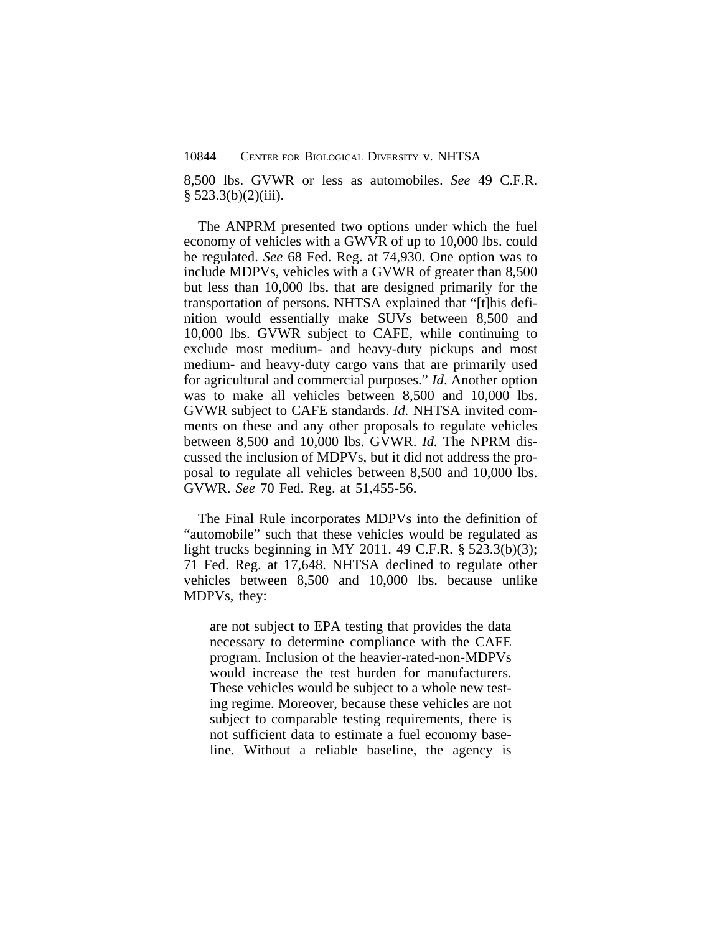8,500 lbs. GVWR or less as automobiles. *See* 49 C.F.R.  $§ 523.3(b)(2)(iii).$ 

The ANPRM presented two options under which the fuel economy of vehicles with a GWVR of up to 10,000 lbs. could be regulated. *See* 68 Fed. Reg. at 74,930. One option was to include MDPVs, vehicles with a GVWR of greater than 8,500 but less than 10,000 lbs. that are designed primarily for the transportation of persons. NHTSA explained that "[t]his definition would essentially make SUVs between 8,500 and 10,000 lbs. GVWR subject to CAFE, while continuing to exclude most medium- and heavy-duty pickups and most medium- and heavy-duty cargo vans that are primarily used for agricultural and commercial purposes." *Id*. Another option was to make all vehicles between 8,500 and 10,000 lbs. GVWR subject to CAFE standards. *Id.* NHTSA invited comments on these and any other proposals to regulate vehicles between 8,500 and 10,000 lbs. GVWR. *Id.* The NPRM discussed the inclusion of MDPVs, but it did not address the proposal to regulate all vehicles between 8,500 and 10,000 lbs. GVWR. *See* 70 Fed. Reg. at 51,455-56.

The Final Rule incorporates MDPVs into the definition of "automobile" such that these vehicles would be regulated as light trucks beginning in MY 2011. 49 C.F.R. § 523.3(b)(3); 71 Fed. Reg. at 17,648. NHTSA declined to regulate other vehicles between 8,500 and 10,000 lbs. because unlike MDPVs, they:

are not subject to EPA testing that provides the data necessary to determine compliance with the CAFE program. Inclusion of the heavier-rated-non-MDPVs would increase the test burden for manufacturers. These vehicles would be subject to a whole new testing regime. Moreover, because these vehicles are not subject to comparable testing requirements, there is not sufficient data to estimate a fuel economy baseline. Without a reliable baseline, the agency is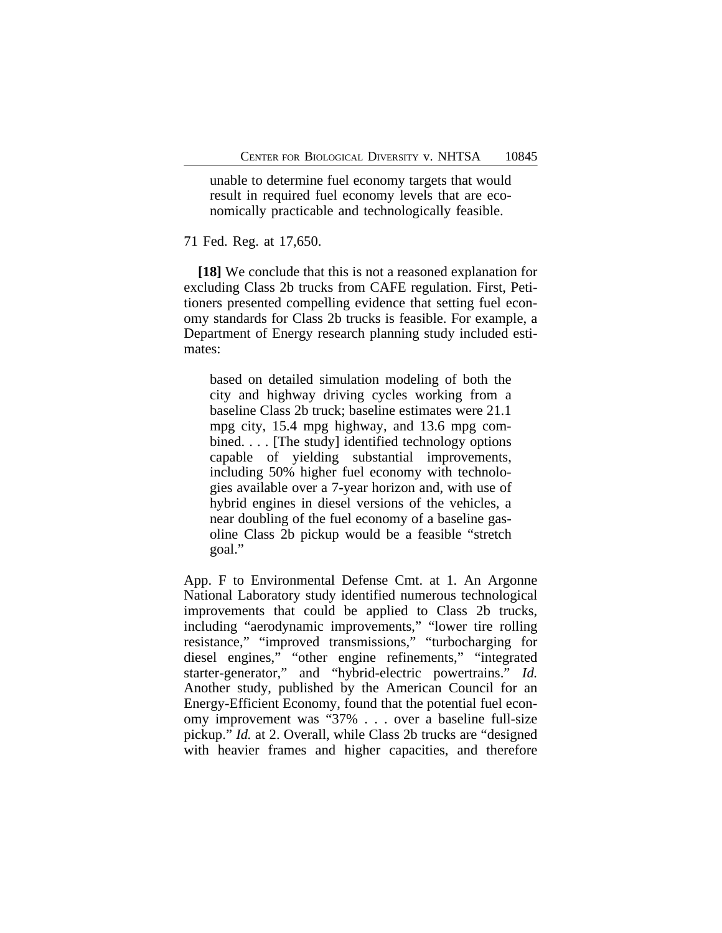unable to determine fuel economy targets that would result in required fuel economy levels that are economically practicable and technologically feasible.

#### 71 Fed. Reg. at 17,650.

**[18]** We conclude that this is not a reasoned explanation for excluding Class 2b trucks from CAFE regulation. First, Petitioners presented compelling evidence that setting fuel economy standards for Class 2b trucks is feasible. For example, a Department of Energy research planning study included estimates:

based on detailed simulation modeling of both the city and highway driving cycles working from a baseline Class 2b truck; baseline estimates were 21.1 mpg city, 15.4 mpg highway, and 13.6 mpg combined. . . . [The study] identified technology options capable of yielding substantial improvements, including 50% higher fuel economy with technologies available over a 7-year horizon and, with use of hybrid engines in diesel versions of the vehicles, a near doubling of the fuel economy of a baseline gasoline Class 2b pickup would be a feasible "stretch goal."

App. F to Environmental Defense Cmt. at 1. An Argonne National Laboratory study identified numerous technological improvements that could be applied to Class 2b trucks, including "aerodynamic improvements," "lower tire rolling resistance," "improved transmissions," "turbocharging for diesel engines," "other engine refinements," "integrated starter-generator," and "hybrid-electric powertrains." *Id.* Another study, published by the American Council for an Energy-Efficient Economy, found that the potential fuel economy improvement was "37% . . . over a baseline full-size pickup." *Id.* at 2. Overall, while Class 2b trucks are "designed with heavier frames and higher capacities, and therefore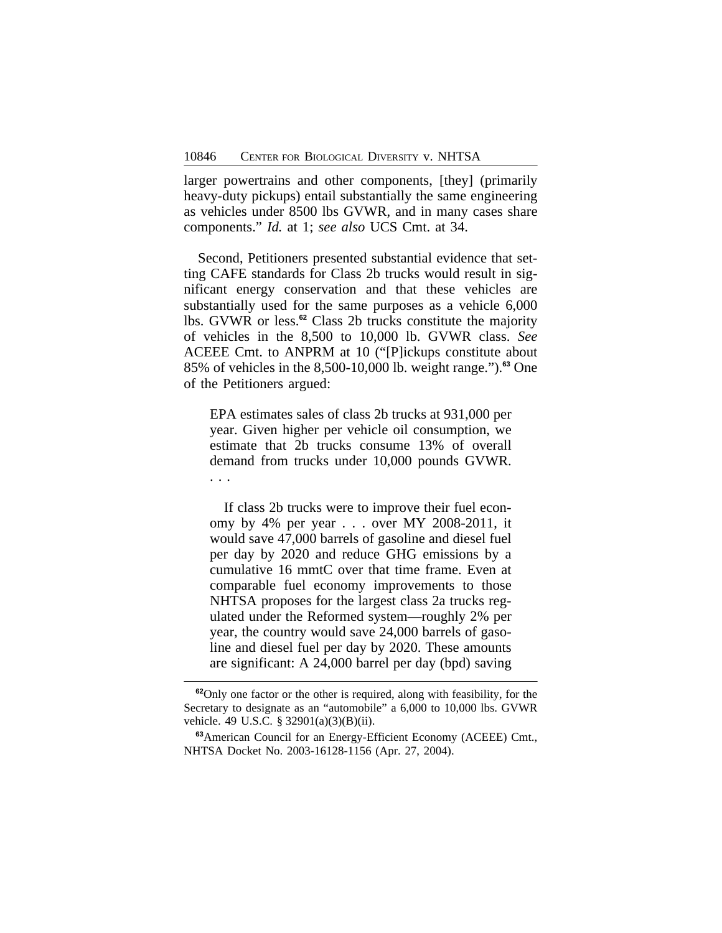larger powertrains and other components, [they] (primarily heavy-duty pickups) entail substantially the same engineering as vehicles under 8500 lbs GVWR, and in many cases share components." *Id.* at 1; *see also* UCS Cmt. at 34.

Second, Petitioners presented substantial evidence that setting CAFE standards for Class 2b trucks would result in significant energy conservation and that these vehicles are substantially used for the same purposes as a vehicle 6,000 lbs. GVWR or less.**<sup>62</sup>** Class 2b trucks constitute the majority of vehicles in the 8,500 to 10,000 lb. GVWR class. *See* ACEEE Cmt. to ANPRM at 10 ("[P]ickups constitute about 85% of vehicles in the 8,500-10,000 lb. weight range.").**<sup>63</sup>** One of the Petitioners argued:

EPA estimates sales of class 2b trucks at 931,000 per year. Given higher per vehicle oil consumption, we estimate that 2b trucks consume 13% of overall demand from trucks under 10,000 pounds GVWR. . . .

If class 2b trucks were to improve their fuel economy by 4% per year . . . over MY 2008-2011, it would save 47,000 barrels of gasoline and diesel fuel per day by 2020 and reduce GHG emissions by a cumulative 16 mmtC over that time frame. Even at comparable fuel economy improvements to those NHTSA proposes for the largest class 2a trucks regulated under the Reformed system—roughly 2% per year, the country would save 24,000 barrels of gasoline and diesel fuel per day by 2020. These amounts are significant: A 24,000 barrel per day (bpd) saving

**<sup>62</sup>**Only one factor or the other is required, along with feasibility, for the Secretary to designate as an "automobile" a 6,000 to 10,000 lbs. GVWR vehicle. 49 U.S.C. § 32901(a)(3)(B)(ii).

**<sup>63</sup>**American Council for an Energy-Efficient Economy (ACEEE) Cmt., NHTSA Docket No. 2003-16128-1156 (Apr. 27, 2004).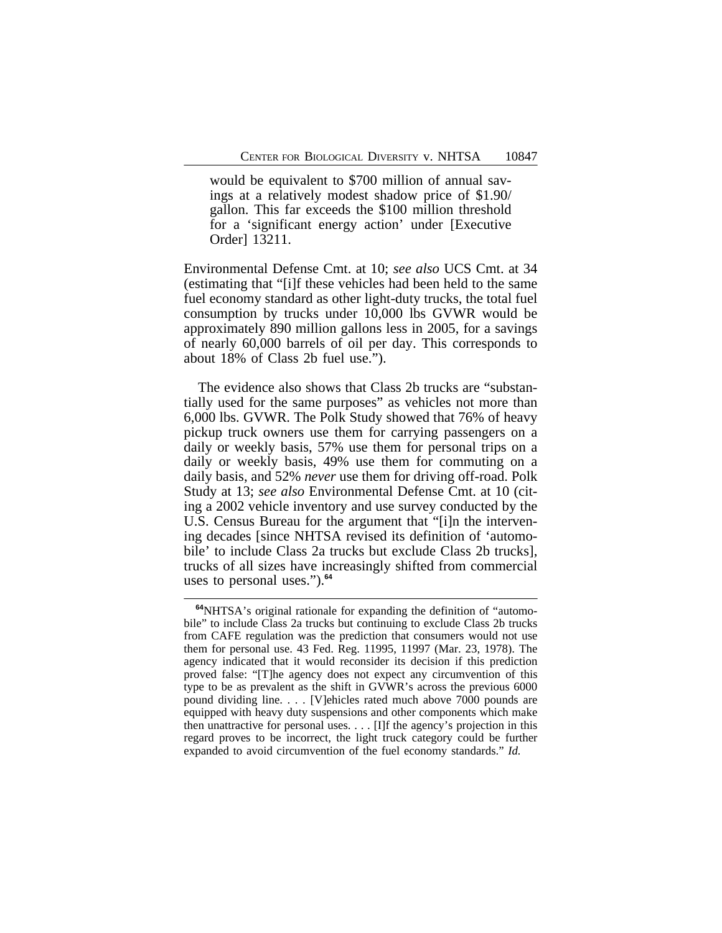would be equivalent to \$700 million of annual savings at a relatively modest shadow price of \$1.90/ gallon. This far exceeds the \$100 million threshold for a 'significant energy action' under [Executive Order] 13211.

Environmental Defense Cmt. at 10; *see also* UCS Cmt. at 34 (estimating that "[i]f these vehicles had been held to the same fuel economy standard as other light-duty trucks, the total fuel consumption by trucks under 10,000 lbs GVWR would be approximately 890 million gallons less in 2005, for a savings of nearly 60,000 barrels of oil per day. This corresponds to about 18% of Class 2b fuel use.").

The evidence also shows that Class 2b trucks are "substantially used for the same purposes" as vehicles not more than 6,000 lbs. GVWR. The Polk Study showed that 76% of heavy pickup truck owners use them for carrying passengers on a daily or weekly basis, 57% use them for personal trips on a daily or weekly basis, 49% use them for commuting on a daily basis, and 52% *never* use them for driving off-road. Polk Study at 13; *see also* Environmental Defense Cmt. at 10 (citing a 2002 vehicle inventory and use survey conducted by the U.S. Census Bureau for the argument that "[i]n the intervening decades [since NHTSA revised its definition of 'automobile' to include Class 2a trucks but exclude Class 2b trucks], trucks of all sizes have increasingly shifted from commercial uses to personal uses.").**<sup>64</sup>**

**<sup>64</sup>**NHTSA's original rationale for expanding the definition of "automobile" to include Class 2a trucks but continuing to exclude Class 2b trucks from CAFE regulation was the prediction that consumers would not use them for personal use. 43 Fed. Reg. 11995, 11997 (Mar. 23, 1978). The agency indicated that it would reconsider its decision if this prediction proved false: "[T]he agency does not expect any circumvention of this type to be as prevalent as the shift in GVWR's across the previous 6000 pound dividing line. . . . [V]ehicles rated much above 7000 pounds are equipped with heavy duty suspensions and other components which make then unattractive for personal uses. . . . [I]f the agency's projection in this regard proves to be incorrect, the light truck category could be further expanded to avoid circumvention of the fuel economy standards." *Id.*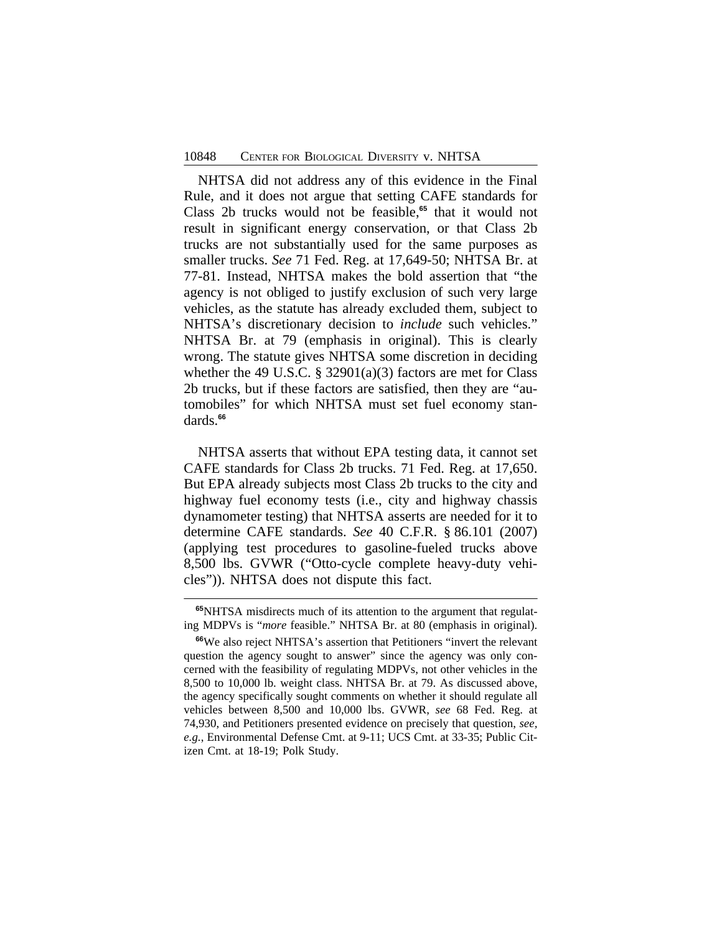NHTSA did not address any of this evidence in the Final Rule, and it does not argue that setting CAFE standards for Class 2b trucks would not be feasible,**<sup>65</sup>** that it would not result in significant energy conservation, or that Class 2b trucks are not substantially used for the same purposes as smaller trucks. *See* 71 Fed. Reg. at 17,649-50; NHTSA Br. at 77-81. Instead, NHTSA makes the bold assertion that "the agency is not obliged to justify exclusion of such very large vehicles, as the statute has already excluded them, subject to NHTSA's discretionary decision to *include* such vehicles." NHTSA Br. at 79 (emphasis in original). This is clearly wrong. The statute gives NHTSA some discretion in deciding whether the 49 U.S.C. § 32901(a)(3) factors are met for Class 2b trucks, but if these factors are satisfied, then they are "automobiles" for which NHTSA must set fuel economy standards.**<sup>66</sup>**

NHTSA asserts that without EPA testing data, it cannot set CAFE standards for Class 2b trucks. 71 Fed. Reg. at 17,650. But EPA already subjects most Class 2b trucks to the city and highway fuel economy tests (i.e., city and highway chassis dynamometer testing) that NHTSA asserts are needed for it to determine CAFE standards. *See* 40 C.F.R. § 86.101 (2007) (applying test procedures to gasoline-fueled trucks above 8,500 lbs. GVWR ("Otto-cycle complete heavy-duty vehicles")). NHTSA does not dispute this fact.

**<sup>65</sup>**NHTSA misdirects much of its attention to the argument that regulating MDPVs is "*more* feasible." NHTSA Br. at 80 (emphasis in original).

**<sup>66</sup>**We also reject NHTSA's assertion that Petitioners "invert the relevant question the agency sought to answer" since the agency was only concerned with the feasibility of regulating MDPVs, not other vehicles in the 8,500 to 10,000 lb. weight class. NHTSA Br. at 79. As discussed above, the agency specifically sought comments on whether it should regulate all vehicles between 8,500 and 10,000 lbs. GVWR, *see* 68 Fed. Reg. at 74,930, and Petitioners presented evidence on precisely that question, *see, e.g.*, Environmental Defense Cmt. at 9-11; UCS Cmt. at 33-35; Public Citizen Cmt. at 18-19; Polk Study.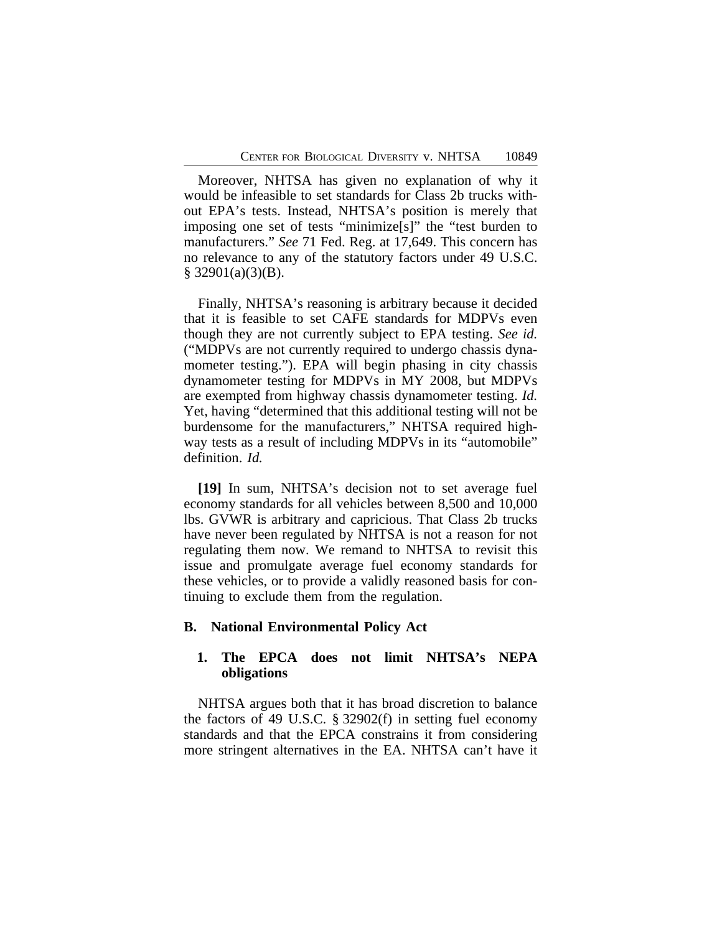Moreover, NHTSA has given no explanation of why it would be infeasible to set standards for Class 2b trucks without EPA's tests. Instead, NHTSA's position is merely that imposing one set of tests "minimize[s]" the "test burden to manufacturers." *See* 71 Fed. Reg. at 17,649. This concern has no relevance to any of the statutory factors under 49 U.S.C.  $§$  32901(a)(3)(B).

Finally, NHTSA's reasoning is arbitrary because it decided that it is feasible to set CAFE standards for MDPVs even though they are not currently subject to EPA testing. *See id.* ("MDPVs are not currently required to undergo chassis dynamometer testing."). EPA will begin phasing in city chassis dynamometer testing for MDPVs in MY 2008, but MDPVs are exempted from highway chassis dynamometer testing. *Id.* Yet, having "determined that this additional testing will not be burdensome for the manufacturers," NHTSA required highway tests as a result of including MDPVs in its "automobile" definition. *Id.*

**[19]** In sum, NHTSA's decision not to set average fuel economy standards for all vehicles between 8,500 and 10,000 lbs. GVWR is arbitrary and capricious. That Class 2b trucks have never been regulated by NHTSA is not a reason for not regulating them now. We remand to NHTSA to revisit this issue and promulgate average fuel economy standards for these vehicles, or to provide a validly reasoned basis for continuing to exclude them from the regulation.

#### **B. National Environmental Policy Act**

## **1. The EPCA does not limit NHTSA's NEPA obligations**

NHTSA argues both that it has broad discretion to balance the factors of 49 U.S.C. § 32902(f) in setting fuel economy standards and that the EPCA constrains it from considering more stringent alternatives in the EA. NHTSA can't have it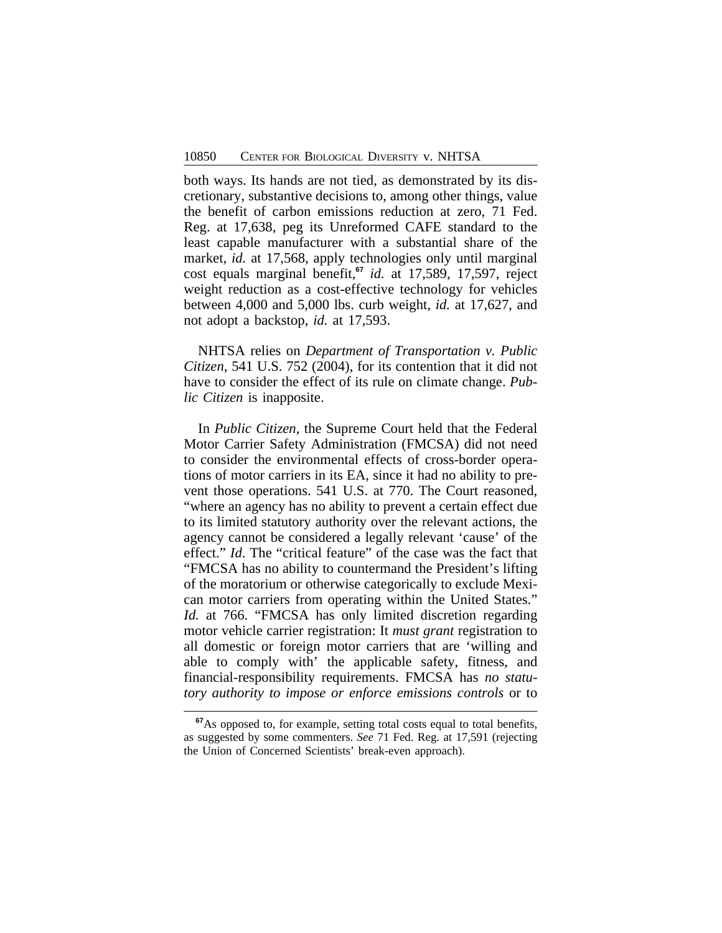both ways. Its hands are not tied, as demonstrated by its discretionary, substantive decisions to, among other things, value the benefit of carbon emissions reduction at zero, 71 Fed. Reg. at 17,638, peg its Unreformed CAFE standard to the least capable manufacturer with a substantial share of the market, *id.* at 17,568, apply technologies only until marginal cost equals marginal benefit,**<sup>67</sup>** *id.* at 17,589, 17,597, reject weight reduction as a cost-effective technology for vehicles between 4,000 and 5,000 lbs. curb weight, *id.* at 17,627, and not adopt a backstop, *id.* at 17,593.

NHTSA relies on *Department of Transportation v. Public Citizen*, 541 U.S. 752 (2004), for its contention that it did not have to consider the effect of its rule on climate change. *Public Citizen* is inapposite.

In *Public Citizen*, the Supreme Court held that the Federal Motor Carrier Safety Administration (FMCSA) did not need to consider the environmental effects of cross-border operations of motor carriers in its EA, since it had no ability to prevent those operations. 541 U.S. at 770. The Court reasoned, "where an agency has no ability to prevent a certain effect due to its limited statutory authority over the relevant actions, the agency cannot be considered a legally relevant 'cause' of the effect." *Id*. The "critical feature" of the case was the fact that "FMCSA has no ability to countermand the President's lifting of the moratorium or otherwise categorically to exclude Mexican motor carriers from operating within the United States." *Id.* at 766. "FMCSA has only limited discretion regarding motor vehicle carrier registration: It *must grant* registration to all domestic or foreign motor carriers that are 'willing and able to comply with' the applicable safety, fitness, and financial-responsibility requirements. FMCSA has *no statutory authority to impose or enforce emissions controls* or to

**<sup>67</sup>**As opposed to, for example, setting total costs equal to total benefits, as suggested by some commenters. *See* 71 Fed. Reg. at 17,591 (rejecting the Union of Concerned Scientists' break-even approach).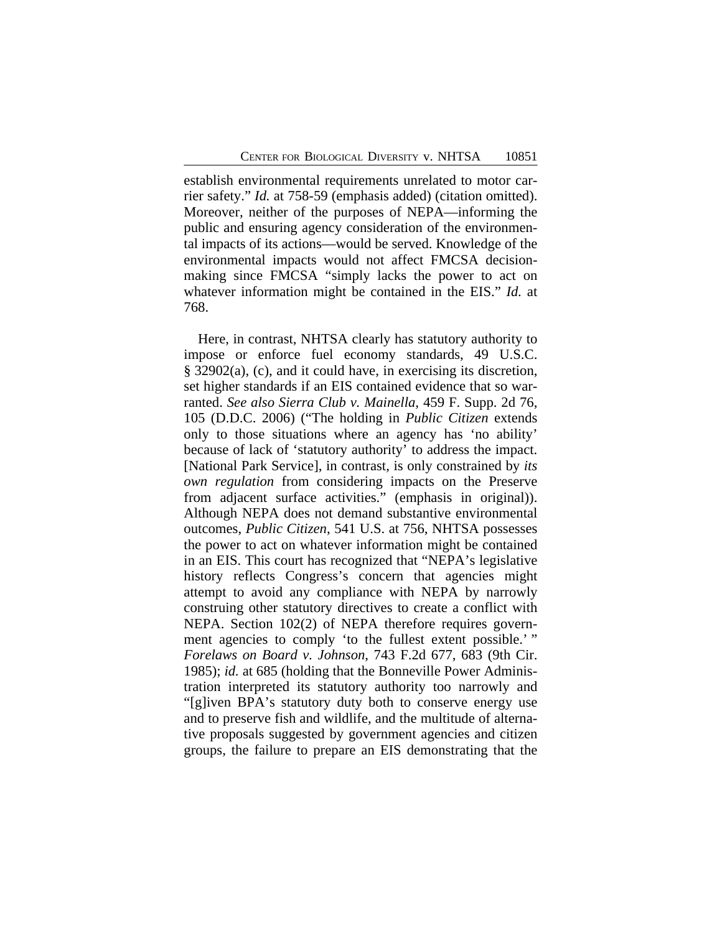establish environmental requirements unrelated to motor carrier safety." *Id.* at 758-59 (emphasis added) (citation omitted). Moreover, neither of the purposes of NEPA—informing the public and ensuring agency consideration of the environmental impacts of its actions—would be served. Knowledge of the environmental impacts would not affect FMCSA decisionmaking since FMCSA "simply lacks the power to act on whatever information might be contained in the EIS." *Id.* at 768.

Here, in contrast, NHTSA clearly has statutory authority to impose or enforce fuel economy standards, 49 U.S.C. § 32902(a), (c), and it could have, in exercising its discretion, set higher standards if an EIS contained evidence that so warranted. *See also Sierra Club v. Mainella*, 459 F. Supp. 2d 76, 105 (D.D.C. 2006) ("The holding in *Public Citizen* extends only to those situations where an agency has 'no ability' because of lack of 'statutory authority' to address the impact. [National Park Service], in contrast, is only constrained by *its own regulation* from considering impacts on the Preserve from adjacent surface activities." (emphasis in original)). Although NEPA does not demand substantive environmental outcomes, *Public Citizen*, 541 U.S. at 756, NHTSA possesses the power to act on whatever information might be contained in an EIS. This court has recognized that "NEPA's legislative history reflects Congress's concern that agencies might attempt to avoid any compliance with NEPA by narrowly construing other statutory directives to create a conflict with NEPA. Section 102(2) of NEPA therefore requires government agencies to comply 'to the fullest extent possible.' " *Forelaws on Board v. Johnson*, 743 F.2d 677, 683 (9th Cir. 1985); *id.* at 685 (holding that the Bonneville Power Administration interpreted its statutory authority too narrowly and "[g]iven BPA's statutory duty both to conserve energy use and to preserve fish and wildlife, and the multitude of alternative proposals suggested by government agencies and citizen groups, the failure to prepare an EIS demonstrating that the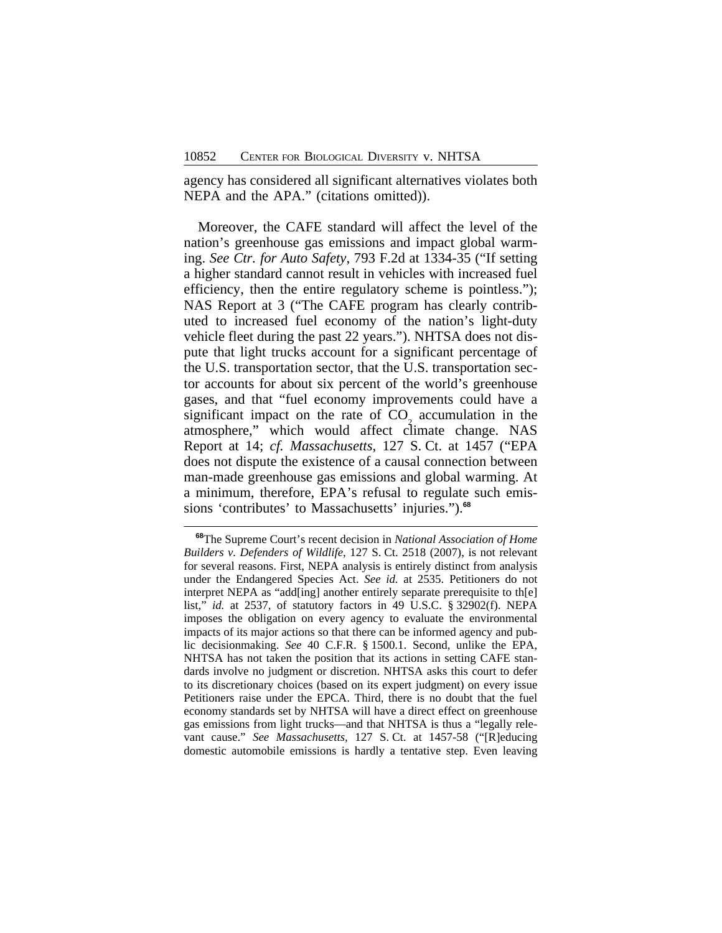agency has considered all significant alternatives violates both NEPA and the APA." (citations omitted)).

Moreover, the CAFE standard will affect the level of the nation's greenhouse gas emissions and impact global warming. *See Ctr. for Auto Safety*, 793 F.2d at 1334-35 ("If setting a higher standard cannot result in vehicles with increased fuel efficiency, then the entire regulatory scheme is pointless."); NAS Report at 3 ("The CAFE program has clearly contributed to increased fuel economy of the nation's light-duty vehicle fleet during the past 22 years."). NHTSA does not dispute that light trucks account for a significant percentage of the U.S. transportation sector, that the U.S. transportation sector accounts for about six percent of the world's greenhouse gases, and that "fuel economy improvements could have a significant impact on the rate of  $CO<sub>2</sub>$  accumulation in the atmosphere," which would affect climate change. NAS Report at 14; *cf. Massachusetts*, 127 S. Ct. at 1457 ("EPA does not dispute the existence of a causal connection between man-made greenhouse gas emissions and global warming. At a minimum, therefore, EPA's refusal to regulate such emissions 'contributes' to Massachusetts' injuries.").**<sup>68</sup>**

**<sup>68</sup>**The Supreme Court's recent decision in *National Association of Home Builders v. Defenders of Wildlife*, 127 S. Ct. 2518 (2007), is not relevant for several reasons. First, NEPA analysis is entirely distinct from analysis under the Endangered Species Act. *See id.* at 2535. Petitioners do not interpret NEPA as "add[ing] another entirely separate prerequisite to th[e] list," *id.* at 2537, of statutory factors in 49 U.S.C. § 32902(f). NEPA imposes the obligation on every agency to evaluate the environmental impacts of its major actions so that there can be informed agency and public decisionmaking. *See* 40 C.F.R. § 1500.1. Second, unlike the EPA, NHTSA has not taken the position that its actions in setting CAFE standards involve no judgment or discretion. NHTSA asks this court to defer to its discretionary choices (based on its expert judgment) on every issue Petitioners raise under the EPCA. Third, there is no doubt that the fuel economy standards set by NHTSA will have a direct effect on greenhouse gas emissions from light trucks—and that NHTSA is thus a "legally relevant cause." *See Massachusetts*, 127 S. Ct. at 1457-58 ("[R]educing domestic automobile emissions is hardly a tentative step. Even leaving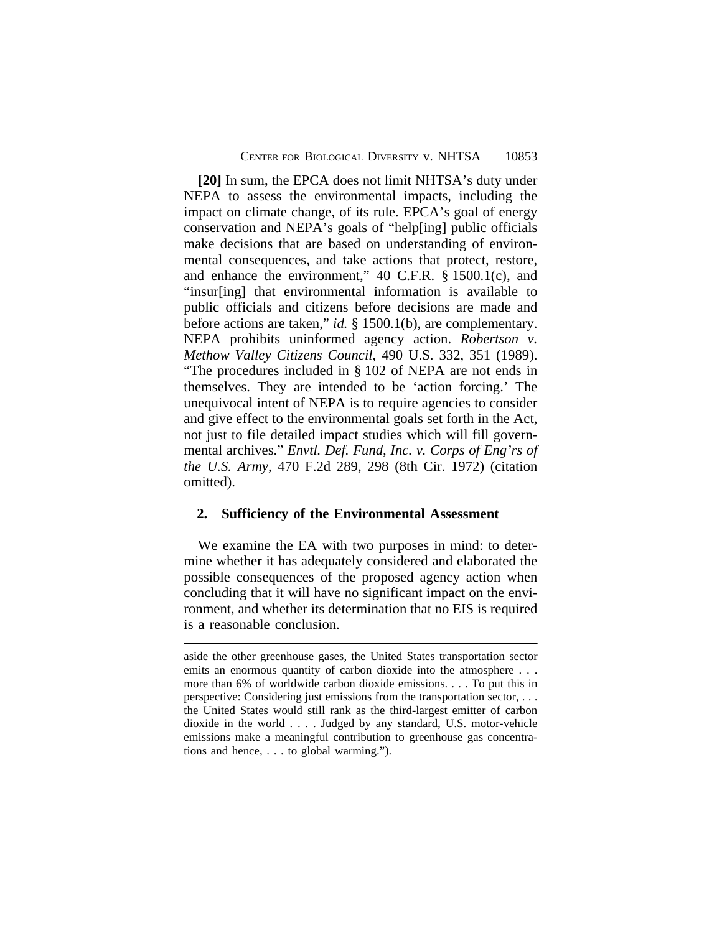**[20]** In sum, the EPCA does not limit NHTSA's duty under NEPA to assess the environmental impacts, including the impact on climate change, of its rule. EPCA's goal of energy conservation and NEPA's goals of "help[ing] public officials make decisions that are based on understanding of environmental consequences, and take actions that protect, restore, and enhance the environment," 40 C.F.R. § 1500.1(c), and "insur[ing] that environmental information is available to public officials and citizens before decisions are made and before actions are taken," *id.* § 1500.1(b), are complementary. NEPA prohibits uninformed agency action. *Robertson v. Methow Valley Citizens Council*, 490 U.S. 332, 351 (1989). "The procedures included in § 102 of NEPA are not ends in themselves. They are intended to be 'action forcing.' The unequivocal intent of NEPA is to require agencies to consider and give effect to the environmental goals set forth in the Act, not just to file detailed impact studies which will fill governmental archives." *Envtl. Def. Fund, Inc. v. Corps of Eng'rs of the U.S. Army*, 470 F.2d 289, 298 (8th Cir. 1972) (citation omitted).

### **2. Sufficiency of the Environmental Assessment**

We examine the EA with two purposes in mind: to determine whether it has adequately considered and elaborated the possible consequences of the proposed agency action when concluding that it will have no significant impact on the environment, and whether its determination that no EIS is required is a reasonable conclusion.

aside the other greenhouse gases, the United States transportation sector emits an enormous quantity of carbon dioxide into the atmosphere . . . more than 6% of worldwide carbon dioxide emissions. . . . To put this in perspective: Considering just emissions from the transportation sector, . . . the United States would still rank as the third-largest emitter of carbon dioxide in the world . . . . Judged by any standard, U.S. motor-vehicle emissions make a meaningful contribution to greenhouse gas concentrations and hence, . . . to global warming.").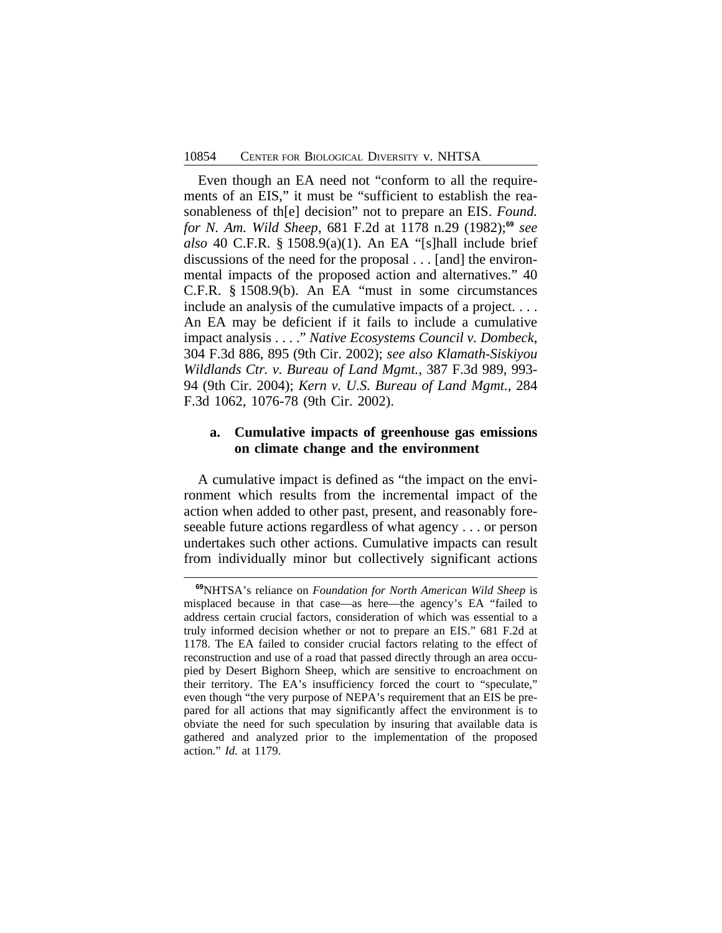Even though an EA need not "conform to all the requirements of an EIS," it must be "sufficient to establish the reasonableness of th[e] decision" not to prepare an EIS. *Found. for N. Am. Wild Sheep*, 681 F.2d at 1178 n.29 (1982);**<sup>69</sup>** *see also* 40 C.F.R. § 1508.9(a)(1). An EA "[s]hall include brief discussions of the need for the proposal . . . [and] the environmental impacts of the proposed action and alternatives." 40 C.F.R. § 1508.9(b). An EA "must in some circumstances include an analysis of the cumulative impacts of a project. . . . An EA may be deficient if it fails to include a cumulative impact analysis . . . ." *Native Ecosystems Council v. Dombeck*, 304 F.3d 886, 895 (9th Cir. 2002); *see also Klamath-Siskiyou Wildlands Ctr. v. Bureau of Land Mgmt.*, 387 F.3d 989, 993- 94 (9th Cir. 2004); *Kern v. U.S. Bureau of Land Mgmt.*, 284 F.3d 1062, 1076-78 (9th Cir. 2002).

# **a. Cumulative impacts of greenhouse gas emissions on climate change and the environment**

A cumulative impact is defined as "the impact on the environment which results from the incremental impact of the action when added to other past, present, and reasonably foreseeable future actions regardless of what agency . . . or person undertakes such other actions. Cumulative impacts can result from individually minor but collectively significant actions

**<sup>69</sup>**NHTSA's reliance on *Foundation for North American Wild Sheep* is misplaced because in that case—as here—the agency's EA "failed to address certain crucial factors, consideration of which was essential to a truly informed decision whether or not to prepare an EIS." 681 F.2d at 1178. The EA failed to consider crucial factors relating to the effect of reconstruction and use of a road that passed directly through an area occupied by Desert Bighorn Sheep, which are sensitive to encroachment on their territory. The EA's insufficiency forced the court to "speculate," even though "the very purpose of NEPA's requirement that an EIS be prepared for all actions that may significantly affect the environment is to obviate the need for such speculation by insuring that available data is gathered and analyzed prior to the implementation of the proposed action." *Id.* at 1179.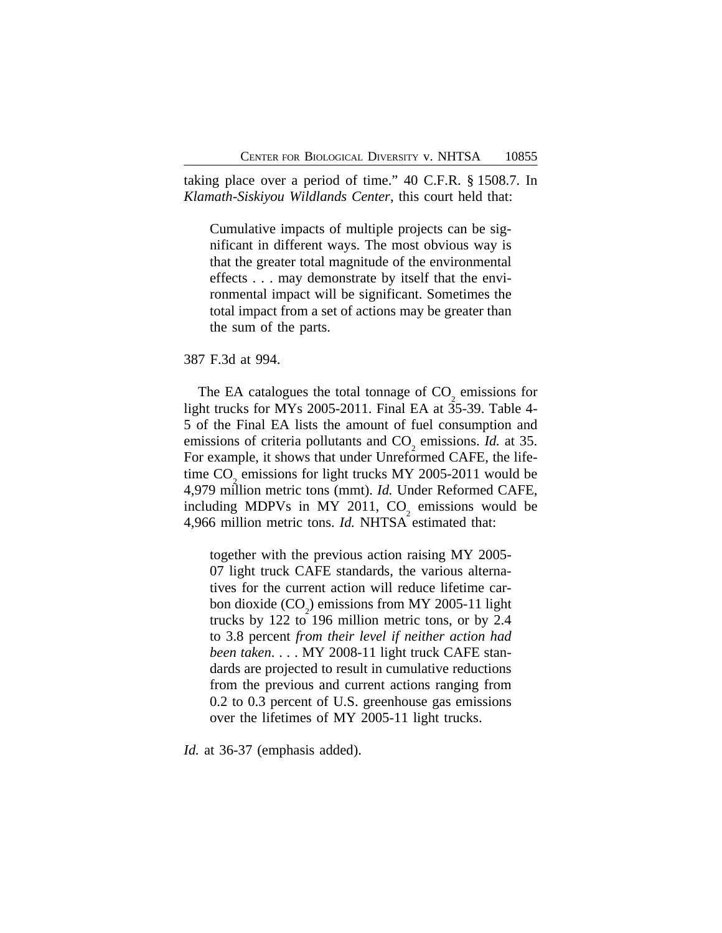taking place over a period of time." 40 C.F.R. § 1508.7. In *Klamath-Siskiyou Wildlands Center*, this court held that:

Cumulative impacts of multiple projects can be significant in different ways. The most obvious way is that the greater total magnitude of the environmental effects . . . may demonstrate by itself that the environmental impact will be significant. Sometimes the total impact from a set of actions may be greater than the sum of the parts.

#### 387 F.3d at 994.

The EA catalogues the total tonnage of  $CO<sub>2</sub>$  emissions for light trucks for MYs 2005-2011. Final EA at 35-39. Table 4- 5 of the Final EA lists the amount of fuel consumption and emissions of criteria pollutants and  $CO<sub>2</sub>$  emissions. *Id.* at 35. For example, it shows that under Unreformed CAFE, the lifetime  $CO<sub>2</sub>$  emissions for light trucks MY 2005-2011 would be 4,979 million metric tons (mmt). *Id.* Under Reformed CAFE, including MDPVs in MY 2011,  $CO_2$  emissions would be 4,966 million metric tons. *Id.* NHTSA estimated that:

together with the previous action raising MY 2005- 07 light truck CAFE standards, the various alternatives for the current action will reduce lifetime carbon dioxide  $(CO_2)$  emissions from MY 2005-11 light trucks by 122 to 196 million metric tons, or by 2.4 to 3.8 percent *from their level if neither action had been taken*. . . . MY 2008-11 light truck CAFE standards are projected to result in cumulative reductions from the previous and current actions ranging from 0.2 to 0.3 percent of U.S. greenhouse gas emissions over the lifetimes of MY 2005-11 light trucks.

*Id.* at 36-37 (emphasis added).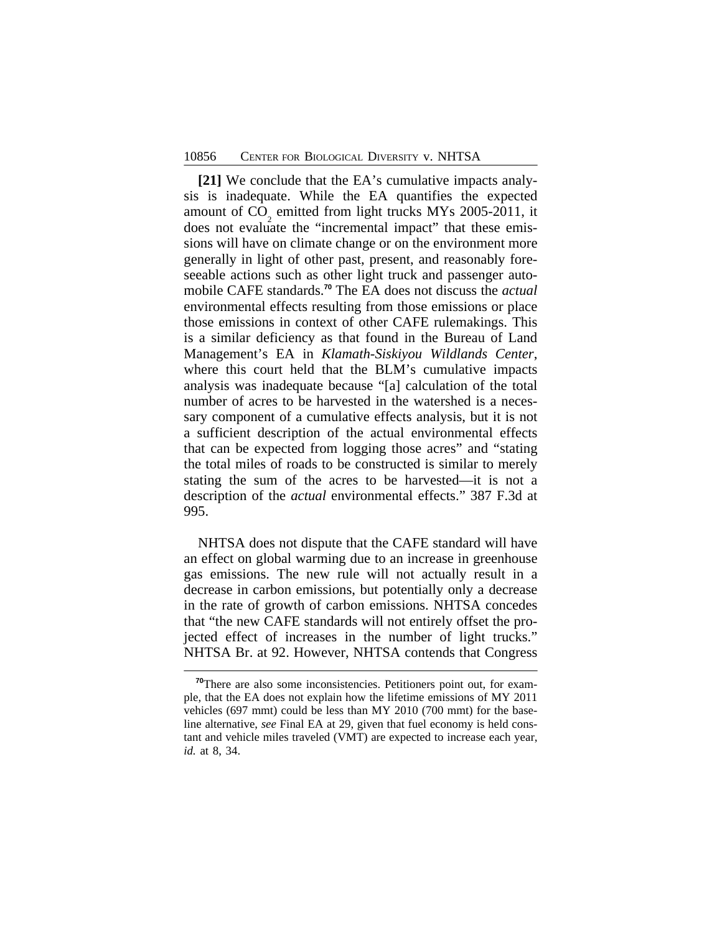**[21]** We conclude that the EA's cumulative impacts analysis is inadequate. While the EA quantifies the expected amount of CO emitted from light trucks MYs 2005-2011, it does not evaluate the "incremental impact" that these emissions will have on climate change or on the environment more generally in light of other past, present, and reasonably foreseeable actions such as other light truck and passenger automobile CAFE standards.**<sup>70</sup>** The EA does not discuss the *actual* environmental effects resulting from those emissions or place those emissions in context of other CAFE rulemakings. This is a similar deficiency as that found in the Bureau of Land Management's EA in *Klamath-Siskiyou Wildlands Center*, where this court held that the BLM's cumulative impacts analysis was inadequate because "[a] calculation of the total number of acres to be harvested in the watershed is a necessary component of a cumulative effects analysis, but it is not a sufficient description of the actual environmental effects that can be expected from logging those acres" and "stating the total miles of roads to be constructed is similar to merely stating the sum of the acres to be harvested—it is not a description of the *actual* environmental effects." 387 F.3d at 995.

NHTSA does not dispute that the CAFE standard will have an effect on global warming due to an increase in greenhouse gas emissions. The new rule will not actually result in a decrease in carbon emissions, but potentially only a decrease in the rate of growth of carbon emissions. NHTSA concedes that "the new CAFE standards will not entirely offset the projected effect of increases in the number of light trucks." NHTSA Br. at 92. However, NHTSA contends that Congress

**<sup>70</sup>**There are also some inconsistencies. Petitioners point out, for example, that the EA does not explain how the lifetime emissions of MY 2011 vehicles (697 mmt) could be less than MY 2010 (700 mmt) for the baseline alternative, *see* Final EA at 29, given that fuel economy is held constant and vehicle miles traveled (VMT) are expected to increase each year, *id.* at 8, 34.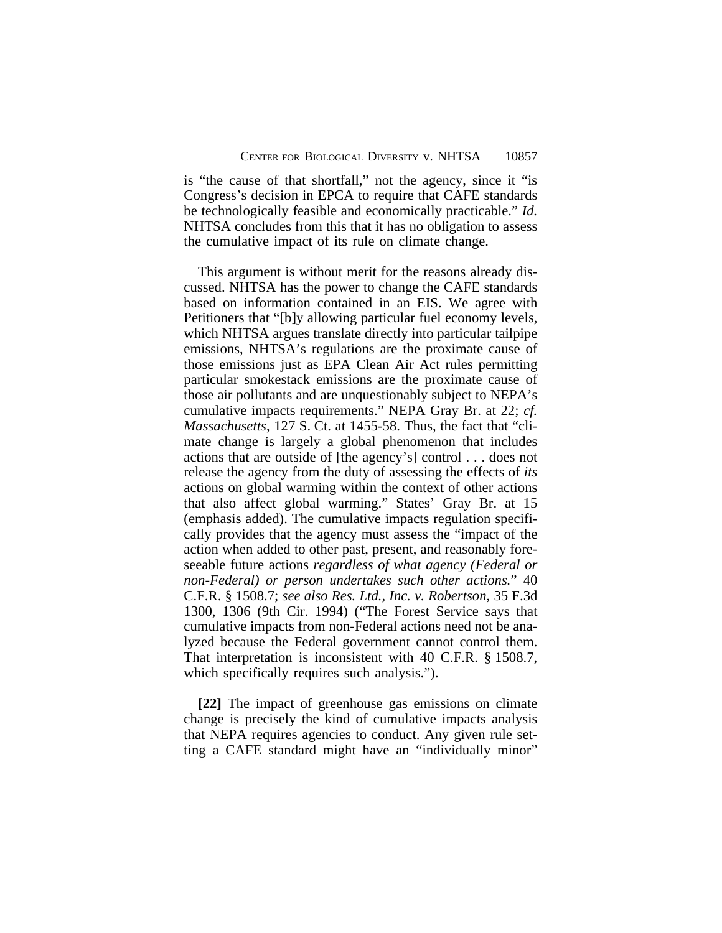is "the cause of that shortfall," not the agency, since it "is Congress's decision in EPCA to require that CAFE standards be technologically feasible and economically practicable." *Id.* NHTSA concludes from this that it has no obligation to assess the cumulative impact of its rule on climate change.

This argument is without merit for the reasons already discussed. NHTSA has the power to change the CAFE standards based on information contained in an EIS. We agree with Petitioners that "[b]y allowing particular fuel economy levels, which NHTSA argues translate directly into particular tailpipe emissions, NHTSA's regulations are the proximate cause of those emissions just as EPA Clean Air Act rules permitting particular smokestack emissions are the proximate cause of those air pollutants and are unquestionably subject to NEPA's cumulative impacts requirements." NEPA Gray Br. at 22; *cf. Massachusetts*, 127 S. Ct. at 1455-58. Thus, the fact that "climate change is largely a global phenomenon that includes actions that are outside of [the agency's] control . . . does not release the agency from the duty of assessing the effects of *its* actions on global warming within the context of other actions that also affect global warming." States' Gray Br. at 15 (emphasis added). The cumulative impacts regulation specifically provides that the agency must assess the "impact of the action when added to other past, present, and reasonably foreseeable future actions *regardless of what agency (Federal or non-Federal) or person undertakes such other actions.*" 40 C.F.R. § 1508.7; *see also Res. Ltd., Inc. v. Robertson*, 35 F.3d 1300, 1306 (9th Cir. 1994) ("The Forest Service says that cumulative impacts from non-Federal actions need not be analyzed because the Federal government cannot control them. That interpretation is inconsistent with 40 C.F.R. § 1508.7, which specifically requires such analysis.").

**[22]** The impact of greenhouse gas emissions on climate change is precisely the kind of cumulative impacts analysis that NEPA requires agencies to conduct. Any given rule setting a CAFE standard might have an "individually minor"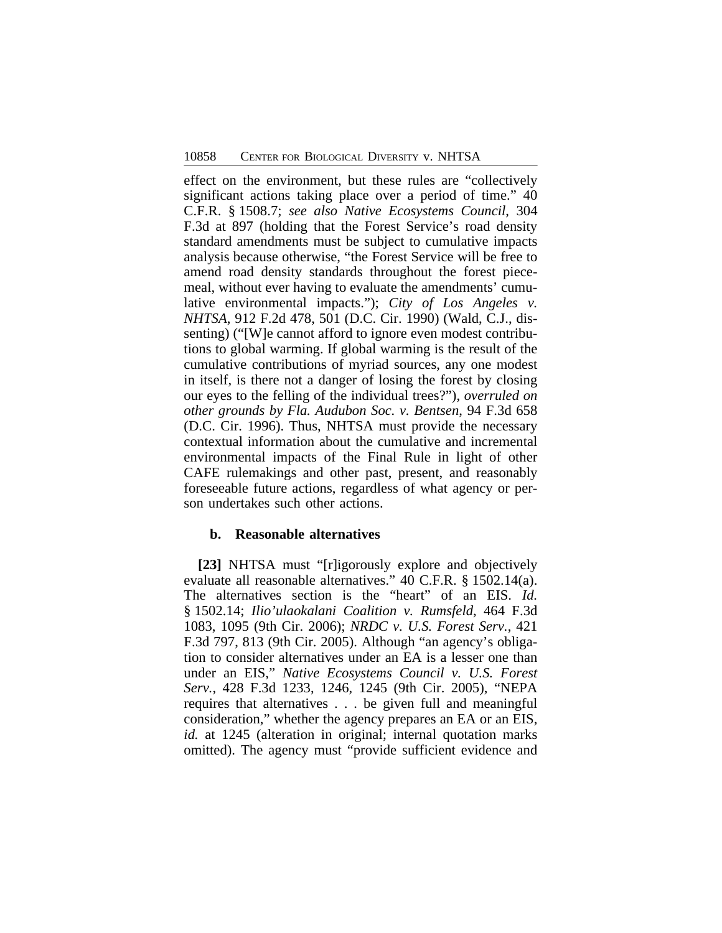effect on the environment, but these rules are "collectively significant actions taking place over a period of time." 40 C.F.R. § 1508.7; *see also Native Ecosystems Council*, 304 F.3d at 897 (holding that the Forest Service's road density standard amendments must be subject to cumulative impacts analysis because otherwise, "the Forest Service will be free to amend road density standards throughout the forest piecemeal, without ever having to evaluate the amendments' cumulative environmental impacts."); *City of Los Angeles v. NHTSA*, 912 F.2d 478, 501 (D.C. Cir. 1990) (Wald, C.J., dissenting) ("[W]e cannot afford to ignore even modest contributions to global warming. If global warming is the result of the cumulative contributions of myriad sources, any one modest in itself, is there not a danger of losing the forest by closing our eyes to the felling of the individual trees?"), *overruled on other grounds by Fla. Audubon Soc. v. Bentsen*, 94 F.3d 658 (D.C. Cir. 1996). Thus, NHTSA must provide the necessary contextual information about the cumulative and incremental environmental impacts of the Final Rule in light of other CAFE rulemakings and other past, present, and reasonably foreseeable future actions, regardless of what agency or person undertakes such other actions.

### **b. Reasonable alternatives**

**[23]** NHTSA must "[r]igorously explore and objectively evaluate all reasonable alternatives." 40 C.F.R. § 1502.14(a). The alternatives section is the "heart" of an EIS. *Id.* § 1502.14; *Ilio'ulaokalani Coalition v. Rumsfeld*, 464 F.3d 1083, 1095 (9th Cir. 2006); *NRDC v. U.S. Forest Serv.*, 421 F.3d 797, 813 (9th Cir. 2005). Although "an agency's obligation to consider alternatives under an EA is a lesser one than under an EIS," *Native Ecosystems Council v. U.S. Forest Serv.*, 428 F.3d 1233, 1246, 1245 (9th Cir. 2005), "NEPA requires that alternatives . . . be given full and meaningful consideration," whether the agency prepares an EA or an EIS, *id.* at 1245 (alteration in original; internal quotation marks omitted). The agency must "provide sufficient evidence and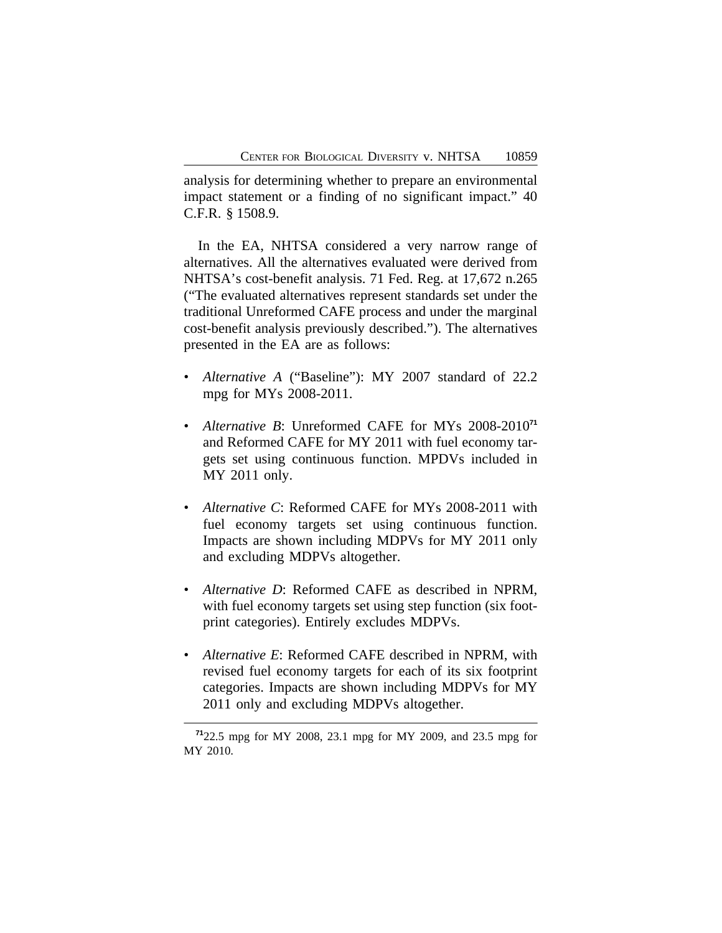analysis for determining whether to prepare an environmental impact statement or a finding of no significant impact." 40 C.F.R. § 1508.9.

In the EA, NHTSA considered a very narrow range of alternatives. All the alternatives evaluated were derived from NHTSA's cost-benefit analysis. 71 Fed. Reg. at 17,672 n.265 ("The evaluated alternatives represent standards set under the traditional Unreformed CAFE process and under the marginal cost-benefit analysis previously described."). The alternatives presented in the EA are as follows:

- *Alternative A* ("Baseline"): MY 2007 standard of 22.2 mpg for MYs 2008-2011.
- *Alternative B*: Unreformed CAFE for MYs 2008-2010**<sup>71</sup>** and Reformed CAFE for MY 2011 with fuel economy targets set using continuous function. MPDVs included in MY 2011 only.
- *Alternative C*: Reformed CAFE for MYs 2008-2011 with fuel economy targets set using continuous function. Impacts are shown including MDPVs for MY 2011 only and excluding MDPVs altogether.
- *Alternative D*: Reformed CAFE as described in NPRM, with fuel economy targets set using step function (six footprint categories). Entirely excludes MDPVs.
- *Alternative E*: Reformed CAFE described in NPRM, with revised fuel economy targets for each of its six footprint categories. Impacts are shown including MDPVs for MY 2011 only and excluding MDPVs altogether.

**<sup>71</sup>**22.5 mpg for MY 2008, 23.1 mpg for MY 2009, and 23.5 mpg for MY 2010.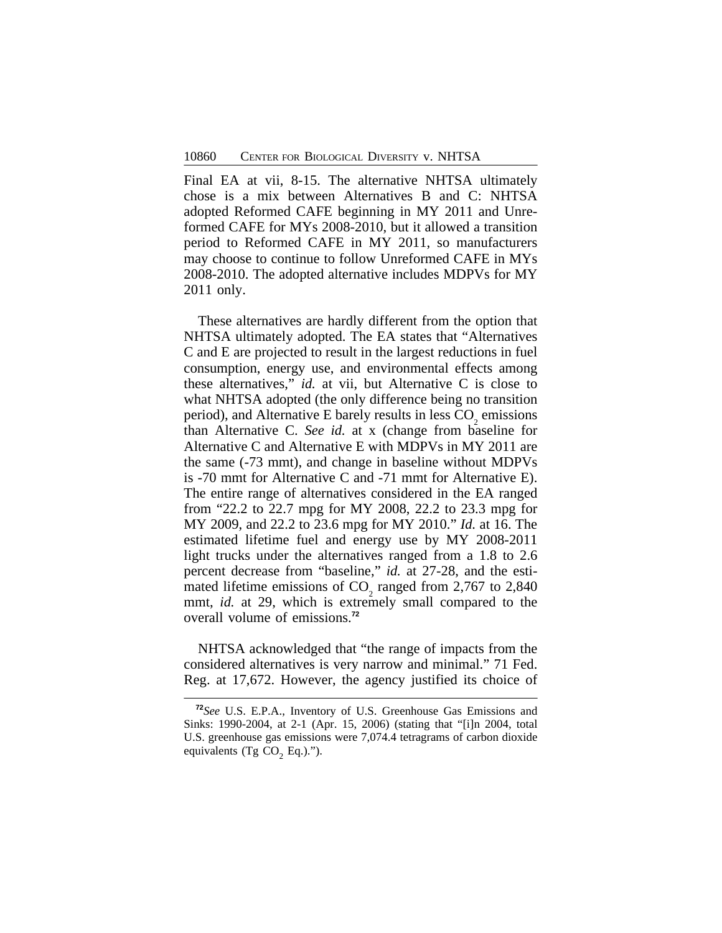Final EA at vii, 8-15. The alternative NHTSA ultimately chose is a mix between Alternatives B and C: NHTSA adopted Reformed CAFE beginning in MY 2011 and Unreformed CAFE for MYs 2008-2010, but it allowed a transition period to Reformed CAFE in MY 2011, so manufacturers may choose to continue to follow Unreformed CAFE in MYs 2008-2010. The adopted alternative includes MDPVs for MY 2011 only.

These alternatives are hardly different from the option that NHTSA ultimately adopted. The EA states that "Alternatives C and E are projected to result in the largest reductions in fuel consumption, energy use, and environmental effects among these alternatives," *id.* at vii, but Alternative C is close to what NHTSA adopted (the only difference being no transition period), and Alternative E barely results in less  $CO<sub>2</sub>$  emissions than Alternative C. *See id.* at x (change from baseline for Alternative C and Alternative E with MDPVs in MY 2011 are the same (-73 mmt), and change in baseline without MDPVs is -70 mmt for Alternative C and -71 mmt for Alternative E). The entire range of alternatives considered in the EA ranged from "22.2 to 22.7 mpg for MY 2008, 22.2 to 23.3 mpg for MY 2009, and 22.2 to 23.6 mpg for MY 2010." *Id.* at 16. The estimated lifetime fuel and energy use by MY 2008-2011 light trucks under the alternatives ranged from a 1.8 to 2.6 percent decrease from "baseline," *id.* at 27-28, and the estimated lifetime emissions of CO<sub>2</sub> ranged from 2,767 to 2,840  $\frac{2}{2}$  and  $\frac{2}{3}$  and  $\frac{2}{3}$  and  $\frac{2}{3}$  and  $\frac{2}{3}$  and  $\frac{2}{3}$  and  $\frac{2}{3}$  and  $\frac{2}{3}$  and  $\frac{2}{3}$  and  $\frac{2}{3}$  and  $\frac{2}{3}$  and  $\frac{2}{3}$  and  $\frac{2}{3}$  and  $\frac{2}{3}$  and  $\frac{2}{3}$  and  $\frac{2}{3}$  a overall volume of emissions.**<sup>72</sup>**

NHTSA acknowledged that "the range of impacts from the considered alternatives is very narrow and minimal." 71 Fed. Reg. at 17,672. However, the agency justified its choice of

**<sup>72</sup>***See* U.S. E.P.A., Inventory of U.S. Greenhouse Gas Emissions and Sinks: 1990-2004, at 2-1 (Apr. 15, 2006) (stating that "[i]n 2004, total U.S. greenhouse gas emissions were 7,074.4 tetragrams of carbon dioxide equivalents (Tg  $CO<sub>2</sub>$  Eq.).").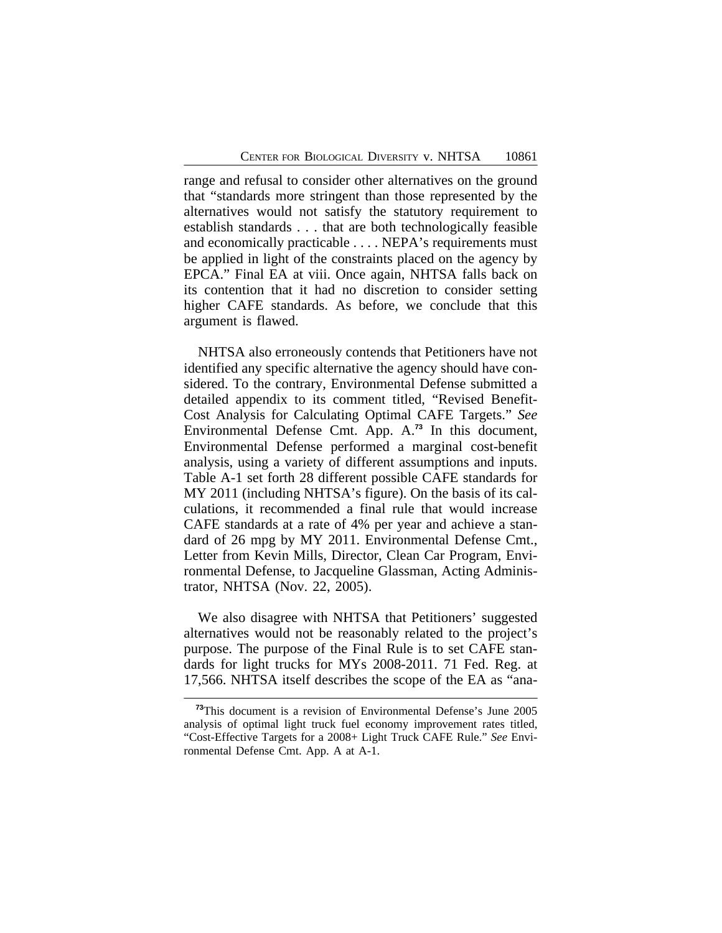range and refusal to consider other alternatives on the ground that "standards more stringent than those represented by the alternatives would not satisfy the statutory requirement to establish standards . . . that are both technologically feasible and economically practicable . . . . NEPA's requirements must be applied in light of the constraints placed on the agency by EPCA." Final EA at viii. Once again, NHTSA falls back on its contention that it had no discretion to consider setting higher CAFE standards. As before, we conclude that this argument is flawed.

NHTSA also erroneously contends that Petitioners have not identified any specific alternative the agency should have considered. To the contrary, Environmental Defense submitted a detailed appendix to its comment titled, "Revised Benefit-Cost Analysis for Calculating Optimal CAFE Targets." *See* Environmental Defense Cmt. App. A.**<sup>73</sup>** In this document, Environmental Defense performed a marginal cost-benefit analysis, using a variety of different assumptions and inputs. Table A-1 set forth 28 different possible CAFE standards for MY 2011 (including NHTSA's figure). On the basis of its calculations, it recommended a final rule that would increase CAFE standards at a rate of 4% per year and achieve a standard of 26 mpg by MY 2011. Environmental Defense Cmt., Letter from Kevin Mills, Director, Clean Car Program, Environmental Defense, to Jacqueline Glassman, Acting Administrator, NHTSA (Nov. 22, 2005).

We also disagree with NHTSA that Petitioners' suggested alternatives would not be reasonably related to the project's purpose. The purpose of the Final Rule is to set CAFE standards for light trucks for MYs 2008-2011. 71 Fed. Reg. at 17,566. NHTSA itself describes the scope of the EA as "ana-

**<sup>73</sup>**This document is a revision of Environmental Defense's June 2005 analysis of optimal light truck fuel economy improvement rates titled, "Cost-Effective Targets for a 2008+ Light Truck CAFE Rule." *See* Environmental Defense Cmt. App. A at A-1.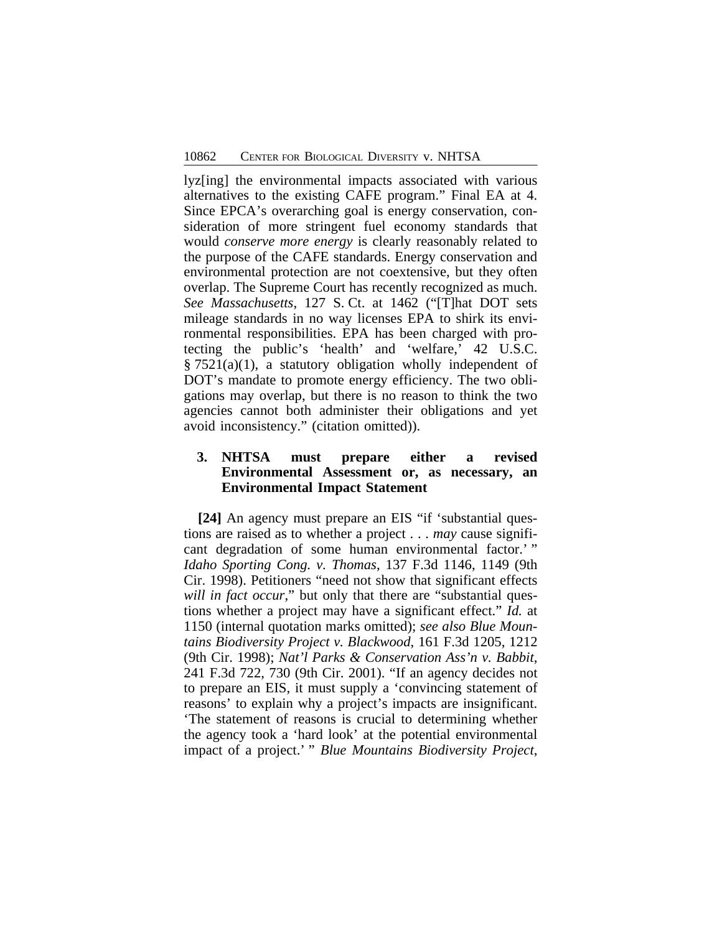lyz[ing] the environmental impacts associated with various alternatives to the existing CAFE program." Final EA at 4. Since EPCA's overarching goal is energy conservation, consideration of more stringent fuel economy standards that would *conserve more energy* is clearly reasonably related to the purpose of the CAFE standards. Energy conservation and environmental protection are not coextensive, but they often overlap. The Supreme Court has recently recognized as much. *See Massachusetts*, 127 S. Ct. at 1462 ("[T]hat DOT sets mileage standards in no way licenses EPA to shirk its environmental responsibilities. EPA has been charged with protecting the public's 'health' and 'welfare,' 42 U.S.C.  $§ 7521(a)(1)$ , a statutory obligation wholly independent of DOT's mandate to promote energy efficiency. The two obligations may overlap, but there is no reason to think the two agencies cannot both administer their obligations and yet avoid inconsistency." (citation omitted)).

# **3. NHTSA must prepare either a revised Environmental Assessment or, as necessary, an Environmental Impact Statement**

**[24]** An agency must prepare an EIS "if 'substantial questions are raised as to whether a project . . . *may* cause significant degradation of some human environmental factor.'" *Idaho Sporting Cong. v. Thomas*, 137 F.3d 1146, 1149 (9th Cir. 1998). Petitioners "need not show that significant effects will in fact occur," but only that there are "substantial questions whether a project may have a significant effect." *Id.* at 1150 (internal quotation marks omitted); *see also Blue Mountains Biodiversity Project v. Blackwood*, 161 F.3d 1205, 1212 (9th Cir. 1998); *Nat'l Parks & Conservation Ass'n v. Babbit*, 241 F.3d 722, 730 (9th Cir. 2001). "If an agency decides not to prepare an EIS, it must supply a 'convincing statement of reasons' to explain why a project's impacts are insignificant. 'The statement of reasons is crucial to determining whether the agency took a 'hard look' at the potential environmental impact of a project.' " *Blue Mountains Biodiversity Project*,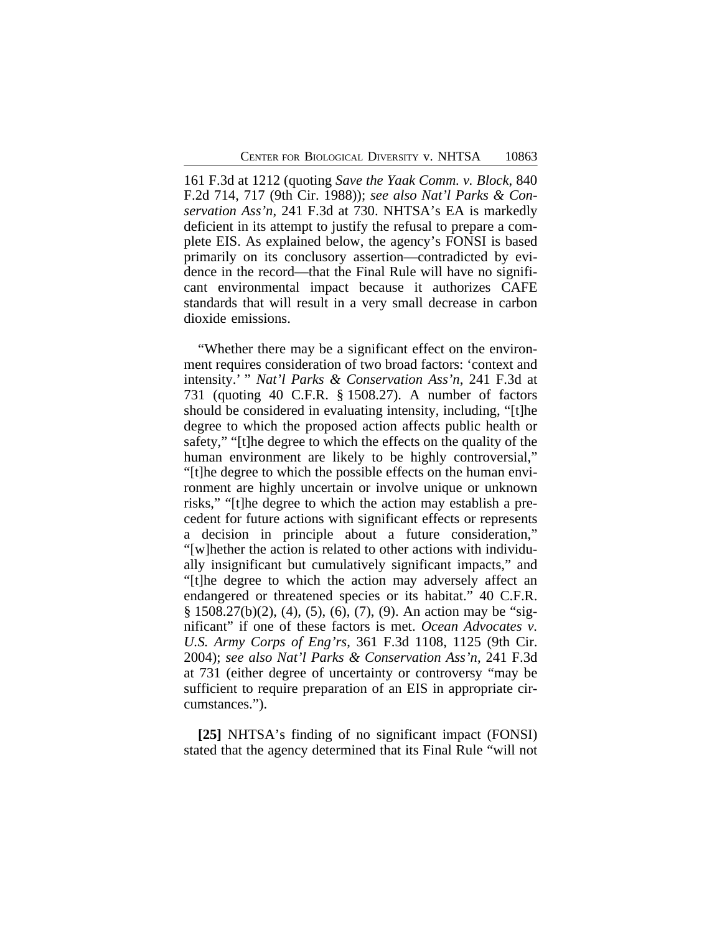161 F.3d at 1212 (quoting *Save the Yaak Comm. v. Block*, 840 F.2d 714, 717 (9th Cir. 1988)); *see also Nat'l Parks & Conservation Ass'n*, 241 F.3d at 730. NHTSA's EA is markedly deficient in its attempt to justify the refusal to prepare a complete EIS. As explained below, the agency's FONSI is based primarily on its conclusory assertion—contradicted by evidence in the record—that the Final Rule will have no significant environmental impact because it authorizes CAFE standards that will result in a very small decrease in carbon dioxide emissions.

"Whether there may be a significant effect on the environment requires consideration of two broad factors: 'context and intensity.' " *Nat'l Parks & Conservation Ass'n*, 241 F.3d at 731 (quoting 40 C.F.R. § 1508.27). A number of factors should be considered in evaluating intensity, including, "[t]he degree to which the proposed action affects public health or safety," "[t]he degree to which the effects on the quality of the human environment are likely to be highly controversial," "[t]he degree to which the possible effects on the human environment are highly uncertain or involve unique or unknown risks," "[t]he degree to which the action may establish a precedent for future actions with significant effects or represents a decision in principle about a future consideration," "[w]hether the action is related to other actions with individually insignificant but cumulatively significant impacts," and "[t]he degree to which the action may adversely affect an endangered or threatened species or its habitat." 40 C.F.R. § 1508.27(b)(2), (4), (5), (6), (7), (9). An action may be "significant" if one of these factors is met. *Ocean Advocates v. U.S. Army Corps of Eng'rs*, 361 F.3d 1108, 1125 (9th Cir. 2004); *see also Nat'l Parks & Conservation Ass'n*, 241 F.3d at 731 (either degree of uncertainty or controversy "may be sufficient to require preparation of an EIS in appropriate circumstances.").

**[25]** NHTSA's finding of no significant impact (FONSI) stated that the agency determined that its Final Rule "will not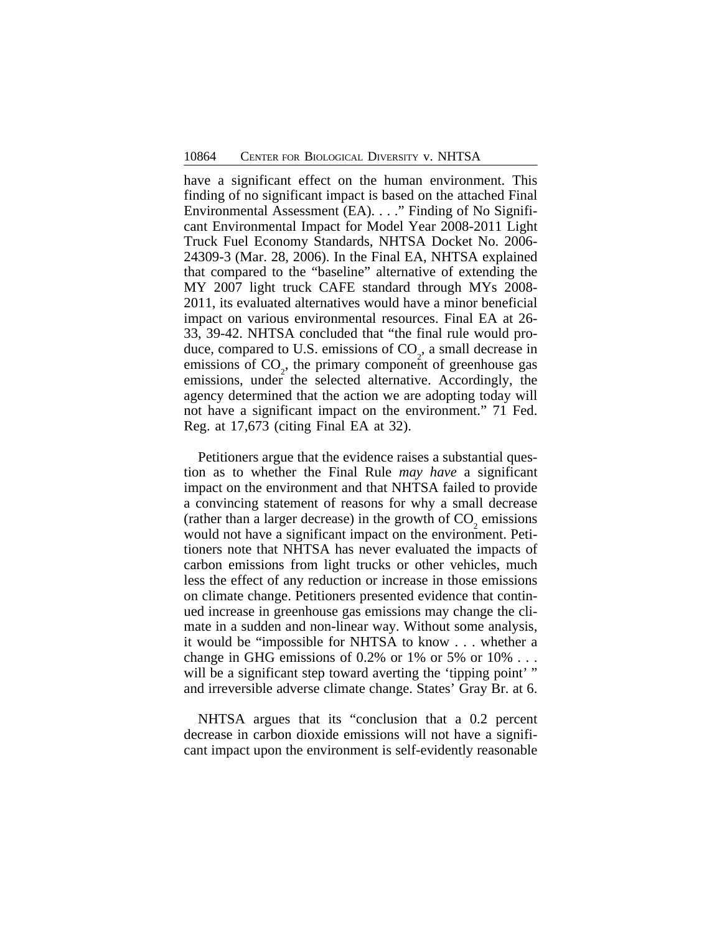have a significant effect on the human environment. This finding of no significant impact is based on the attached Final Environmental Assessment (EA). . . ." Finding of No Significant Environmental Impact for Model Year 2008-2011 Light Truck Fuel Economy Standards, NHTSA Docket No. 2006- 24309-3 (Mar. 28, 2006). In the Final EA, NHTSA explained that compared to the "baseline" alternative of extending the MY 2007 light truck CAFE standard through MYs 2008- 2011, its evaluated alternatives would have a minor beneficial impact on various environmental resources. Final EA at 26- 33, 39-42. NHTSA concluded that "the final rule would produce, compared to U.S. emissions of  $CO<sub>2</sub>$ , a small decrease in emissions of CO<sub>2</sub>, the primary component of greenhouse gas emissions, under the selected alternative. Accordingly, the agency determined that the action we are adopting today will not have a significant impact on the environment." 71 Fed. Reg. at 17,673 (citing Final EA at 32).

Petitioners argue that the evidence raises a substantial question as to whether the Final Rule *may have* a significant impact on the environment and that NHTSA failed to provide a convincing statement of reasons for why a small decrease (rather than a larger decrease) in the growth of  $CO<sub>2</sub>$  emissions would not have a significant impact on the environment. Petitioners note that NHTSA has never evaluated the impacts of carbon emissions from light trucks or other vehicles, much less the effect of any reduction or increase in those emissions on climate change. Petitioners presented evidence that continued increase in greenhouse gas emissions may change the climate in a sudden and non-linear way. Without some analysis, it would be "impossible for NHTSA to know . . . whether a change in GHG emissions of  $0.2\%$  or  $1\%$  or  $5\%$  or  $10\%$ ... will be a significant step toward averting the 'tipping point' " and irreversible adverse climate change. States' Gray Br. at 6.

NHTSA argues that its "conclusion that a 0.2 percent decrease in carbon dioxide emissions will not have a significant impact upon the environment is self-evidently reasonable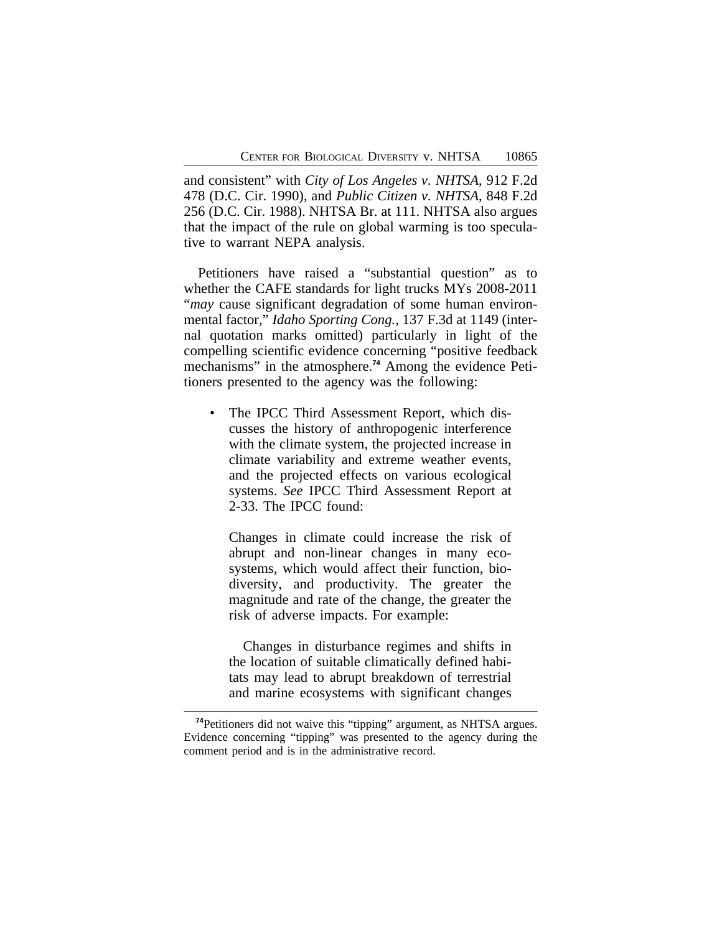and consistent" with *City of Los Angeles v. NHTSA*, 912 F.2d 478 (D.C. Cir. 1990), and *Public Citizen v. NHTSA*, 848 F.2d 256 (D.C. Cir. 1988). NHTSA Br. at 111. NHTSA also argues that the impact of the rule on global warming is too speculative to warrant NEPA analysis.

Petitioners have raised a "substantial question" as to whether the CAFE standards for light trucks MYs 2008-2011 "*may* cause significant degradation of some human environmental factor," *Idaho Sporting Cong.*, 137 F.3d at 1149 (internal quotation marks omitted) particularly in light of the compelling scientific evidence concerning "positive feedback mechanisms" in the atmosphere.**74** Among the evidence Petitioners presented to the agency was the following:

The IPCC Third Assessment Report, which discusses the history of anthropogenic interference with the climate system, the projected increase in climate variability and extreme weather events, and the projected effects on various ecological systems. *See* IPCC Third Assessment Report at 2-33. The IPCC found:

Changes in climate could increase the risk of abrupt and non-linear changes in many ecosystems, which would affect their function, biodiversity, and productivity. The greater the magnitude and rate of the change, the greater the risk of adverse impacts. For example:

Changes in disturbance regimes and shifts in the location of suitable climatically defined habitats may lead to abrupt breakdown of terrestrial and marine ecosystems with significant changes

**<sup>74</sup>**Petitioners did not waive this "tipping" argument, as NHTSA argues. Evidence concerning "tipping" was presented to the agency during the comment period and is in the administrative record.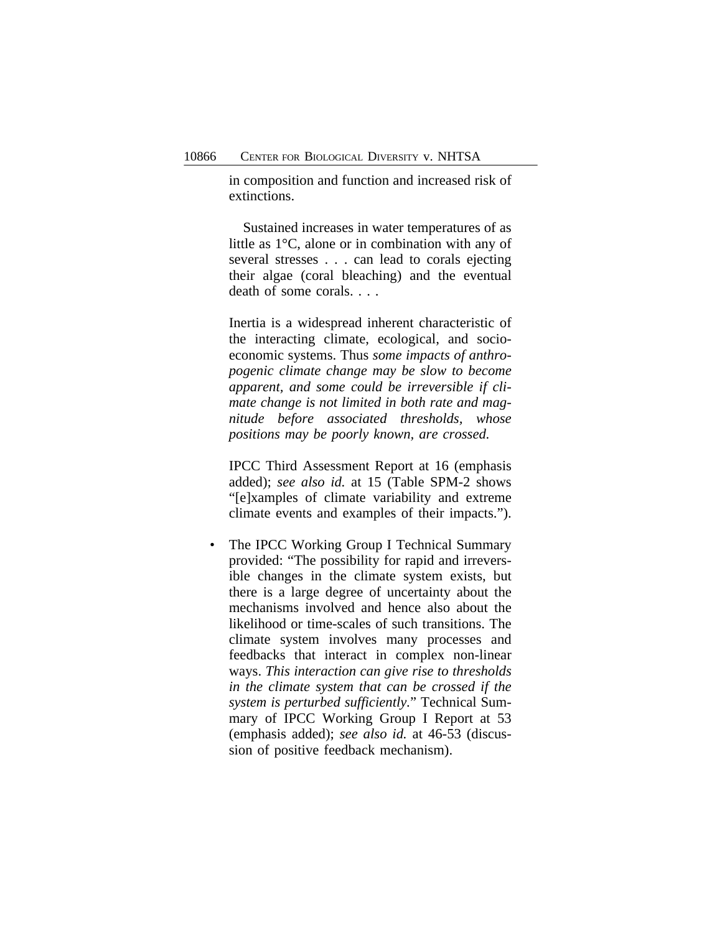in composition and function and increased risk of extinctions.

Sustained increases in water temperatures of as little as 1°C, alone or in combination with any of several stresses . . . can lead to corals ejecting their algae (coral bleaching) and the eventual death of some corals. . . .

Inertia is a widespread inherent characteristic of the interacting climate, ecological, and socioeconomic systems. Thus *some impacts of anthropogenic climate change may be slow to become apparent, and some could be irreversible if climate change is not limited in both rate and magnitude before associated thresholds, whose positions may be poorly known, are crossed.*

IPCC Third Assessment Report at 16 (emphasis added); *see also id.* at 15 (Table SPM-2 shows "[e]xamples of climate variability and extreme climate events and examples of their impacts.").

The IPCC Working Group I Technical Summary provided: "The possibility for rapid and irreversible changes in the climate system exists, but there is a large degree of uncertainty about the mechanisms involved and hence also about the likelihood or time-scales of such transitions. The climate system involves many processes and feedbacks that interact in complex non-linear ways. *This interaction can give rise to thresholds in the climate system that can be crossed if the system is perturbed sufficiently.*" Technical Summary of IPCC Working Group I Report at 53 (emphasis added); *see also id.* at 46-53 (discussion of positive feedback mechanism).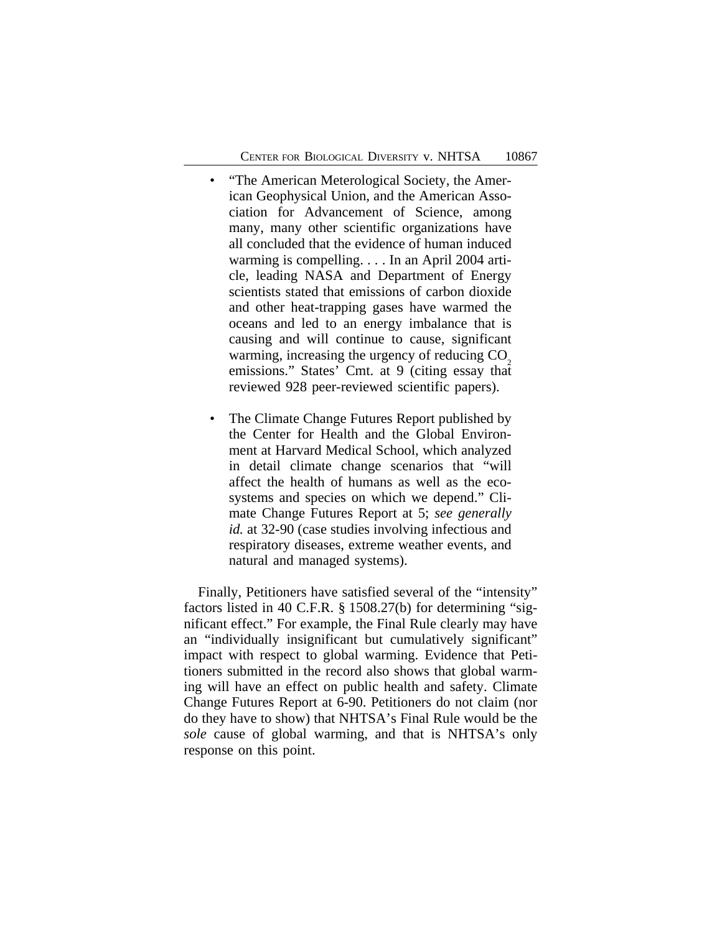- "The American Meterological Society, the American Geophysical Union, and the American Association for Advancement of Science, among many, many other scientific organizations have all concluded that the evidence of human induced warming is compelling. . . . In an April 2004 article, leading NASA and Department of Energy scientists stated that emissions of carbon dioxide and other heat-trapping gases have warmed the oceans and led to an energy imbalance that is causing and will continue to cause, significant warming, increasing the urgency of reducing  $CO<sub>2</sub>$ emissions." States' Cmt. at 9 (citing essay that reviewed 928 peer-reviewed scientific papers).
- The Climate Change Futures Report published by the Center for Health and the Global Environment at Harvard Medical School, which analyzed in detail climate change scenarios that "will affect the health of humans as well as the ecosystems and species on which we depend." Climate Change Futures Report at 5; *see generally id.* at 32-90 (case studies involving infectious and respiratory diseases, extreme weather events, and natural and managed systems).

Finally, Petitioners have satisfied several of the "intensity" factors listed in 40 C.F.R. § 1508.27(b) for determining "significant effect." For example, the Final Rule clearly may have an "individually insignificant but cumulatively significant" impact with respect to global warming. Evidence that Petitioners submitted in the record also shows that global warming will have an effect on public health and safety. Climate Change Futures Report at 6-90. Petitioners do not claim (nor do they have to show) that NHTSA's Final Rule would be the *sole* cause of global warming, and that is NHTSA's only response on this point.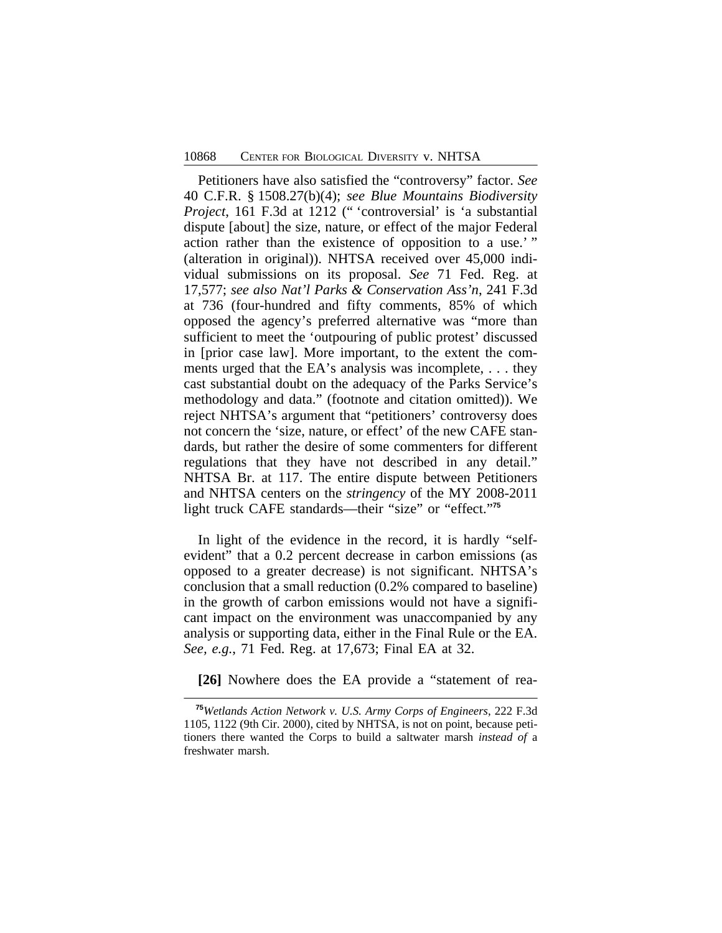Petitioners have also satisfied the "controversy" factor. *See* 40 C.F.R. § 1508.27(b)(4); *see Blue Mountains Biodiversity Project*, 161 F.3d at 1212 (" 'controversial' is 'a substantial dispute [about] the size, nature, or effect of the major Federal action rather than the existence of opposition to a use.' " (alteration in original)). NHTSA received over 45,000 individual submissions on its proposal. *See* 71 Fed. Reg. at 17,577; *see also Nat'l Parks & Conservation Ass'n*, 241 F.3d at 736 (four-hundred and fifty comments, 85% of which opposed the agency's preferred alternative was "more than sufficient to meet the 'outpouring of public protest' discussed in [prior case law]. More important, to the extent the comments urged that the EA's analysis was incomplete, . . . they cast substantial doubt on the adequacy of the Parks Service's methodology and data." (footnote and citation omitted)). We reject NHTSA's argument that "petitioners' controversy does not concern the 'size, nature, or effect' of the new CAFE standards, but rather the desire of some commenters for different regulations that they have not described in any detail." NHTSA Br. at 117. The entire dispute between Petitioners and NHTSA centers on the *stringency* of the MY 2008-2011 light truck CAFE standards—their "size" or "effect." **75**

In light of the evidence in the record, it is hardly "selfevident" that a 0.2 percent decrease in carbon emissions (as opposed to a greater decrease) is not significant. NHTSA's conclusion that a small reduction (0.2% compared to baseline) in the growth of carbon emissions would not have a significant impact on the environment was unaccompanied by any analysis or supporting data, either in the Final Rule or the EA. *See, e.g.*, 71 Fed. Reg. at 17,673; Final EA at 32.

**[26]** Nowhere does the EA provide a "statement of rea-

**<sup>75</sup>***Wetlands Action Network v. U.S. Army Corps of Engineers*, 222 F.3d 1105, 1122 (9th Cir. 2000), cited by NHTSA, is not on point, because petitioners there wanted the Corps to build a saltwater marsh *instead of* a freshwater marsh.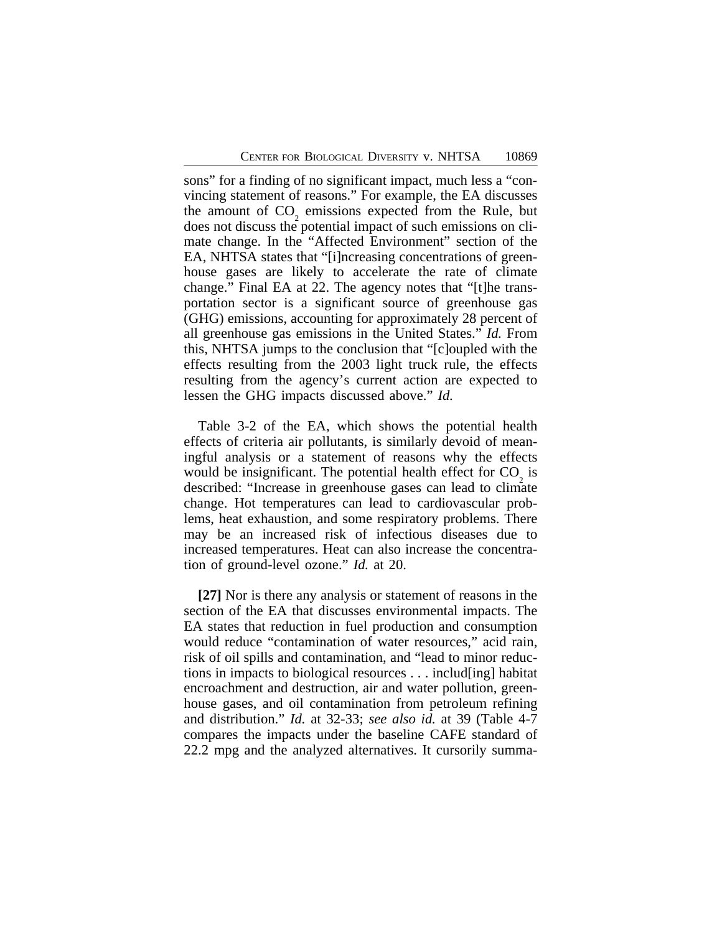sons" for a finding of no significant impact, much less a "convincing statement of reasons." For example, the EA discusses the amount of  $CO_2$  emissions expected from the Rule, but does not discuss the potential impact of such emissions on climate change. In the "Affected Environment" section of the EA, NHTSA states that "[i]ncreasing concentrations of greenhouse gases are likely to accelerate the rate of climate change." Final EA at 22. The agency notes that "[t]he transportation sector is a significant source of greenhouse gas (GHG) emissions, accounting for approximately 28 percent of all greenhouse gas emissions in the United States." *Id.* From this, NHTSA jumps to the conclusion that "[c]oupled with the effects resulting from the 2003 light truck rule, the effects resulting from the agency's current action are expected to lessen the GHG impacts discussed above." *Id.*

Table 3-2 of the EA, which shows the potential health effects of criteria air pollutants, is similarly devoid of meaningful analysis or a statement of reasons why the effects would be insignificant. The potential health effect for  $CO_2$  is described: "Increase in greenhouse gases can lead to climate change. Hot temperatures can lead to cardiovascular problems, heat exhaustion, and some respiratory problems. There may be an increased risk of infectious diseases due to increased temperatures. Heat can also increase the concentration of ground-level ozone." *Id.* at 20.

**[27]** Nor is there any analysis or statement of reasons in the section of the EA that discusses environmental impacts. The EA states that reduction in fuel production and consumption would reduce "contamination of water resources," acid rain, risk of oil spills and contamination, and "lead to minor reductions in impacts to biological resources . . . includ[ing] habitat encroachment and destruction, air and water pollution, greenhouse gases, and oil contamination from petroleum refining and distribution." *Id.* at 32-33; *see also id.* at 39 (Table 4-7 compares the impacts under the baseline CAFE standard of 22.2 mpg and the analyzed alternatives. It cursorily summa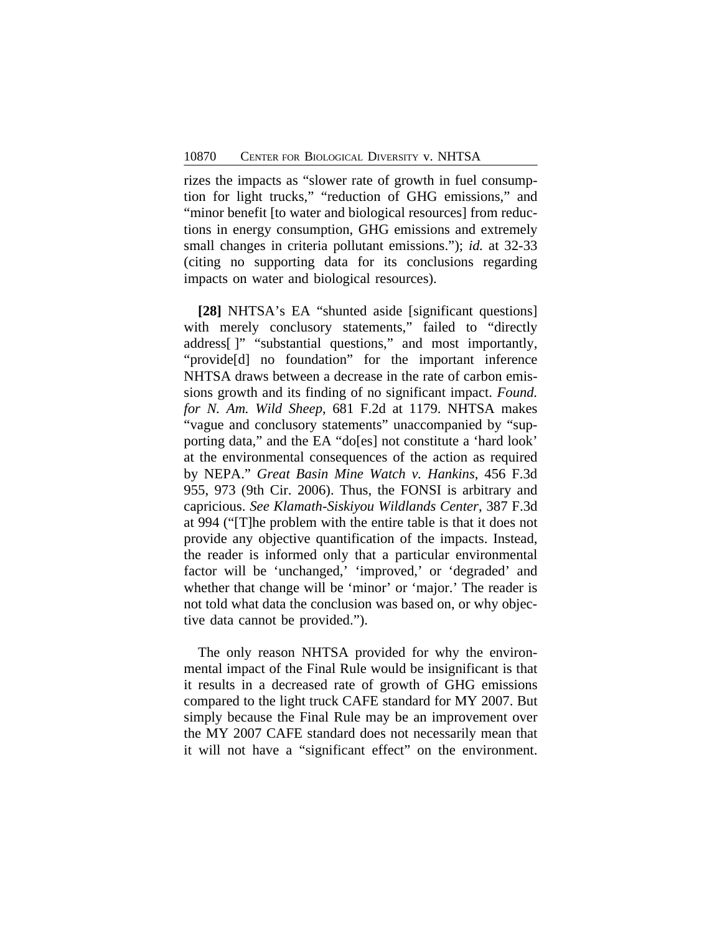rizes the impacts as "slower rate of growth in fuel consumption for light trucks," "reduction of GHG emissions," and "minor benefit [to water and biological resources] from reductions in energy consumption, GHG emissions and extremely small changes in criteria pollutant emissions."); *id.* at 32-33 (citing no supporting data for its conclusions regarding impacts on water and biological resources).

**[28]** NHTSA's EA "shunted aside [significant questions] with merely conclusory statements," failed to "directly address[ ]" "substantial questions," and most importantly, "provide[d] no foundation" for the important inference NHTSA draws between a decrease in the rate of carbon emissions growth and its finding of no significant impact. *Found. for N. Am. Wild Sheep*, 681 F.2d at 1179. NHTSA makes "vague and conclusory statements" unaccompanied by "supporting data," and the EA "do[es] not constitute a 'hard look' at the environmental consequences of the action as required by NEPA." *Great Basin Mine Watch v. Hankins*, 456 F.3d 955, 973 (9th Cir. 2006). Thus, the FONSI is arbitrary and capricious. *See Klamath-Siskiyou Wildlands Center*, 387 F.3d at 994 ("[T]he problem with the entire table is that it does not provide any objective quantification of the impacts. Instead, the reader is informed only that a particular environmental factor will be 'unchanged,' 'improved,' or 'degraded' and whether that change will be 'minor' or 'major.' The reader is not told what data the conclusion was based on, or why objective data cannot be provided.").

The only reason NHTSA provided for why the environmental impact of the Final Rule would be insignificant is that it results in a decreased rate of growth of GHG emissions compared to the light truck CAFE standard for MY 2007. But simply because the Final Rule may be an improvement over the MY 2007 CAFE standard does not necessarily mean that it will not have a "significant effect" on the environment.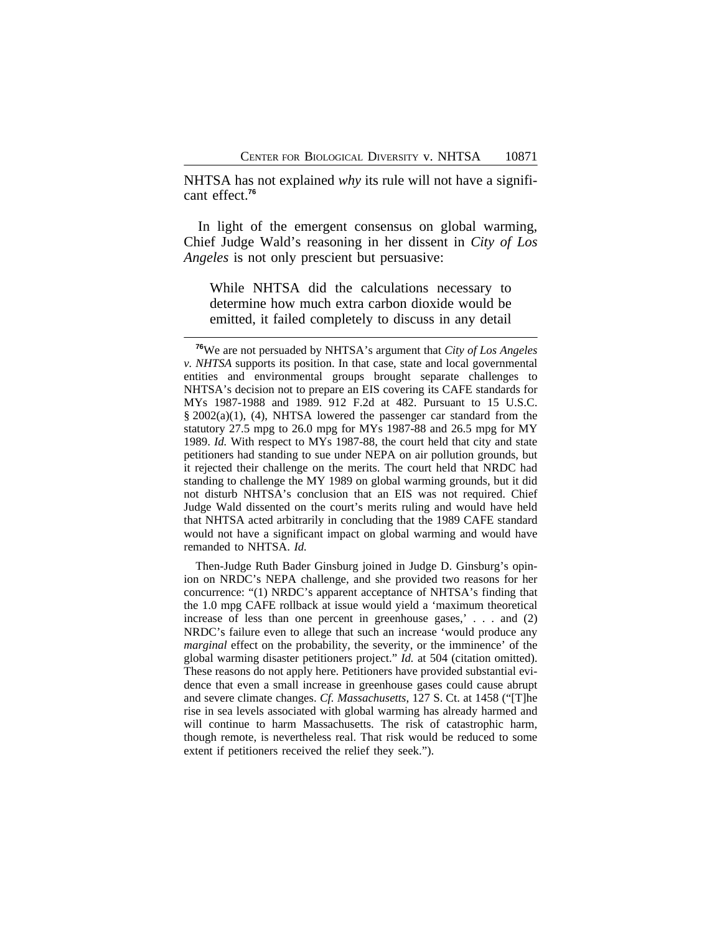NHTSA has not explained *why* its rule will not have a significant effect.**<sup>76</sup>**

In light of the emergent consensus on global warming, Chief Judge Wald's reasoning in her dissent in *City of Los Angeles* is not only prescient but persuasive:

While NHTSA did the calculations necessary to determine how much extra carbon dioxide would be emitted, it failed completely to discuss in any detail

Then-Judge Ruth Bader Ginsburg joined in Judge D. Ginsburg's opinion on NRDC's NEPA challenge, and she provided two reasons for her concurrence: "(1) NRDC's apparent acceptance of NHTSA's finding that the 1.0 mpg CAFE rollback at issue would yield a 'maximum theoretical increase of less than one percent in greenhouse gases,' . . . and (2) NRDC's failure even to allege that such an increase 'would produce any *marginal* effect on the probability, the severity, or the imminence' of the global warming disaster petitioners project." *Id.* at 504 (citation omitted). These reasons do not apply here. Petitioners have provided substantial evidence that even a small increase in greenhouse gases could cause abrupt and severe climate changes. *Cf. Massachusetts*, 127 S. Ct. at 1458 ("[T]he rise in sea levels associated with global warming has already harmed and will continue to harm Massachusetts. The risk of catastrophic harm, though remote, is nevertheless real. That risk would be reduced to some extent if petitioners received the relief they seek.").

**<sup>76</sup>**We are not persuaded by NHTSA's argument that *City of Los Angeles v. NHTSA* supports its position. In that case, state and local governmental entities and environmental groups brought separate challenges to NHTSA's decision not to prepare an EIS covering its CAFE standards for MYs 1987-1988 and 1989. 912 F.2d at 482. Pursuant to 15 U.S.C. § 2002(a)(1), (4), NHTSA lowered the passenger car standard from the statutory 27.5 mpg to 26.0 mpg for MYs 1987-88 and 26.5 mpg for MY 1989. *Id.* With respect to MYs 1987-88, the court held that city and state petitioners had standing to sue under NEPA on air pollution grounds, but it rejected their challenge on the merits. The court held that NRDC had standing to challenge the MY 1989 on global warming grounds, but it did not disturb NHTSA's conclusion that an EIS was not required. Chief Judge Wald dissented on the court's merits ruling and would have held that NHTSA acted arbitrarily in concluding that the 1989 CAFE standard would not have a significant impact on global warming and would have remanded to NHTSA. *Id.*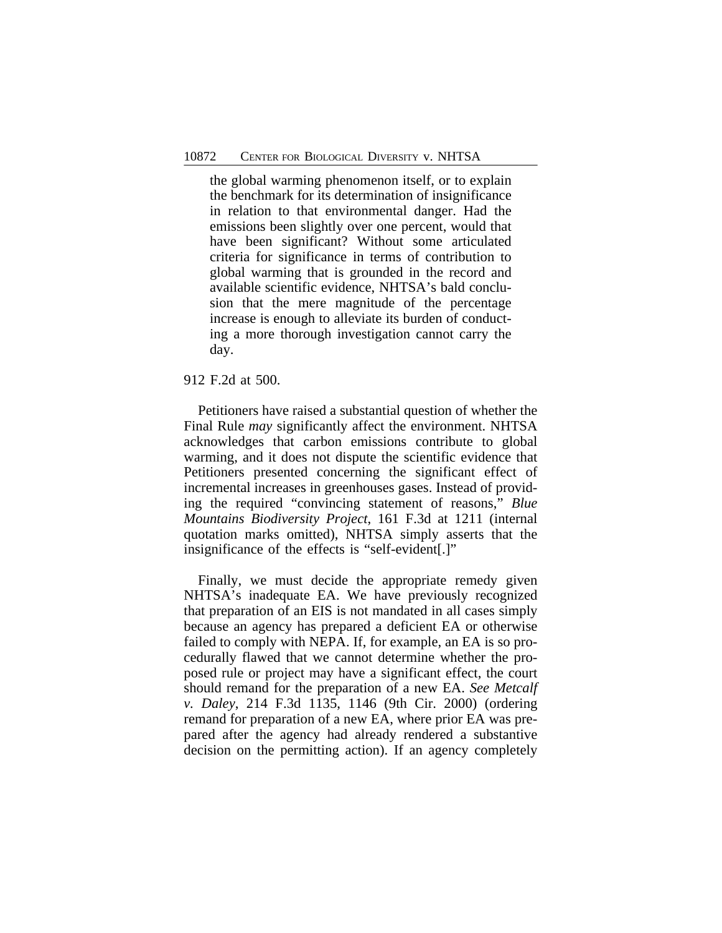the global warming phenomenon itself, or to explain the benchmark for its determination of insignificance in relation to that environmental danger. Had the emissions been slightly over one percent, would that have been significant? Without some articulated criteria for significance in terms of contribution to global warming that is grounded in the record and available scientific evidence, NHTSA's bald conclusion that the mere magnitude of the percentage increase is enough to alleviate its burden of conducting a more thorough investigation cannot carry the day.

#### 912 F.2d at 500.

Petitioners have raised a substantial question of whether the Final Rule *may* significantly affect the environment. NHTSA acknowledges that carbon emissions contribute to global warming, and it does not dispute the scientific evidence that Petitioners presented concerning the significant effect of incremental increases in greenhouses gases. Instead of providing the required "convincing statement of reasons," *Blue Mountains Biodiversity Project*, 161 F.3d at 1211 (internal quotation marks omitted), NHTSA simply asserts that the insignificance of the effects is "self-evident[.]"

Finally, we must decide the appropriate remedy given NHTSA's inadequate EA. We have previously recognized that preparation of an EIS is not mandated in all cases simply because an agency has prepared a deficient EA or otherwise failed to comply with NEPA. If, for example, an EA is so procedurally flawed that we cannot determine whether the proposed rule or project may have a significant effect, the court should remand for the preparation of a new EA. *See Metcalf v. Daley*, 214 F.3d 1135, 1146 (9th Cir. 2000) (ordering remand for preparation of a new EA, where prior EA was prepared after the agency had already rendered a substantive decision on the permitting action). If an agency completely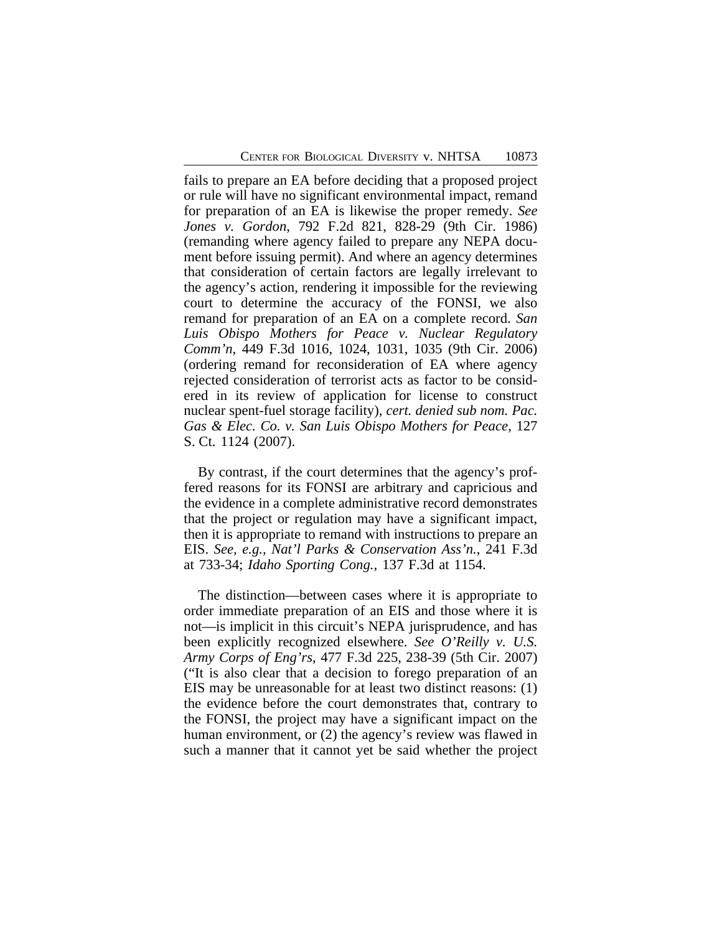fails to prepare an EA before deciding that a proposed project or rule will have no significant environmental impact, remand for preparation of an EA is likewise the proper remedy. *See Jones v. Gordon*, 792 F.2d 821, 828-29 (9th Cir. 1986) (remanding where agency failed to prepare any NEPA document before issuing permit). And where an agency determines that consideration of certain factors are legally irrelevant to the agency's action, rendering it impossible for the reviewing court to determine the accuracy of the FONSI, we also remand for preparation of an EA on a complete record. *San Luis Obispo Mothers for Peace v. Nuclear Regulatory Comm'n*, 449 F.3d 1016, 1024, 1031, 1035 (9th Cir. 2006) (ordering remand for reconsideration of EA where agency rejected consideration of terrorist acts as factor to be considered in its review of application for license to construct nuclear spent-fuel storage facility), *cert. denied sub nom. Pac. Gas & Elec. Co. v. San Luis Obispo Mothers for Peace*, 127 S. Ct. 1124 (2007).

By contrast, if the court determines that the agency's proffered reasons for its FONSI are arbitrary and capricious and the evidence in a complete administrative record demonstrates that the project or regulation may have a significant impact, then it is appropriate to remand with instructions to prepare an EIS. *See, e.g., Nat'l Parks & Conservation Ass'n.*, 241 F.3d at 733-34; *Idaho Sporting Cong.*, 137 F.3d at 1154.

The distinction—between cases where it is appropriate to order immediate preparation of an EIS and those where it is not—is implicit in this circuit's NEPA jurisprudence, and has been explicitly recognized elsewhere. *See O'Reilly v. U.S. Army Corps of Eng'rs*, 477 F.3d 225, 238-39 (5th Cir. 2007) ("It is also clear that a decision to forego preparation of an EIS may be unreasonable for at least two distinct reasons: (1) the evidence before the court demonstrates that, contrary to the FONSI, the project may have a significant impact on the human environment, or (2) the agency's review was flawed in such a manner that it cannot yet be said whether the project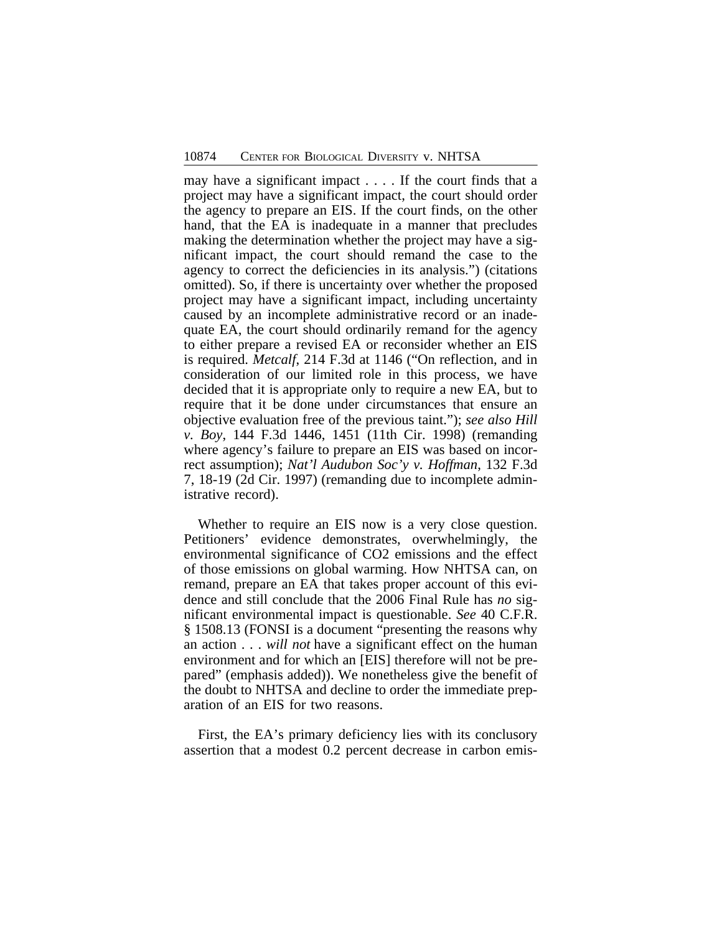may have a significant impact . . . . If the court finds that a project may have a significant impact, the court should order the agency to prepare an EIS. If the court finds, on the other hand, that the EA is inadequate in a manner that precludes making the determination whether the project may have a significant impact, the court should remand the case to the agency to correct the deficiencies in its analysis.") (citations omitted). So, if there is uncertainty over whether the proposed project may have a significant impact, including uncertainty caused by an incomplete administrative record or an inadequate EA, the court should ordinarily remand for the agency to either prepare a revised EA or reconsider whether an EIS is required. *Metcalf*, 214 F.3d at 1146 ("On reflection, and in consideration of our limited role in this process, we have decided that it is appropriate only to require a new EA, but to require that it be done under circumstances that ensure an objective evaluation free of the previous taint."); *see also Hill v. Boy*, 144 F.3d 1446, 1451 (11th Cir. 1998) (remanding where agency's failure to prepare an EIS was based on incorrect assumption); *Nat'l Audubon Soc'y v. Hoffman*, 132 F.3d 7, 18-19 (2d Cir. 1997) (remanding due to incomplete administrative record).

Whether to require an EIS now is a very close question. Petitioners' evidence demonstrates, overwhelmingly, the environmental significance of CO2 emissions and the effect of those emissions on global warming. How NHTSA can, on remand, prepare an EA that takes proper account of this evidence and still conclude that the 2006 Final Rule has *no* significant environmental impact is questionable. *See* 40 C.F.R. § 1508.13 (FONSI is a document "presenting the reasons why an action . . . *will not* have a significant effect on the human environment and for which an [EIS] therefore will not be prepared" (emphasis added)). We nonetheless give the benefit of the doubt to NHTSA and decline to order the immediate preparation of an EIS for two reasons.

First, the EA's primary deficiency lies with its conclusory assertion that a modest 0.2 percent decrease in carbon emis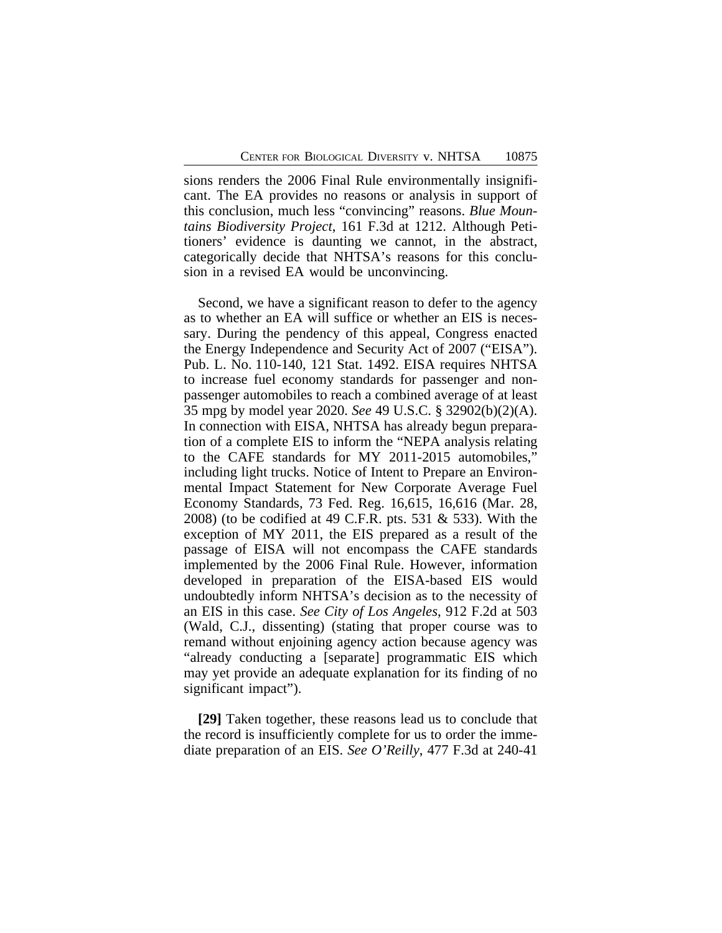sions renders the 2006 Final Rule environmentally insignificant. The EA provides no reasons or analysis in support of this conclusion, much less "convincing" reasons. *Blue Mountains Biodiversity Project*, 161 F.3d at 1212. Although Petitioners' evidence is daunting we cannot, in the abstract, categorically decide that NHTSA's reasons for this conclusion in a revised EA would be unconvincing.

Second, we have a significant reason to defer to the agency as to whether an EA will suffice or whether an EIS is necessary. During the pendency of this appeal, Congress enacted the Energy Independence and Security Act of 2007 ("EISA"). Pub. L. No. 110-140, 121 Stat. 1492. EISA requires NHTSA to increase fuel economy standards for passenger and nonpassenger automobiles to reach a combined average of at least 35 mpg by model year 2020. *See* 49 U.S.C. § 32902(b)(2)(A). In connection with EISA, NHTSA has already begun preparation of a complete EIS to inform the "NEPA analysis relating to the CAFE standards for MY 2011-2015 automobiles," including light trucks. Notice of Intent to Prepare an Environmental Impact Statement for New Corporate Average Fuel Economy Standards, 73 Fed. Reg. 16,615, 16,616 (Mar. 28, 2008) (to be codified at 49 C.F.R. pts. 531 & 533). With the exception of MY 2011, the EIS prepared as a result of the passage of EISA will not encompass the CAFE standards implemented by the 2006 Final Rule. However, information developed in preparation of the EISA-based EIS would undoubtedly inform NHTSA's decision as to the necessity of an EIS in this case. *See City of Los Angeles*, 912 F.2d at 503 (Wald, C.J., dissenting) (stating that proper course was to remand without enjoining agency action because agency was "already conducting a [separate] programmatic EIS which may yet provide an adequate explanation for its finding of no significant impact").

**[29]** Taken together, these reasons lead us to conclude that the record is insufficiently complete for us to order the immediate preparation of an EIS. *See O'Reilly*, 477 F.3d at 240-41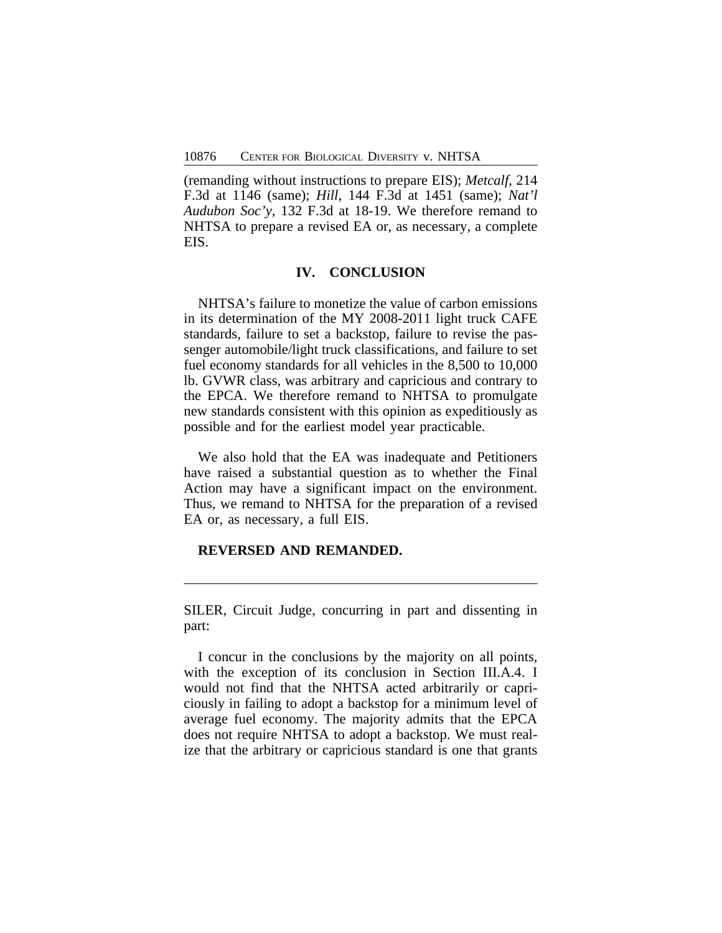(remanding without instructions to prepare EIS); *Metcalf*, 214 F.3d at 1146 (same); *Hill*, 144 F.3d at 1451 (same); *Nat'l Audubon Soc'y*, 132 F.3d at 18-19. We therefore remand to NHTSA to prepare a revised EA or, as necessary, a complete EIS.

## **IV. CONCLUSION**

NHTSA's failure to monetize the value of carbon emissions in its determination of the MY 2008-2011 light truck CAFE standards, failure to set a backstop, failure to revise the passenger automobile/light truck classifications, and failure to set fuel economy standards for all vehicles in the 8,500 to 10,000 lb. GVWR class, was arbitrary and capricious and contrary to the EPCA. We therefore remand to NHTSA to promulgate new standards consistent with this opinion as expeditiously as possible and for the earliest model year practicable.

We also hold that the EA was inadequate and Petitioners have raised a substantial question as to whether the Final Action may have a significant impact on the environment. Thus, we remand to NHTSA for the preparation of a revised EA or, as necessary, a full EIS.

# **REVERSED AND REMANDED.**

SILER, Circuit Judge, concurring in part and dissenting in part:

I concur in the conclusions by the majority on all points, with the exception of its conclusion in Section III.A.4. I would not find that the NHTSA acted arbitrarily or capriciously in failing to adopt a backstop for a minimum level of average fuel economy. The majority admits that the EPCA does not require NHTSA to adopt a backstop. We must realize that the arbitrary or capricious standard is one that grants